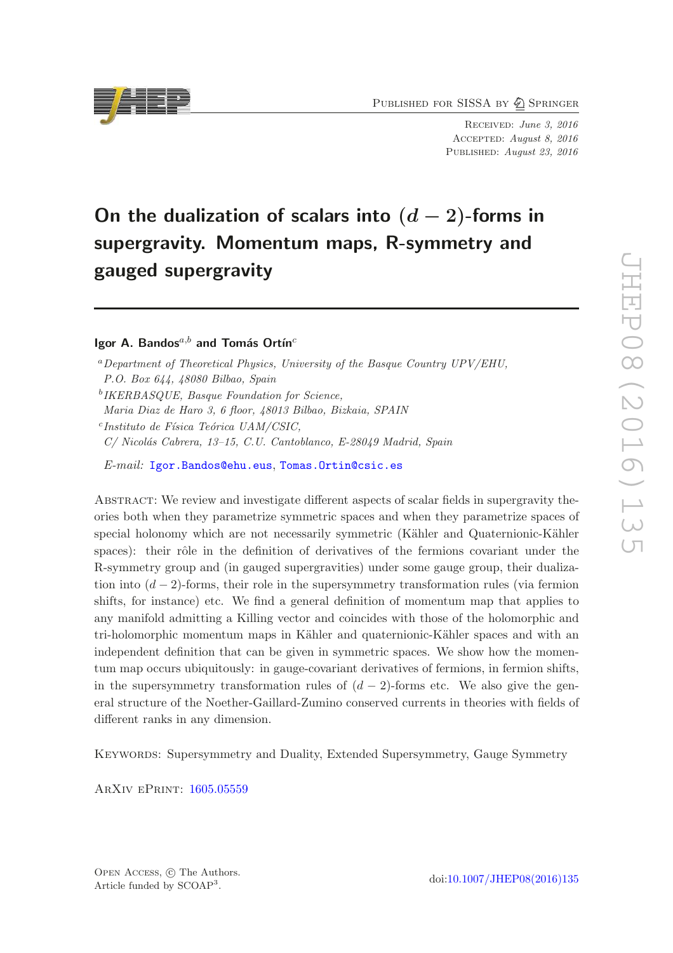PUBLISHED FOR SISSA BY 2 SPRINGER

Received: June 3, 2016 Accepted: August 8, 2016 PUBLISHED: August 23, 2016

# On the dualization of scalars into  $(d-2)$ -forms in supergravity. Momentum maps, R-symmetry and gauged supergravity

Igor A. Bandos<sup>a,b</sup> and Tomás Ortín<sup>c</sup>

 ${}^a$ Department of Theoretical Physics, University of the Basque Country UPV/EHU, P.O. Box 644, 48080 Bilbao, Spain b IKERBASQUE, Basque Foundation for Science, Maria Diaz de Haro 3, 6 floor, 48013 Bilbao, Bizkaia, SPAIN  $c$ Instituto de Física Teórica UAM/CSIC,  $C/Nicolás Cabrera, 13–15, C.U. Cantoblanco, E-28049 Madrid, Spain$ E-mail: [Igor.Bandos@ehu.eus](mailto:Igor.Bandos@ehu.eus), [Tomas.Ortin@csic.es](mailto:Tomas.Ortin@csic.es)

Abstract: We review and investigate different aspects of scalar fields in supergravity theories both when they parametrize symmetric spaces and when they parametrize spaces of special holonomy which are not necessarily symmetric (Kähler and Quaternionic-Kähler spaces): their rôle in the definition of derivatives of the fermions covariant under the R-symmetry group and (in gauged supergravities) under some gauge group, their dualization into  $(d-2)$ -forms, their role in the supersymmetry transformation rules (via fermion shifts, for instance) etc. We find a general definition of momentum map that applies to any manifold admitting a Killing vector and coincides with those of the holomorphic and tri-holomorphic momentum maps in Kähler and quaternionic-Kähler spaces and with an independent definition that can be given in symmetric spaces. We show how the momentum map occurs ubiquitously: in gauge-covariant derivatives of fermions, in fermion shifts, in the supersymmetry transformation rules of  $(d-2)$ -forms etc. We also give the general structure of the Noether-Gaillard-Zumino conserved currents in theories with fields of different ranks in any dimension.

Keywords: Supersymmetry and Duality, Extended Supersymmetry, Gauge Symmetry

ArXiv ePrint: [1605.05559](http://arxiv.org/abs/1605.05559)

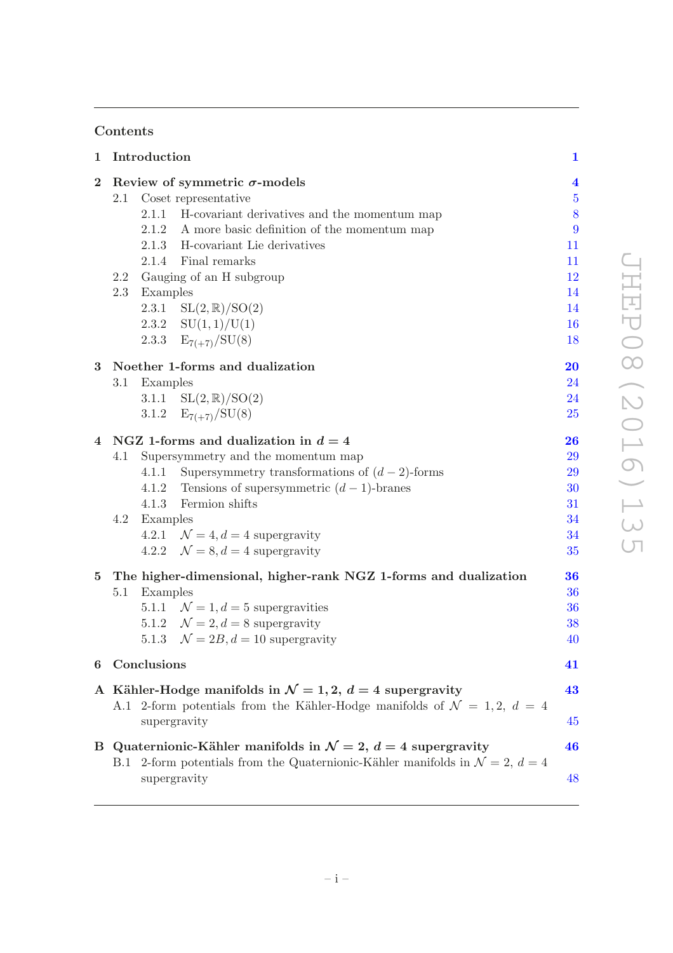# Contents

| 1                |                                                                      | Introduction                                                                         | $\mathbf{1}$            |
|------------------|----------------------------------------------------------------------|--------------------------------------------------------------------------------------|-------------------------|
| $\boldsymbol{2}$ | Review of symmetric $\sigma$ -models                                 |                                                                                      | $\overline{\mathbf{4}}$ |
|                  |                                                                      | 2.1 Coset representative                                                             | $\overline{5}$          |
|                  |                                                                      | 2.1.1 H-covariant derivatives and the momentum map                                   | 8                       |
|                  |                                                                      | 2.1.2 A more basic definition of the momentum map                                    | 9                       |
|                  |                                                                      | 2.1.3 H-covariant Lie derivatives                                                    | 11                      |
|                  |                                                                      | 2.1.4 Final remarks                                                                  | 11                      |
|                  | 2.2                                                                  | Gauging of an H subgroup                                                             | 12                      |
|                  |                                                                      | 2.3 Examples                                                                         | 14                      |
|                  |                                                                      | 2.3.1 $SL(2,\mathbb{R})/SO(2)$                                                       | 14                      |
|                  |                                                                      | 2.3.2 $SU(1,1)/U(1)$                                                                 | <b>16</b>               |
|                  |                                                                      | 2.3.3 $E_{7(+7)}/SU(8)$                                                              | 18                      |
|                  | 3 Noether 1-forms and dualization                                    |                                                                                      | <b>20</b>               |
|                  | $3.1\,$                                                              | Examples                                                                             | 24                      |
|                  |                                                                      | 3.1.1 $SL(2, \mathbb{R})/SO(2)$                                                      | 24                      |
|                  |                                                                      | 3.1.2 $E_{7(+7)}/SU(8)$                                                              | <b>25</b>               |
| 4                | NGZ 1-forms and dualization in $d=4$                                 |                                                                                      |                         |
|                  | 4.1                                                                  | Supersymmetry and the momentum map                                                   | 29                      |
|                  |                                                                      | Supersymmetry transformations of $(d-2)$ -forms<br>4.1.1                             | 29                      |
|                  |                                                                      | 4.1.2 Tensions of supersymmetric $(d-1)$ -branes                                     | 30                      |
|                  |                                                                      | Fermion shifts<br>4.1.3                                                              | 31                      |
|                  | 4.2                                                                  | Examples                                                                             | 34                      |
|                  |                                                                      | 4.2.1 $\mathcal{N} = 4, d = 4$ supergravity                                          | 34                      |
|                  |                                                                      | 4.2.2 $\mathcal{N} = 8, d = 4$ supergravity                                          | 35                      |
| $\bf{5}$         |                                                                      | The higher-dimensional, higher-rank NGZ 1-forms and dualization                      | 36                      |
|                  | 5.1                                                                  | Examples                                                                             | 36                      |
|                  |                                                                      | 5.1.1 $\mathcal{N} = 1, d = 5$ supergravities                                        | 36                      |
|                  |                                                                      | 5.1.2 $\mathcal{N} = 2, d = 8$ supergravity                                          | 38                      |
|                  |                                                                      | 5.1.3 $\mathcal{N} = 2B, d = 10$ supergravity                                        | 40                      |
| 6                |                                                                      | Conclusions                                                                          | 41                      |
|                  | A Kähler-Hodge manifolds in $\mathcal{N}=1,2, d=4$ supergravity      |                                                                                      | 43                      |
|                  |                                                                      | A.1 2-form potentials from the Kähler-Hodge manifolds of $\mathcal{N} = 1, 2, d = 4$ |                         |
|                  |                                                                      | supergravity                                                                         | 45                      |
|                  | B Quaternionic-Kähler manifolds in $\mathcal{N}=2, d=4$ supergravity |                                                                                      | 46                      |
|                  |                                                                      | B.1 2-form potentials from the Quaternionic-Kähler manifolds in $\mathcal{N}=2, d=4$ |                         |
|                  |                                                                      | supergravity                                                                         | 48                      |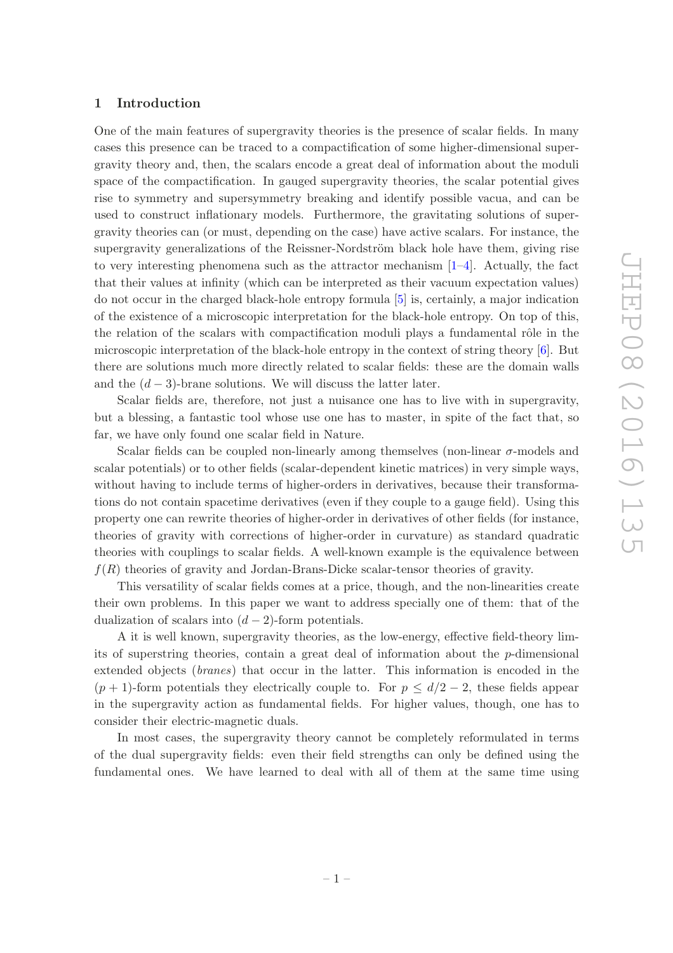### <span id="page-2-0"></span>1 Introduction

One of the main features of supergravity theories is the presence of scalar fields. In many cases this presence can be traced to a compactification of some higher-dimensional supergravity theory and, then, the scalars encode a great deal of information about the moduli space of the compactification. In gauged supergravity theories, the scalar potential gives rise to symmetry and supersymmetry breaking and identify possible vacua, and can be used to construct inflationary models. Furthermore, the gravitating solutions of supergravity theories can (or must, depending on the case) have active scalars. For instance, the supergravity generalizations of the Reissner-Nordström black hole have them, giving rise to very interesting phenomena such as the attractor mechanism [\[1](#page-50-0)[–4](#page-50-1)]. Actually, the fact that their values at infinity (which can be interpreted as their vacuum expectation values) do not occur in the charged black-hole entropy formula [\[5\]](#page-50-2) is, certainly, a major indication of the existence of a microscopic interpretation for the black-hole entropy. On top of this, the relation of the scalars with compactification moduli plays a fundamental rôle in the microscopic interpretation of the black-hole entropy in the context of string theory [\[6](#page-50-3)]. But there are solutions much more directly related to scalar fields: these are the domain walls and the  $(d-3)$ -brane solutions. We will discuss the latter later.

Scalar fields are, therefore, not just a nuisance one has to live with in supergravity, but a blessing, a fantastic tool whose use one has to master, in spite of the fact that, so far, we have only found one scalar field in Nature.

Scalar fields can be coupled non-linearly among themselves (non-linear  $\sigma$ -models and scalar potentials) or to other fields (scalar-dependent kinetic matrices) in very simple ways, without having to include terms of higher-orders in derivatives, because their transformations do not contain spacetime derivatives (even if they couple to a gauge field). Using this property one can rewrite theories of higher-order in derivatives of other fields (for instance, theories of gravity with corrections of higher-order in curvature) as standard quadratic theories with couplings to scalar fields. A well-known example is the equivalence between  $f(R)$  theories of gravity and Jordan-Brans-Dicke scalar-tensor theories of gravity.

This versatility of scalar fields comes at a price, though, and the non-linearities create their own problems. In this paper we want to address specially one of them: that of the dualization of scalars into  $(d-2)$ -form potentials.

A it is well known, supergravity theories, as the low-energy, effective field-theory limits of superstring theories, contain a great deal of information about the p-dimensional extended objects (branes) that occur in the latter. This information is encoded in the  $(p + 1)$ -form potentials they electrically couple to. For  $p \le d/2 - 2$ , these fields appear in the supergravity action as fundamental fields. For higher values, though, one has to consider their electric-magnetic duals.

In most cases, the supergravity theory cannot be completely reformulated in terms of the dual supergravity fields: even their field strengths can only be defined using the fundamental ones. We have learned to deal with all of them at the same time using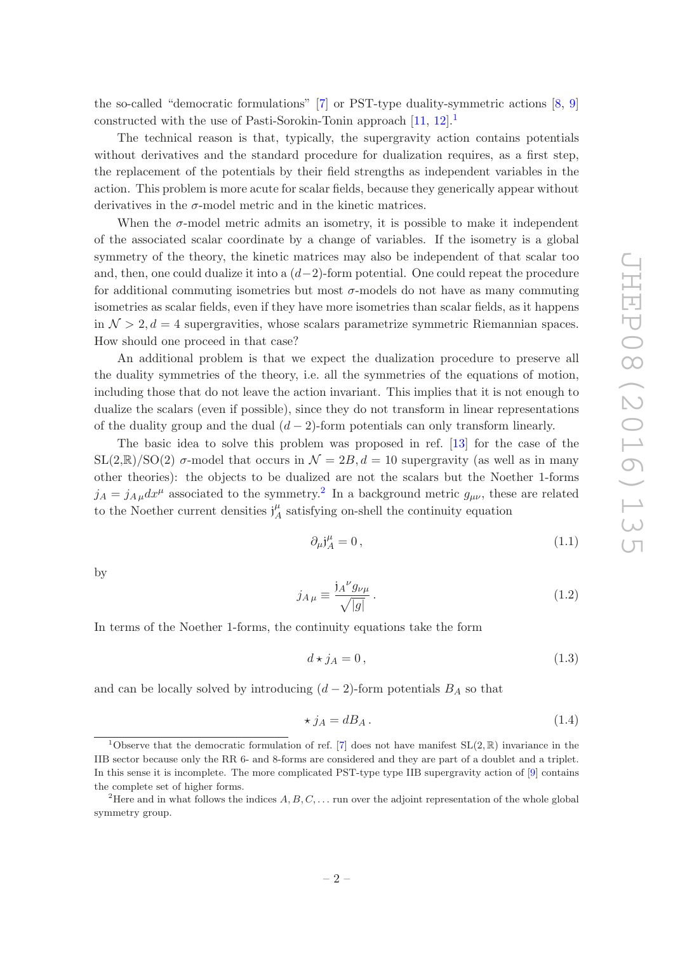the so-called "democratic formulations" [\[7\]](#page-50-4) or PST-type duality-symmetric actions [\[8](#page-50-5), [9\]](#page-50-6) constructed with the use of Pasti-Sorokin-Tonin approach  $[11, 12]$  $[11, 12]$  $[11, 12]$ .<sup>[1](#page-3-0)</sup>

The technical reason is that, typically, the supergravity action contains potentials without derivatives and the standard procedure for dualization requires, as a first step, the replacement of the potentials by their field strengths as independent variables in the action. This problem is more acute for scalar fields, because they generically appear without derivatives in the  $\sigma$ -model metric and in the kinetic matrices.

When the  $\sigma$ -model metric admits an isometry, it is possible to make it independent of the associated scalar coordinate by a change of variables. If the isometry is a global symmetry of the theory, the kinetic matrices may also be independent of that scalar too and, then, one could dualize it into a  $(d-2)$ -form potential. One could repeat the procedure for additional commuting isometries but most  $\sigma$ -models do not have as many commuting isometries as scalar fields, even if they have more isometries than scalar fields, as it happens in  $\mathcal{N} > 2, d = 4$  supergravities, whose scalars parametrize symmetric Riemannian spaces. How should one proceed in that case?

An additional problem is that we expect the dualization procedure to preserve all the duality symmetries of the theory, i.e. all the symmetries of the equations of motion, including those that do not leave the action invariant. This implies that it is not enough to dualize the scalars (even if possible), since they do not transform in linear representations of the duality group and the dual  $(d-2)$ -form potentials can only transform linearly.

The basic idea to solve this problem was proposed in ref. [\[13](#page-50-9)] for the case of the  $SL(2,\mathbb{R})/SO(2)$  σ-model that occurs in  $\mathcal{N}=2B, d=10$  supergravity (as well as in many other theories): the objects to be dualized are not the scalars but the Noether 1-forms  $j_A = j_{A\mu}dx^{\mu}$  associated to the symmetry.<sup>[2](#page-3-1)</sup> In a background metric  $g_{\mu\nu}$ , these are related to the Noether current densities  $j^{\mu}_{A}$  $A^{\mu}_{A}$  satisfying on-shell the continuity equation

$$
\partial_{\mu}j_{A}^{\mu}=0\,,\tag{1.1}
$$

by

$$
j_{A\mu} \equiv \frac{j_A^{\nu} g_{\nu\mu}}{\sqrt{|g|}}.
$$
\n(1.2)

In terms of the Noether 1-forms, the continuity equations take the form

$$
d \star j_A = 0, \tag{1.3}
$$

and can be locally solved by introducing  $(d-2)$ -form potentials  $B<sub>A</sub>$  so that

$$
\star j_A = dB_A. \tag{1.4}
$$

<span id="page-3-0"></span><sup>&</sup>lt;sup>1</sup>Observe that the democratic formulation of ref. [\[7\]](#page-50-4) does not have manifest  $SL(2,\mathbb{R})$  invariance in the IIB sector because only the RR 6- and 8-forms are considered and they are part of a doublet and a triplet. In this sense it is incomplete. The more complicated PST-type type IIB supergravity action of [\[9](#page-50-6)] contains the complete set of higher forms.

<span id="page-3-1"></span><sup>&</sup>lt;sup>2</sup>Here and in what follows the indices  $A, B, C, \ldots$  run over the adjoint representation of the whole global symmetry group.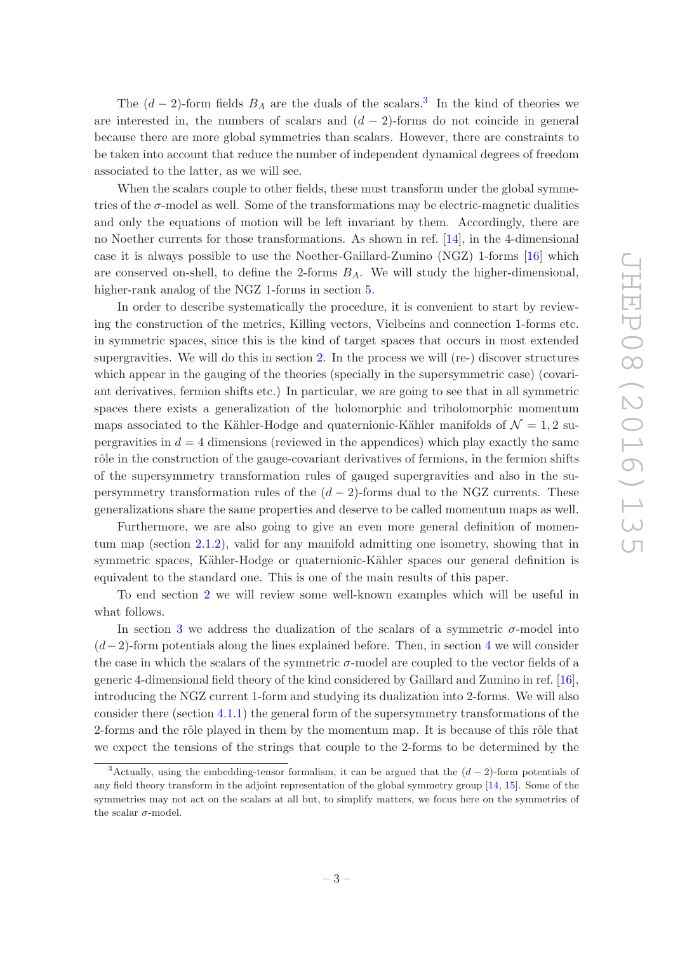The  $(d-2)$ -form fields  $B_A$  are the duals of the scalars.<sup>[3](#page-4-0)</sup> In the kind of theories we are interested in, the numbers of scalars and  $(d - 2)$ -forms do not coincide in general because there are more global symmetries than scalars. However, there are constraints to be taken into account that reduce the number of independent dynamical degrees of freedom associated to the latter, as we will see.

When the scalars couple to other fields, these must transform under the global symmetries of the  $\sigma$ -model as well. Some of the transformations may be electric-magnetic dualities and only the equations of motion will be left invariant by them. Accordingly, there are no Noether currents for those transformations. As shown in ref. [\[14](#page-50-10)], in the 4-dimensional case it is always possible to use the Noether-Gaillard-Zumino (NGZ) 1-forms [\[16\]](#page-50-11) which are conserved on-shell, to define the 2-forms  $B_A$ . We will study the higher-dimensional, higher-rank analog of the NGZ 1-forms in section [5.](#page-37-0)

In order to describe systematically the procedure, it is convenient to start by reviewing the construction of the metrics, Killing vectors, Vielbeins and connection 1-forms etc. in symmetric spaces, since this is the kind of target spaces that occurs in most extended supergravities. We will do this in section [2.](#page-5-0) In the process we will (re-) discover structures which appear in the gauging of the theories (specially in the supersymmetric case) (covariant derivatives, fermion shifts etc.) In particular, we are going to see that in all symmetric spaces there exists a generalization of the holomorphic and triholomorphic momentum maps associated to the Kähler-Hodge and quaternionic-Kähler manifolds of  $\mathcal{N} = 1, 2$  supergravities in  $d = 4$  dimensions (reviewed in the appendices) which play exactly the same rôle in the construction of the gauge-covariant derivatives of fermions, in the fermion shifts of the supersymmetry transformation rules of gauged supergravities and also in the supersymmetry transformation rules of the  $(d-2)$ -forms dual to the NGZ currents. These generalizations share the same properties and deserve to be called momentum maps as well.

Furthermore, we are also going to give an even more general definition of momentum map (section [2.1.2\)](#page-10-0), valid for any manifold admitting one isometry, showing that in symmetric spaces, Kähler-Hodge or quaternionic-Kähler spaces our general definition is equivalent to the standard one. This is one of the main results of this paper.

To end section [2](#page-5-0) we will review some well-known examples which will be useful in what follows.

In section [3](#page-21-0) we address the dualization of the scalars of a symmetric  $\sigma$ -model into  $(d-2)$ -form potentials along the lines explained before. Then, in section [4](#page-27-0) we will consider the case in which the scalars of the symmetric  $\sigma$ -model are coupled to the vector fields of a generic 4-dimensional field theory of the kind considered by Gaillard and Zumino in ref. [\[16\]](#page-50-11), introducing the NGZ current 1-form and studying its dualization into 2-forms. We will also consider there (section [4.1.1\)](#page-30-1) the general form of the supersymmetry transformations of the 2-forms and the rôle played in them by the momentum map. It is because of this rôle that we expect the tensions of the strings that couple to the 2-forms to be determined by the

<span id="page-4-0"></span><sup>&</sup>lt;sup>3</sup>Actually, using the embedding-tensor formalism, it can be argued that the  $(d-2)$ -form potentials of any field theory transform in the adjoint representation of the global symmetry group [\[14,](#page-50-10) [15\]](#page-50-12). Some of the symmetries may not act on the scalars at all but, to simplify matters, we focus here on the symmetries of the scalar  $\sigma$ -model.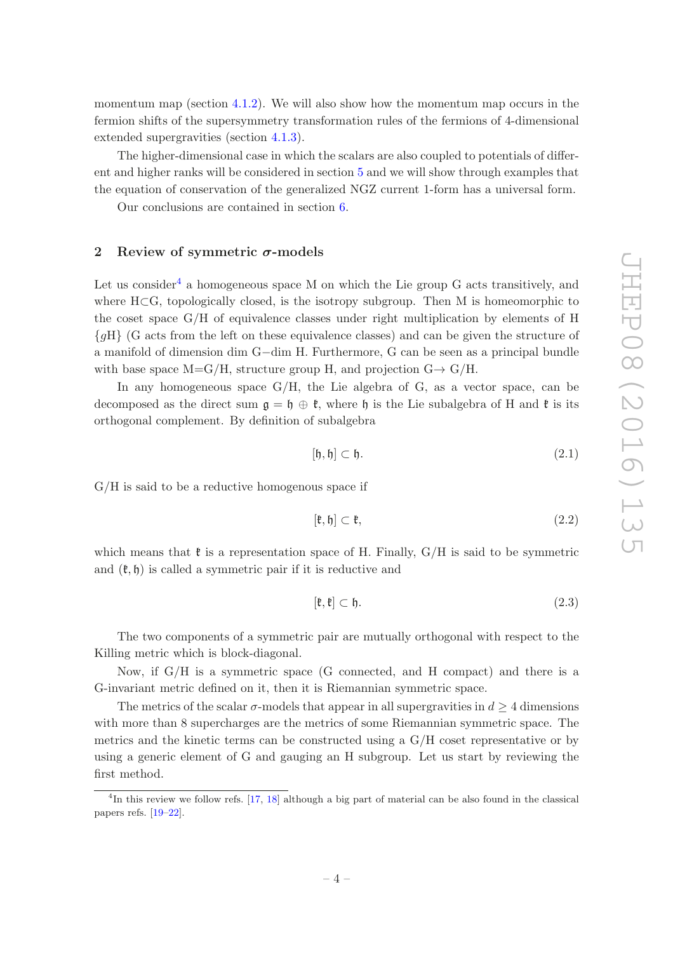momentum map (section [4.1.2\)](#page-31-0). We will also show how the momentum map occurs in the fermion shifts of the supersymmetry transformation rules of the fermions of 4-dimensional extended supergravities (section [4.1.3\)](#page-32-0).

The higher-dimensional case in which the scalars are also coupled to potentials of different and higher ranks will be considered in section [5](#page-37-0) and we will show through examples that the equation of conservation of the generalized NGZ current 1-form has a universal form.

Our conclusions are contained in section [6.](#page-42-0)

#### <span id="page-5-0"></span>2 Review of symmetric  $\sigma$ -models

Let us consider<sup>[4](#page-5-1)</sup> a homogeneous space M on which the Lie group G acts transitively, and where H⊂G, topologically closed, is the isotropy subgroup. Then M is homeomorphic to the coset space G/H of equivalence classes under right multiplication by elements of H {gH} (G acts from the left on these equivalence classes) and can be given the structure of a manifold of dimension dim G−dim H. Furthermore, G can be seen as a principal bundle with base space M=G/H, structure group H, and projection  $G \rightarrow G/H$ .

In any homogeneous space G/H, the Lie algebra of G, as a vector space, can be decomposed as the direct sum  $\mathfrak{g} = \mathfrak{h} \oplus \mathfrak{k}$ , where  $\mathfrak{h}$  is the Lie subalgebra of H and  $\mathfrak{k}$  is its orthogonal complement. By definition of subalgebra

$$
[\mathfrak{h},\mathfrak{h}]\subset\mathfrak{h}.\tag{2.1}
$$

G/H is said to be a reductive homogenous space if

$$
[\mathfrak{k},\mathfrak{h}]\subset\mathfrak{k},\tag{2.2}
$$

which means that  $\mathfrak k$  is a representation space of H. Finally,  $G/H$  is said to be symmetric and  $(\mathfrak{k}, \mathfrak{h})$  is called a symmetric pair if it is reductive and

$$
[\mathfrak{k}, \mathfrak{k}] \subset \mathfrak{h}. \tag{2.3}
$$

The two components of a symmetric pair are mutually orthogonal with respect to the Killing metric which is block-diagonal.

Now, if G/H is a symmetric space (G connected, and H compact) and there is a G-invariant metric defined on it, then it is Riemannian symmetric space.

The metrics of the scalar  $\sigma$ -models that appear in all supergravities in  $d \geq 4$  dimensions with more than 8 supercharges are the metrics of some Riemannian symmetric space. The metrics and the kinetic terms can be constructed using a G/H coset representative or by using a generic element of G and gauging an H subgroup. Let us start by reviewing the first method.

<span id="page-5-1"></span><sup>&</sup>lt;sup>4</sup>In this review we follow refs. [\[17](#page-51-0), [18](#page-51-1)] although a big part of material can be also found in the classical papers refs. [\[19](#page-51-2)[–22](#page-51-3)].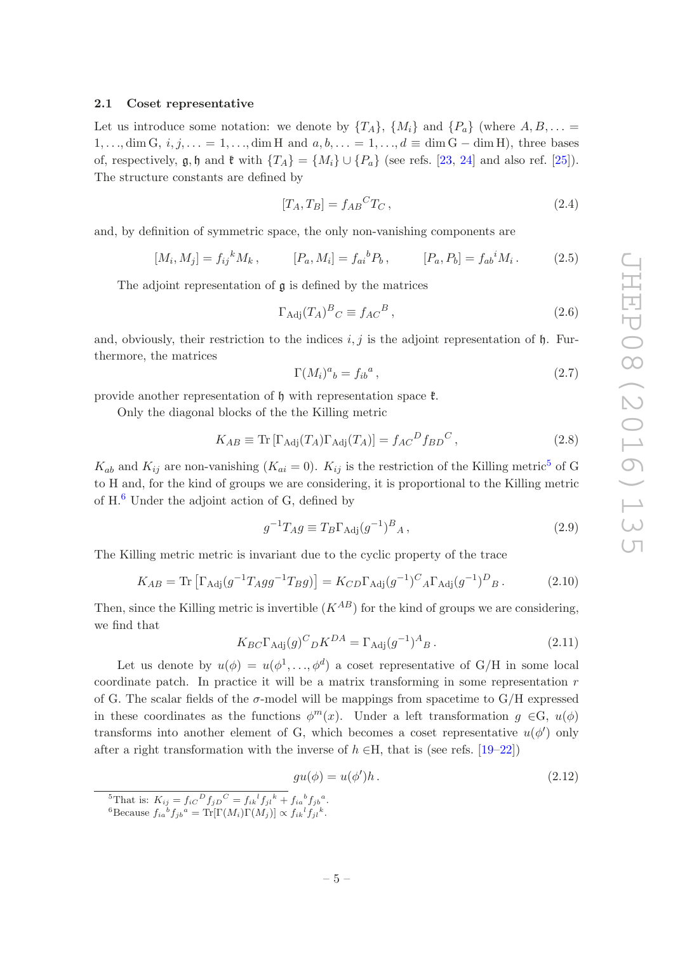#### <span id="page-6-0"></span>2.1 Coset representative

Let us introduce some notation: we denote by  $\{T_A\}, \{M_i\}$  and  $\{P_a\}$  (where  $A, B, \ldots =$ 1, ..., dim G,  $i, j, \ldots = 1, \ldots$ , dim H and  $a, b, \ldots = 1, \ldots, d \equiv \dim G - \dim H$ , three bases of, respectively,  $\mathfrak{g}, \mathfrak{h}$  and  $\mathfrak{k}$  with  $\{T_A\} = \{M_i\} \cup \{P_a\}$  (see refs. [\[23,](#page-51-4) [24\]](#page-51-5) and also ref. [\[25\]](#page-51-6)). The structure constants are defined by

$$
[T_A, T_B] = f_{AB}{}^C T_C, \qquad (2.4)
$$

and, by definition of symmetric space, the only non-vanishing components are

$$
[M_i, M_j] = f_{ij}{}^k M_k, \qquad [P_a, M_i] = f_{ai}{}^b P_b, \qquad [P_a, P_b] = f_{ab}{}^i M_i. \qquad (2.5)
$$

The adjoint representation of g is defined by the matrices

$$
\Gamma_{\text{Adj}}(T_A)^B{}_C \equiv f_{AC}{}^B\,,\tag{2.6}
$$

and, obviously, their restriction to the indices  $i, j$  is the adjoint representation of  $\mathfrak h$ . Furthermore, the matrices

$$
\Gamma(M_i)^a{}_b = f_{ib}{}^a \,,\tag{2.7}
$$

provide another representation of  $\mathfrak h$  with representation space  $\mathfrak k$ .

Only the diagonal blocks of the the Killing metric

$$
K_{AB} \equiv \text{Tr}\left[\Gamma_{\text{Adj}}(T_A)\Gamma_{\text{Adj}}(T_A)\right] = f_{AC}{}^D f_{BD}{}^C\,,\tag{2.8}
$$

 $K_{ab}$  and  $K_{ij}$  are non-vanishing  $(K_{ai} = 0)$ .  $K_{ij}$  is the restriction of the Killing metric<sup>[5](#page-6-1)</sup> of G to H and, for the kind of groups we are considering, it is proportional to the Killing metric of  $H<sup>6</sup>$  $H<sup>6</sup>$  $H<sup>6</sup>$  Under the adjoint action of G, defined by

<span id="page-6-3"></span>
$$
g^{-1}T_A g \equiv T_B \Gamma_{\text{Adj}}(g^{-1})^B{}_A \,, \tag{2.9}
$$

The Killing metric metric is invariant due to the cyclic property of the trace

$$
K_{AB} = \text{Tr}\left[\Gamma_{\text{Adj}}(g^{-1}T_Agg^{-1}T_Bg)\right] = K_{CD}\Gamma_{\text{Adj}}(g^{-1})^C{}_A\Gamma_{\text{Adj}}(g^{-1})^D{}_B. \tag{2.10}
$$

Then, since the Killing metric is invertible  $(K^{AB})$  for the kind of groups we are considering, we find that

$$
K_{BC}\Gamma_{\text{Adj}}(g)^C{}_D K^{DA} = \Gamma_{\text{Adj}}(g^{-1})^A{}_B. \tag{2.11}
$$

Let us denote by  $u(\phi) = u(\phi^1, \ldots, \phi^d)$  a coset representative of G/H in some local coordinate patch. In practice it will be a matrix transforming in some representation  $r$ of G. The scalar fields of the  $\sigma$ -model will be mappings from spacetime to G/H expressed in these coordinates as the functions  $\phi^m(x)$ . Under a left transformation  $g \in G$ ,  $u(\phi)$ transforms into another element of G, which becomes a coset representative  $u(\phi')$  only after a right transformation with the inverse of  $h \in H$ , that is (see refs. [\[19](#page-51-2)[–22\]](#page-51-3))

$$
gu(\phi) = u(\phi')h. \tag{2.12}
$$

<span id="page-6-2"></span><span id="page-6-1"></span><sup>5</sup>That is:  $K_{ij} = f_{iC}{}^{D} f_{jD}{}^{C} = f_{ik}{}^{l} f_{jl}{}^{k} + f_{ia}{}^{b} f_{jb}{}^{a}.$ <sup>6</sup>Because  $f_{ia}{}^b f_{jb}{}^a = \text{Tr}[\Gamma(M_i)\Gamma(M_j)] \propto f_{ik}{}^l f_{jl}{}^k.$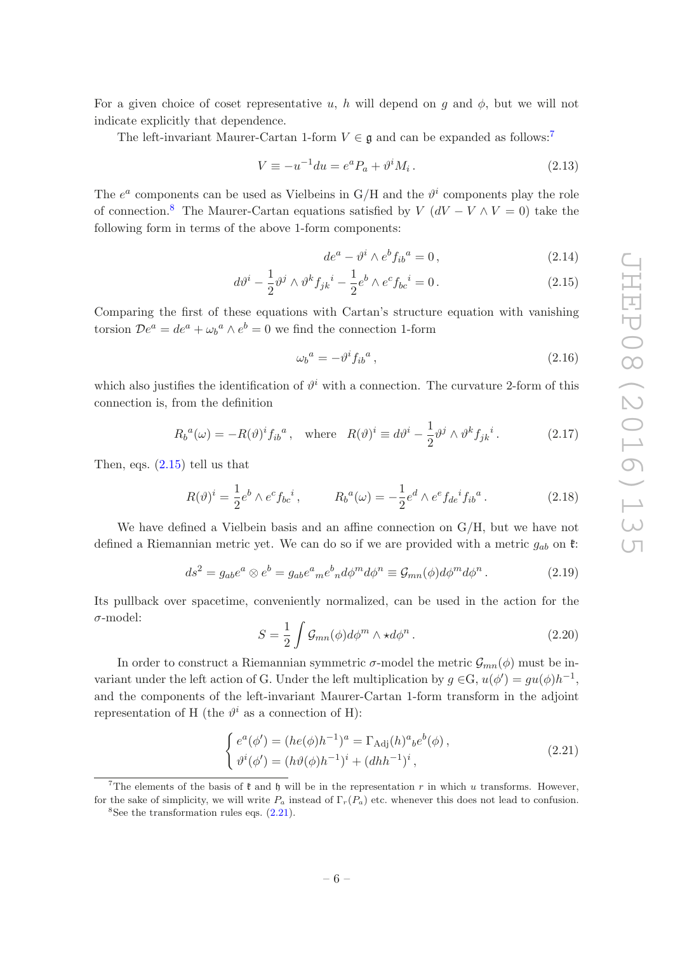For a given choice of coset representative u, h will depend on g and  $\phi$ , but we will not indicate explicitly that dependence.

The left-invariant Maurer-Cartan 1-form  $V \in \mathfrak{g}$  and can be expanded as follows:<sup>[7](#page-7-0)</sup>

<span id="page-7-6"></span>
$$
V \equiv -u^{-1}du = e^a P_a + \vartheta^i M_i. \tag{2.13}
$$

The  $e^a$  components can be used as Vielbeins in G/H and the  $\vartheta^i$  components play the role of connection.<sup>[8](#page-7-1)</sup> The Maurer-Cartan equations satisfied by  $V(dV - V \wedge V = 0)$  take the following form in terms of the above 1-form components:

<span id="page-7-8"></span><span id="page-7-2"></span>
$$
de^a - \vartheta^i \wedge e^b f_{ib}{}^a = 0, \qquad (2.14)
$$

$$
d\vartheta^{i} - \frac{1}{2}\vartheta^{j} \wedge \vartheta^{k} f_{jk}{}^{i} - \frac{1}{2}e^{b} \wedge e^{c} f_{bc}{}^{i} = 0.
$$
 (2.15)

Comparing the first of these equations with Cartan's structure equation with vanishing torsion  $\mathcal{D}e^a = de^a + \omega_b{}^a \wedge e^b = 0$  we find the connection 1-form

<span id="page-7-4"></span>
$$
\omega_b{}^a = -\vartheta^i f_{ib}{}^a \,,\tag{2.16}
$$

which also justifies the identification of  $\vartheta^i$  with a connection. The curvature 2-form of this connection is, from the definition

$$
R_b^a(\omega) = -R(\vartheta)^i f_{ib}^a, \quad \text{where} \quad R(\vartheta)^i \equiv d\vartheta^i - \frac{1}{2}\vartheta^j \wedge \vartheta^k f_{jk}^i. \tag{2.17}
$$

Then, eqs.  $(2.15)$  tell us that

<span id="page-7-5"></span>
$$
R(\vartheta)^{i} = \frac{1}{2}e^{b} \wedge e^{c} f_{bc}^{i}, \qquad R_{b}^{a}(\omega) = -\frac{1}{2}e^{d} \wedge e^{e} f_{de}^{i} f_{ib}^{a}.
$$
 (2.18)

We have defined a Vielbein basis and an affine connection on  $G/H$ , but we have not defined a Riemannian metric yet. We can do so if we are provided with a metric  $g_{ab}$  on  $\ddot{\epsilon}$ :

$$
ds^2 = g_{ab}e^a \otimes e^b = g_{ab}e^a{}_{m}e^b{}_{n}d\phi^m d\phi^n \equiv \mathcal{G}_{mn}(\phi)d\phi^m d\phi^n. \tag{2.19}
$$

Its pullback over spacetime, conveniently normalized, can be used in the action for the σ-model:

<span id="page-7-7"></span>
$$
S = \frac{1}{2} \int \mathcal{G}_{mn}(\phi) d\phi^m \wedge \star d\phi^n.
$$
 (2.20)

In order to construct a Riemannian symmetric  $\sigma$ -model the metric  $\mathcal{G}_{mn}(\phi)$  must be invariant under the left action of G. Under the left multiplication by  $g \in G$ ,  $u(\phi') = gu(\phi)h^{-1}$ , and the components of the left-invariant Maurer-Cartan 1-form transform in the adjoint representation of H (the  $\vartheta^i$  as a connection of H):

<span id="page-7-3"></span>
$$
\begin{cases}\ne^a(\phi') = (he(\phi)h^{-1})^a = \Gamma_{\text{Adj}}(h)^a{}_b e^b(\phi),\\ \vartheta^i(\phi') = (h\vartheta(\phi)h^{-1})^i + (dhh^{-1})^i,\end{cases}
$$
\n(2.21)

<sup>&</sup>lt;sup>7</sup>The elements of the basis of  $\mathfrak k$  and  $\mathfrak h$  will be in the representation r in which u transforms. However, for the sake of simplicity, we will write  $P_a$  instead of  $\Gamma_r(P_a)$  etc. whenever this does not lead to confusion.

<span id="page-7-1"></span><span id="page-7-0"></span><sup>&</sup>lt;sup>8</sup>See the transformation rules eqs.  $(2.21)$ .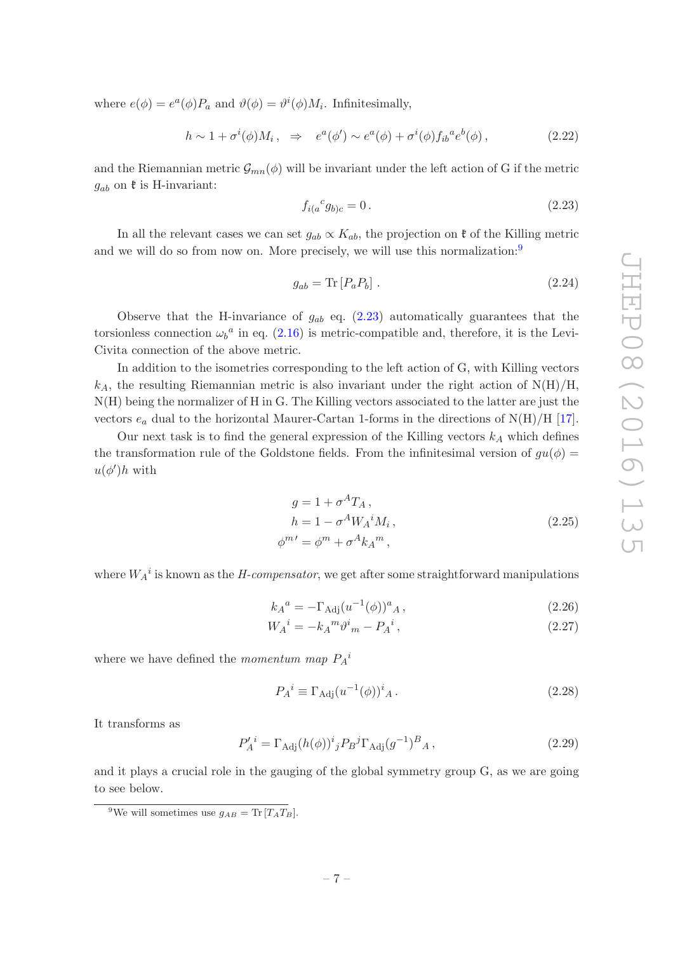where  $e(\phi) = e^a(\phi)P_a$  and  $\vartheta(\phi) = \vartheta^i(\phi)M_i$ . Infinitesimally,

$$
h \sim 1 + \sigma^i(\phi) M_i, \quad \Rightarrow \quad e^a(\phi') \sim e^a(\phi) + \sigma^i(\phi) f_{ib}{}^a e^b(\phi) \,, \tag{2.22}
$$

and the Riemannian metric  $\mathcal{G}_{mn}(\phi)$  will be invariant under the left action of G if the metric  $g_{ab}$  on  $\mathfrak k$  is H-invariant:

<span id="page-8-1"></span>
$$
f_{i(a}{}^c g_{b)c} = 0.
$$
\n(2.23)

In all the relevant cases we can set  $g_{ab} \propto K_{ab}$ , the projection on  $\mathfrak k$  of the Killing metric and we will do so from now on. More precisely, we will use this normalization:

<span id="page-8-6"></span>
$$
g_{ab} = \text{Tr}\left[P_a P_b\right].\tag{2.24}
$$

Observe that the H-invariance of  $g_{ab}$  eq. [\(2.23\)](#page-8-1) automatically guarantees that the torsionless connection  $\omega_b^a$  in eq. [\(2.16\)](#page-7-4) is metric-compatible and, therefore, it is the Levi-Civita connection of the above metric.

In addition to the isometries corresponding to the left action of G, with Killing vectors  $k_A$ , the resulting Riemannian metric is also invariant under the right action of N(H)/H, N(H) being the normalizer of H in G. The Killing vectors associated to the latter are just the vectors  $e_a$  dual to the horizontal Maurer-Cartan 1-forms in the directions of  $N(H)/H$  [\[17\]](#page-51-0).

Our next task is to find the general expression of the Killing vectors  $k_A$  which defines the transformation rule of the Goldstone fields. From the infinitesimal version of  $qu(\phi)$  =  $u(\phi')h$  with

$$
g = 1 + \sigma^A T_A,
$$
  
\n
$$
h = 1 - \sigma^A W_A{}^i M_i,
$$
  
\n
$$
\phi^{m'} = \phi^m + \sigma^A k_A{}^m,
$$
\n(2.25)

<span id="page-8-2"></span>where  $W_A{}^i$  is known as the *H-compensator*, we get after some straightforward manipulations

<span id="page-8-4"></span><span id="page-8-3"></span>
$$
k_A^a = -\Gamma_{\text{Adj}}(u^{-1}(\phi))^a{}_A \,, \tag{2.26}
$$

$$
W_A{}^i = -k_A{}^m \vartheta^i{}_m - P_A{}^i\,,\tag{2.27}
$$

where we have defined the *momentum map*  $P_A{}^i$ 

<span id="page-8-5"></span>
$$
P_A^i \equiv \Gamma_{\text{Adj}}(u^{-1}(\phi))^i{}_A \,. \tag{2.28}
$$

It transforms as

$$
P_A^{\prime i} = \Gamma_{\text{Adj}}(h(\phi))^i{}_j P_B{}^j \Gamma_{\text{Adj}}(g^{-1})^B{}_A \,, \tag{2.29}
$$

and it plays a crucial role in the gauging of the global symmetry group G, as we are going to see below.

<span id="page-8-0"></span><sup>&</sup>lt;sup>9</sup>We will sometimes use  $q_{AB} = \text{Tr} [T_A T_B]$ .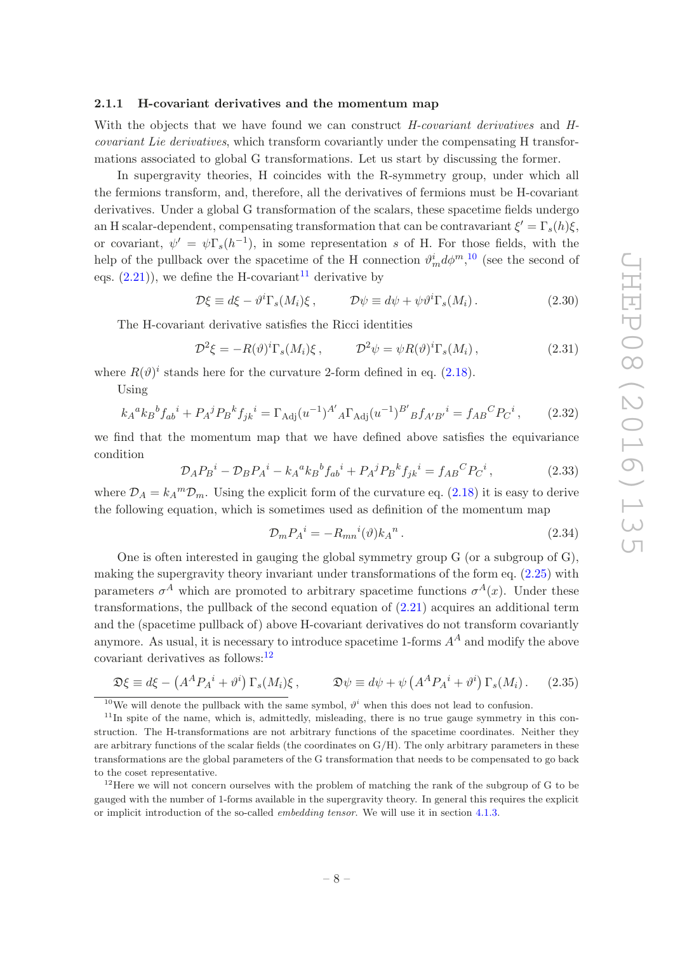## <span id="page-9-0"></span>2.1.1 H-covariant derivatives and the momentum map

With the objects that we have found we can construct *H-covariant derivatives* and *H*covariant Lie derivatives, which transform covariantly under the compensating H transformations associated to global G transformations. Let us start by discussing the former.

In supergravity theories, H coincides with the R-symmetry group, under which all the fermions transform, and, therefore, all the derivatives of fermions must be H-covariant derivatives. Under a global G transformation of the scalars, these spacetime fields undergo an H scalar-dependent, compensating transformation that can be contravariant  $\xi' = \Gamma_s(h)\xi$ , or covariant,  $\psi' = \psi \Gamma_s(h^{-1})$ , in some representation s of H. For those fields, with the help of the pullback over the spacetime of the H connection  $\vartheta_m^i d\phi^{m}$ ,<sup>[10](#page-9-1)</sup> (see the second of eqs.  $(2.21)$ , we define the H-covariant<sup>[11](#page-9-2)</sup> derivative by

<span id="page-9-4"></span>
$$
\mathcal{D}\xi \equiv d\xi - \vartheta^i \Gamma_s(M_i)\xi \,, \qquad \mathcal{D}\psi \equiv d\psi + \psi \vartheta^i \Gamma_s(M_i) \,. \tag{2.30}
$$

The H-covariant derivative satisfies the Ricci identities

$$
\mathcal{D}^2 \xi = -R(\vartheta)^i \Gamma_s(M_i) \xi, \qquad \mathcal{D}^2 \psi = \psi R(\vartheta)^i \Gamma_s(M_i), \qquad (2.31)
$$

where  $R(\vartheta)^i$  stands here for the curvature 2-form defined in eq. [\(2.18\)](#page-7-5).

Using

$$
k_A^a k_B^b f_{ab}^i + P_A^j P_B^k f_{jk}^i = \Gamma_{\text{Adj}}(u^{-1})^{A'} {}_{A} \Gamma_{\text{Adj}}(u^{-1})^{B'} {}_{B} f_{A'B'}^i = f_{AB}{}^{C} P_C^i ,\qquad(2.32)
$$

we find that the momentum map that we have defined above satisfies the equivariance condition

$$
\mathcal{D}_A P_B{}^i - \mathcal{D}_B P_A{}^i - k_A{}^a k_B{}^b f_{ab}{}^i + P_A{}^j P_B{}^k f_{jk}{}^i = f_{AB}{}^C P_C{}^i \,, \tag{2.33}
$$

where  $\mathcal{D}_A = k_A{}^m \mathcal{D}_m$ . Using the explicit form of the curvature eq. [\(2.18\)](#page-7-5) it is easy to derive the following equation, which is sometimes used as definition of the momentum map

<span id="page-9-5"></span>
$$
\mathcal{D}_m P_A{}^i = -R_{mn}{}^i(\vartheta) k_A{}^n \,. \tag{2.34}
$$

One is often interested in gauging the global symmetry group  $G$  (or a subgroup of  $G$ ), making the supergravity theory invariant under transformations of the form eq. [\(2.25\)](#page-8-2) with parameters  $\sigma^A$  which are promoted to arbitrary spacetime functions  $\sigma^A(x)$ . Under these transformations, the pullback of the second equation of  $(2.21)$  acquires an additional term and the (spacetime pullback of) above H-covariant derivatives do not transform covariantly anymore. As usual, it is necessary to introduce spacetime 1-forms  $A<sup>A</sup>$  and modify the above covariant derivatives as follows:[12](#page-9-3)

<span id="page-9-6"></span>
$$
\mathfrak{D}\xi \equiv d\xi - \left(A^A P_A{}^i + \vartheta^i\right) \Gamma_s(M_i)\xi \,, \qquad \mathfrak{D}\psi \equiv d\psi + \psi \left(A^A P_A{}^i + \vartheta^i\right) \Gamma_s(M_i) \,. \tag{2.35}
$$

<span id="page-9-1"></span><sup>&</sup>lt;sup>10</sup>We will denote the pullback with the same symbol,  $\vartheta^i$  when this does not lead to confusion.

<span id="page-9-2"></span> $11$ In spite of the name, which is, admittedly, misleading, there is no true gauge symmetry in this construction. The H-transformations are not arbitrary functions of the spacetime coordinates. Neither they are arbitrary functions of the scalar fields (the coordinates on G/H). The only arbitrary parameters in these transformations are the global parameters of the G transformation that needs to be compensated to go back to the coset representative.

<span id="page-9-3"></span> $12$  Here we will not concern ourselves with the problem of matching the rank of the subgroup of G to be gauged with the number of 1-forms available in the supergravity theory. In general this requires the explicit or implicit introduction of the so-called embedding tensor. We will use it in section [4.1.3.](#page-32-0)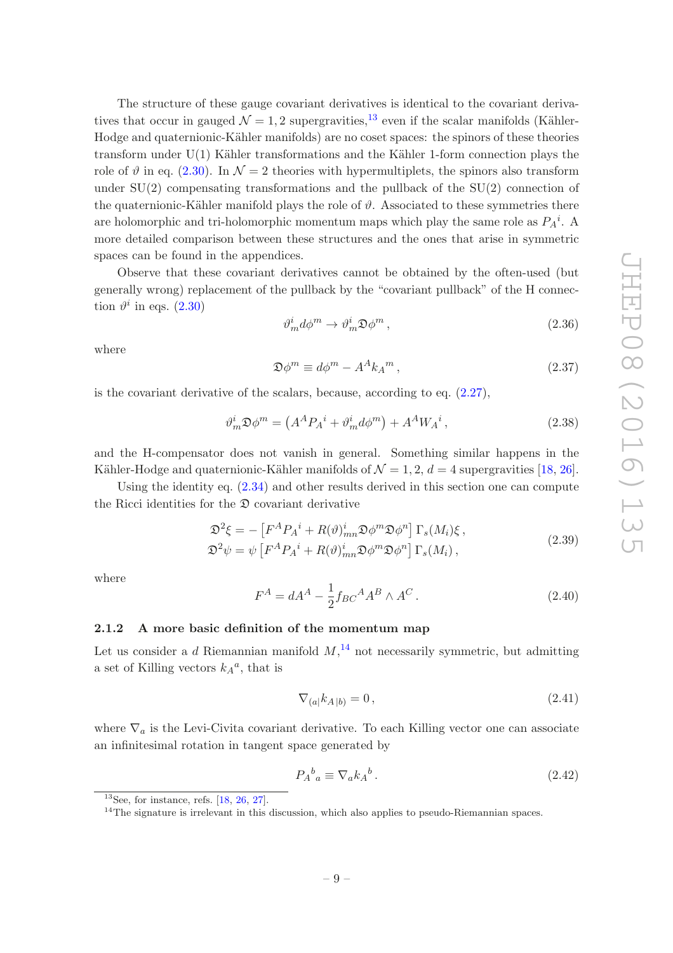The structure of these gauge covariant derivatives is identical to the covariant derivatives that occur in gauged  $\mathcal{N} = 1, 2$  supergravities,<sup>[13](#page-10-1)</sup> even if the scalar manifolds (Kähler-Hodge and quaternionic-Kähler manifolds) are no coset spaces: the spinors of these theories transform under  $U(1)$  Kähler transformations and the Kähler 1-form connection plays the role of  $\vartheta$  in eq. [\(2.30\)](#page-9-4). In  $\mathcal{N} = 2$  theories with hypermultiplets, the spinors also transform under  $SU(2)$  compensating transformations and the pullback of the  $SU(2)$  connection of the quaternionic-Kähler manifold plays the role of  $\vartheta$ . Associated to these symmetries there are holomorphic and tri-holomorphic momentum maps which play the same role as  $P_A{}^i$ . A more detailed comparison between these structures and the ones that arise in symmetric spaces can be found in the appendices.

Observe that these covariant derivatives cannot be obtained by the often-used (but generally wrong) replacement of the pullback by the "covariant pullback" of the H connection  $\vartheta^i$  in eqs. [\(2.30\)](#page-9-4)

$$
\vartheta_m^i d\phi^m \to \vartheta_m^i \mathfrak{D}\phi^m \,, \tag{2.36}
$$

where

$$
\mathfrak{D}\phi^m \equiv d\phi^m - A^A k_A{}^m \,,\tag{2.37}
$$

is the covariant derivative of the scalars, because, according to eq.  $(2.27)$ ,

$$
\vartheta_m^i \mathfrak{D} \phi^m = \left( A^A P_A{}^i + \vartheta_m^i d\phi^m \right) + A^A W_A{}^i \,, \tag{2.38}
$$

and the H-compensator does not vanish in general. Something similar happens in the Kähler-Hodge and quaternionic-Kähler manifolds of  $\mathcal{N} = 1, 2, d = 4$  supergravities [\[18](#page-51-1), [26\]](#page-51-7).

Using the identity eq. [\(2.34\)](#page-9-5) and other results derived in this section one can compute the Ricci identities for the  $\mathfrak D$  covariant derivative

$$
\mathfrak{D}^2 \xi = -\left[F^A P_A{}^i + R(\vartheta)_{mn}^i \mathfrak{D} \phi^m \mathfrak{D} \phi^n\right] \Gamma_s(M_i) \xi ,
$$
  

$$
\mathfrak{D}^2 \psi = \psi \left[F^A P_A{}^i + R(\vartheta)_{mn}^i \mathfrak{D} \phi^m \mathfrak{D} \phi^n\right] \Gamma_s(M_i) ,
$$
 (2.39)

where

$$
F^A = dA^A - \frac{1}{2} f_{BC}{}^A A^B \wedge A^C.
$$
 (2.40)

# <span id="page-10-0"></span>2.1.2 A more basic definition of the momentum map

Let us consider a *d* Riemannian manifold  $M$ , <sup>[14](#page-10-2)</sup> not necessarily symmetric, but admitting a set of Killing vectors  $k_A^a$ , that is

$$
\nabla_{(a|k_{A|b})} = 0, \qquad (2.41)
$$

where  $\nabla_a$  is the Levi-Civita covariant derivative. To each Killing vector one can associate an infinitesimal rotation in tangent space generated by

$$
P_A{}^b{}_a \equiv \nabla_a k_A{}^b. \tag{2.42}
$$

 $13$ See, for instance, refs. [\[18,](#page-51-1) [26,](#page-51-7) [27\]](#page-51-8).

<span id="page-10-2"></span><span id="page-10-1"></span><sup>&</sup>lt;sup>14</sup>The signature is irrelevant in this discussion, which also applies to pseudo-Riemannian spaces.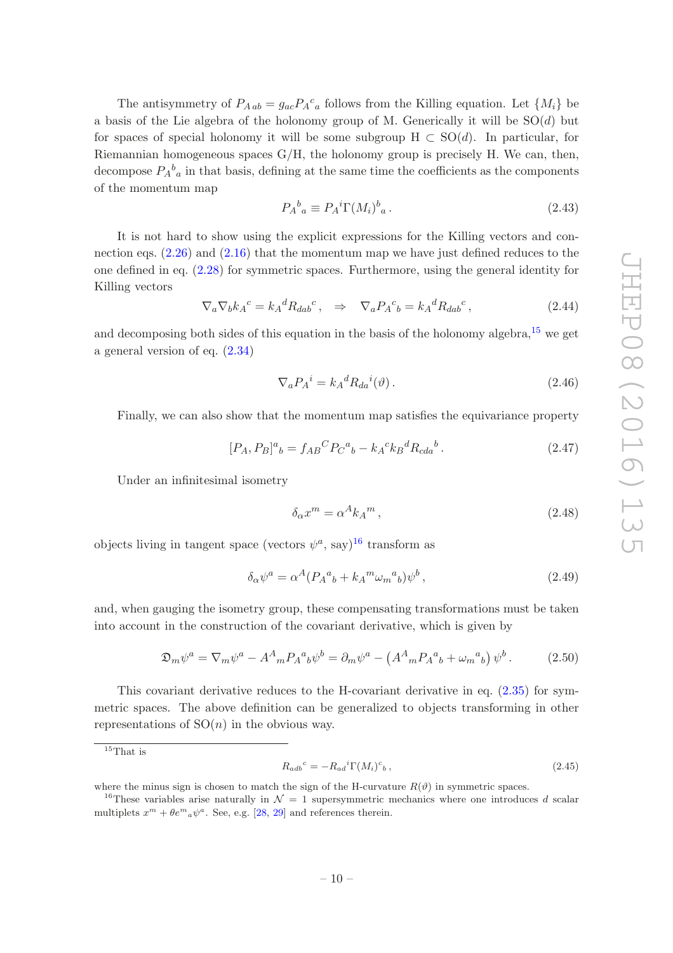The antisymmetry of  $P_{A ab} = g_{ac} P_A^c{}_a$  follows from the Killing equation. Let  $\{M_i\}$  be a basis of the Lie algebra of the holonomy group of M. Generically it will be  $SO(d)$  but for spaces of special holonomy it will be some subgroup  $H \subset SO(d)$ . In particular, for Riemannian homogeneous spaces G/H, the holonomy group is precisely H. We can, then, decompose  $P_A{}^b{}_a$  in that basis, defining at the same time the coefficients as the components of the momentum map

$$
P_A{}^b{}_a \equiv P_A{}^i \Gamma(M_i){}^b{}_a \,. \tag{2.43}
$$

It is not hard to show using the explicit expressions for the Killing vectors and connection eqs.  $(2.26)$  and  $(2.16)$  that the momentum map we have just defined reduces to the one defined in eq. [\(2.28\)](#page-8-5) for symmetric spaces. Furthermore, using the general identity for Killing vectors

$$
\nabla_a \nabla_b k_A{}^c = k_A{}^d R_{dab}{}^c \,, \quad \Rightarrow \quad \nabla_a P_A{}^c{}_b = k_A{}^d R_{dab}{}^c \,, \tag{2.44}
$$

and decomposing both sides of this equation in the basis of the holonomy algebra,  $15$  we get a general version of eq. [\(2.34\)](#page-9-5)

<span id="page-11-2"></span>
$$
\nabla_a P_A{}^i = k_A{}^d R_{da}{}^i(\vartheta) \,. \tag{2.46}
$$

Finally, we can also show that the momentum map satisfies the equivariance property

$$
[P_A, P_B]^a{}_b = f_{AB}{}^C P_C{}^a{}_b - k_A{}^c k_B{}^d R_{cda}{}^b. \tag{2.47}
$$

Under an infinitesimal isometry

$$
\delta_{\alpha} x^m = \alpha^A k_A{}^m \,, \tag{2.48}
$$

objects living in tangent space (vectors  $\psi^a$ , say)<sup>[16](#page-11-1)</sup> transform as

$$
\delta_{\alpha}\psi^{a} = \alpha^{A}(P_{A}{}^{a}{}_{b} + k_{A}{}^{m}\omega_{m}{}^{a}{}_{b})\psi^{b},\tag{2.49}
$$

and, when gauging the isometry group, these compensating transformations must be taken into account in the construction of the covariant derivative, which is given by

$$
\mathfrak{D}_m \psi^a = \nabla_m \psi^a - A^A{}_m P_A{}^a{}_b \psi^b = \partial_m \psi^a - \left( A^A{}_m P_A{}^a{}_b + \omega_m{}^a{}_b \right) \psi^b. \tag{2.50}
$$

This covariant derivative reduces to the H-covariant derivative in eq. [\(2.35\)](#page-9-6) for symmetric spaces. The above definition can be generalized to objects transforming in other representations of  $SO(n)$  in the obvious way.

$$
R_{adb}{}^{c} = -R_{ad}{}^{i}\Gamma(M_i)^{c}{}_b, \qquad (2.45)
$$

where the minus sign is chosen to match the sign of the H-curvature  $R(\vartheta)$  in symmetric spaces.

<span id="page-11-0"></span> $15$ That is

<span id="page-11-1"></span><sup>&</sup>lt;sup>16</sup>These variables arise naturally in  $\mathcal{N} = 1$  supersymmetric mechanics where one introduces d scalar multiplets  $x^m + \theta e^m{}_a \psi^a$ . See, e.g. [\[28,](#page-51-9) [29\]](#page-51-10) and references therein.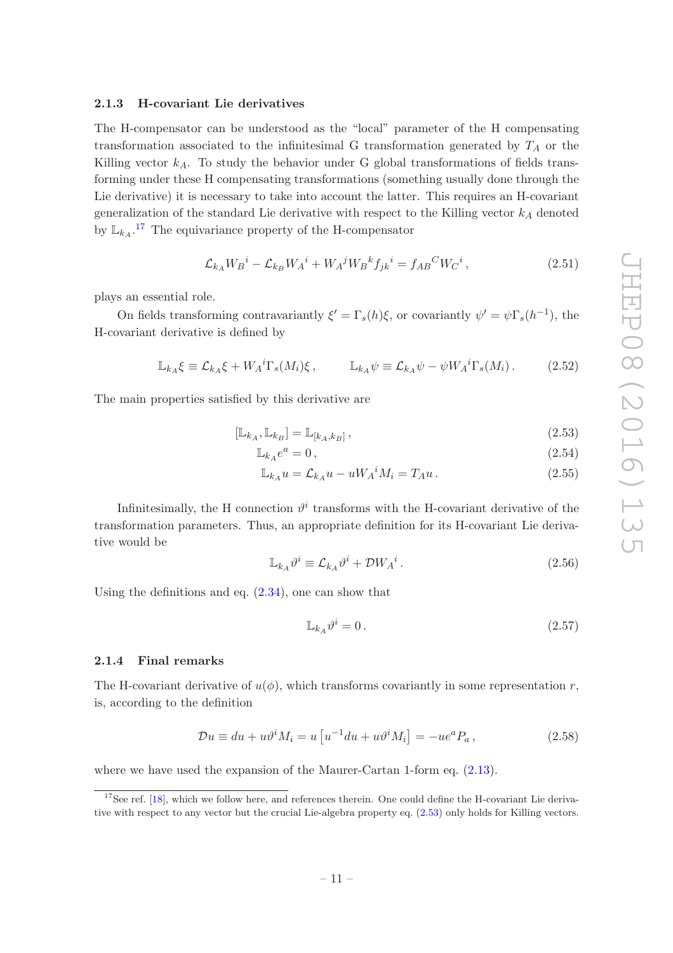## <span id="page-12-0"></span>2.1.3 H-covariant Lie derivatives

The H-compensator can be understood as the "local" parameter of the H compensating transformation associated to the infinitesimal G transformation generated by  $T_A$  or the Killing vector  $k_A$ . To study the behavior under G global transformations of fields transforming under these H compensating transformations (something usually done through the Lie derivative) it is necessary to take into account the latter. This requires an H-covariant generalization of the standard Lie derivative with respect to the Killing vector  $k_A$  denoted by  $\mathbb{L}_{k_A}$ .<sup>[17](#page-12-2)</sup> The equivariance property of the H-compensator

<span id="page-12-5"></span>
$$
\mathcal{L}_{k_A} W_B{}^i - \mathcal{L}_{k_B} W_A{}^i + W_A{}^j W_B{}^k f_{jk}{}^i = f_{AB}{}^C W_C{}^i ,\tag{2.51}
$$

plays an essential role.

On fields transforming contravariantly  $\xi' = \Gamma_s(h)\xi$ , or covariantly  $\psi' = \psi \Gamma_s(h^{-1})$ , the H-covariant derivative is defined by

$$
\mathbb{L}_{k_A} \xi \equiv \mathcal{L}_{k_A} \xi + W_A{}^i \Gamma_s(M_i) \xi \,, \qquad \mathbb{L}_{k_A} \psi \equiv \mathcal{L}_{k_A} \psi - \psi W_A{}^i \Gamma_s(M_i) \,. \tag{2.52}
$$

The main properties satisfied by this derivative are

$$
\left[\mathbb{L}_{k_A}, \mathbb{L}_{k_B}\right] = \mathbb{L}_{\left[k_A, k_B\right]},\tag{2.53}
$$

$$
\mathbb{L}_{k_A} e^a = 0 \,, \tag{2.54}
$$

<span id="page-12-3"></span>
$$
\mathbb{L}_{k_A} u = \mathcal{L}_{k_A} u - u W_A^i M_i = T_A u. \qquad (2.55)
$$

Infinitesimally, the H connection  $\vartheta^i$  transforms with the H-covariant derivative of the transformation parameters. Thus, an appropriate definition for its H-covariant Lie derivative would be

$$
\mathbb{L}_{k_A} \vartheta^i \equiv \mathcal{L}_{k_A} \vartheta^i + \mathcal{D} W_A{}^i. \tag{2.56}
$$

Using the definitions and eq. [\(2.34\)](#page-9-5), one can show that

$$
\mathbb{L}_{k_A} \vartheta^i = 0. \tag{2.57}
$$

## <span id="page-12-1"></span>2.1.4 Final remarks

The H-covariant derivative of  $u(\phi)$ , which transforms covariantly in some representation r, is, according to the definition

<span id="page-12-4"></span>
$$
\mathcal{D}u \equiv du + u\vartheta^i M_i = u \left[ u^{-1} du + u\vartheta^i M_i \right] = -u e^a P_a , \qquad (2.58)
$$

where we have used the expansion of the Maurer-Cartan 1-form eq.  $(2.13)$ .

<span id="page-12-2"></span> $17$ See ref. [\[18\]](#page-51-1), which we follow here, and references therein. One could define the H-covariant Lie derivative with respect to any vector but the crucial Lie-algebra property eq. [\(2.53\)](#page-12-3) only holds for Killing vectors.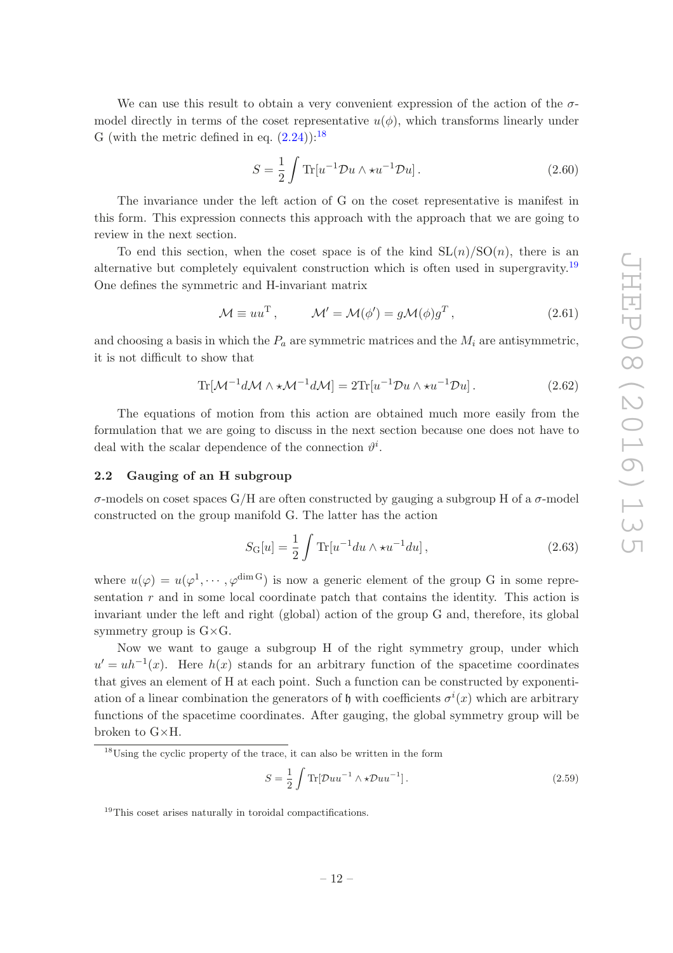We can use this result to obtain a very convenient expression of the action of the  $\sigma$ model directly in terms of the coset representative  $u(\phi)$ , which transforms linearly under G (with the metric defined in eq.  $(2.24)$ ):<sup>[18](#page-13-1)</sup>

<span id="page-13-4"></span>
$$
S = \frac{1}{2} \int \text{Tr}[u^{-1} \mathcal{D}u \wedge \star u^{-1} \mathcal{D}u]. \qquad (2.60)
$$

The invariance under the left action of G on the coset representative is manifest in this form. This expression connects this approach with the approach that we are going to review in the next section.

To end this section, when the coset space is of the kind  $SL(n)/SO(n)$ , there is an alternative but completely equivalent construction which is often used in supergravity.<sup>[19](#page-13-2)</sup> One defines the symmetric and H-invariant matrix

<span id="page-13-5"></span>
$$
\mathcal{M} \equiv uu^{\mathrm{T}}, \qquad \mathcal{M}' = \mathcal{M}(\phi') = g\mathcal{M}(\phi)g^{\mathrm{T}}, \qquad (2.61)
$$

and choosing a basis in which the  $P_a$  are symmetric matrices and the  $M_i$  are antisymmetric, it is not difficult to show that

$$
\text{Tr}[\mathcal{M}^{-1}d\mathcal{M}\wedge\star\mathcal{M}^{-1}d\mathcal{M}] = 2\text{Tr}[u^{-1}\mathcal{D}u\wedge\star u^{-1}\mathcal{D}u].\tag{2.62}
$$

The equations of motion from this action are obtained much more easily from the formulation that we are going to discuss in the next section because one does not have to deal with the scalar dependence of the connection  $\vartheta^i$ .

# <span id="page-13-0"></span>2.2 Gauging of an H subgroup

σ-models on coset spaces G/H are often constructed by gauging a subgroup H of a σ-model constructed on the group manifold G. The latter has the action

<span id="page-13-3"></span>
$$
S_{\rm G}[u] = \frac{1}{2} \int \text{Tr}[u^{-1} du \wedge \star u^{-1} du], \qquad (2.63)
$$

where  $u(\varphi) = u(\varphi^1, \dots, \varphi^{\dim G})$  is now a generic element of the group G in some representation r and in some local coordinate patch that contains the identity. This action is invariant under the left and right (global) action of the group G and, therefore, its global symmetry group is  $G\times G$ .

Now we want to gauge a subgroup H of the right symmetry group, under which  $u' = uh^{-1}(x)$ . Here  $h(x)$  stands for an arbitrary function of the spacetime coordinates that gives an element of H at each point. Such a function can be constructed by exponentiation of a linear combination the generators of h with coefficients  $\sigma^{i}(x)$  which are arbitrary functions of the spacetime coordinates. After gauging, the global symmetry group will be broken to G×H.

<span id="page-13-6"></span>
$$
S = \frac{1}{2} \int \text{Tr}[\mathcal{D}uu^{-1} \wedge \star \mathcal{D}uu^{-1}]. \tag{2.59}
$$

<span id="page-13-1"></span><sup>&</sup>lt;sup>18</sup>Using the cyclic property of the trace, it can also be written in the form

<span id="page-13-2"></span><sup>&</sup>lt;sup>19</sup>This coset arises naturally in toroidal compactifications.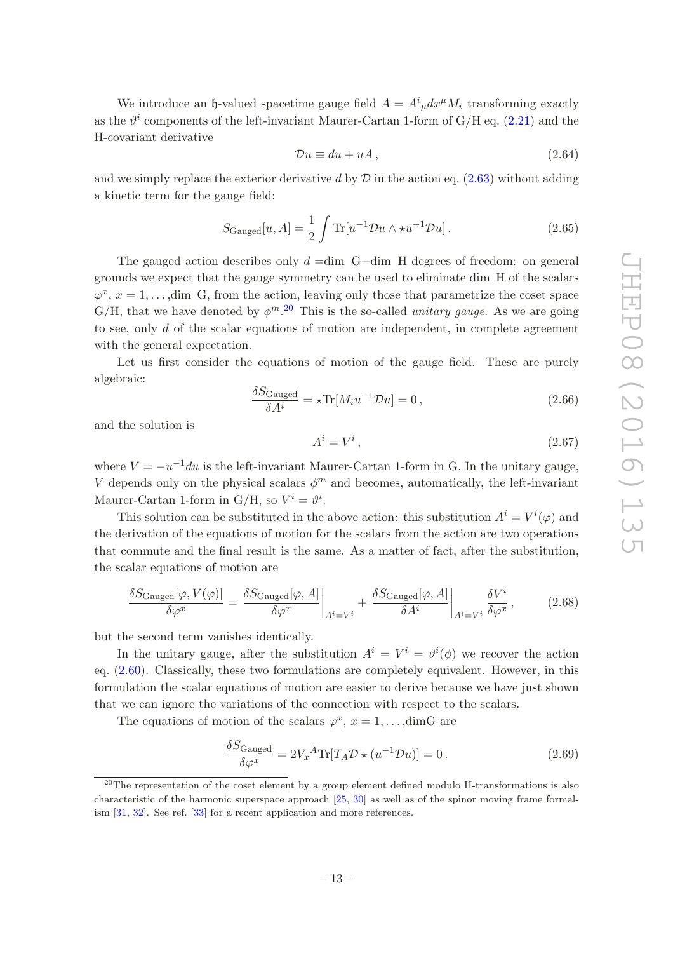We introduce an h-valued spacetime gauge field  $A = A^i_{\mu} dx^{\mu} M_i$  transforming exactly as the  $\vartheta^i$  components of the left-invariant Maurer-Cartan 1-form of G/H eq. [\(2.21\)](#page-7-3) and the H-covariant derivative

$$
\mathcal{D}u \equiv du + uA, \qquad (2.64)
$$

and we simply replace the exterior derivative d by  $\mathcal D$  in the action eq. [\(2.63\)](#page-13-3) without adding a kinetic term for the gauge field:

<span id="page-14-1"></span>
$$
S_{\text{Gauged}}[u, A] = \frac{1}{2} \int \text{Tr}[u^{-1} \mathcal{D}u \wedge \star u^{-1} \mathcal{D}u]. \qquad (2.65)
$$

The gauged action describes only  $d = \dim G - \dim H$  degrees of freedom: on general grounds we expect that the gauge symmetry can be used to eliminate dim H of the scalars  $\varphi^x$ ,  $x = 1, \ldots$ , dim G, from the action, leaving only those that parametrize the coset space  $G/H$ , that we have denoted by  $\phi^{m}$ .<sup>[20](#page-14-0)</sup> This is the so-called *unitary gauge*. As we are going to see, only  $d$  of the scalar equations of motion are independent, in complete agreement with the general expectation.

Let us first consider the equations of motion of the gauge field. These are purely algebraic:

$$
\frac{\delta S_{\text{Gauged}}}{\delta A^i} = \star \text{Tr}[M_i u^{-1} \mathcal{D} u] = 0, \qquad (2.66)
$$

and the solution is

$$
A^i = V^i, \tag{2.67}
$$

where  $V = -u^{-1}du$  is the left-invariant Maurer-Cartan 1-form in G. In the unitary gauge, V depends only on the physical scalars  $\phi^m$  and becomes, automatically, the left-invariant Maurer-Cartan 1-form in  $G/H$ , so  $V^i = \vartheta^i$ .

This solution can be substituted in the above action: this substitution  $A^i = V^i(\varphi)$  and the derivation of the equations of motion for the scalars from the action are two operations that commute and the final result is the same. As a matter of fact, after the substitution, the scalar equations of motion are

$$
\frac{\delta S_{\text{Gauged}}[\varphi, V(\varphi)]}{\delta \varphi^x} = \frac{\delta S_{\text{Gauged}}[\varphi, A]}{\delta \varphi^x} \bigg|_{A^i = V^i} + \frac{\delta S_{\text{Gauged}}[\varphi, A]}{\delta A^i} \bigg|_{A^i = V^i} \frac{\delta V^i}{\delta \varphi^x},\tag{2.68}
$$

but the second term vanishes identically.

In the unitary gauge, after the substitution  $A^i = V^i = \vartheta^i(\phi)$  we recover the action eq. [\(2.60\)](#page-13-4). Classically, these two formulations are completely equivalent. However, in this formulation the scalar equations of motion are easier to derive because we have just shown that we can ignore the variations of the connection with respect to the scalars.

The equations of motion of the scalars  $\varphi^x$ ,  $x = 1, \dots, \text{dim}\mathbf{G}$  are

$$
\frac{\delta S_{\text{Gauged}}}{\delta \varphi^x} = 2V_x{}^A \text{Tr}[T_A \mathcal{D} \star (u^{-1} \mathcal{D} u)] = 0. \qquad (2.69)
$$

<span id="page-14-0"></span> $^{20}$ The representation of the coset element by a group element defined modulo H-transformations is also characteristic of the harmonic superspace approach [\[25](#page-51-6), [30](#page-51-11)] as well as of the spinor moving frame formalism [\[31](#page-51-12), [32\]](#page-51-13). See ref. [\[33](#page-51-14)] for a recent application and more references.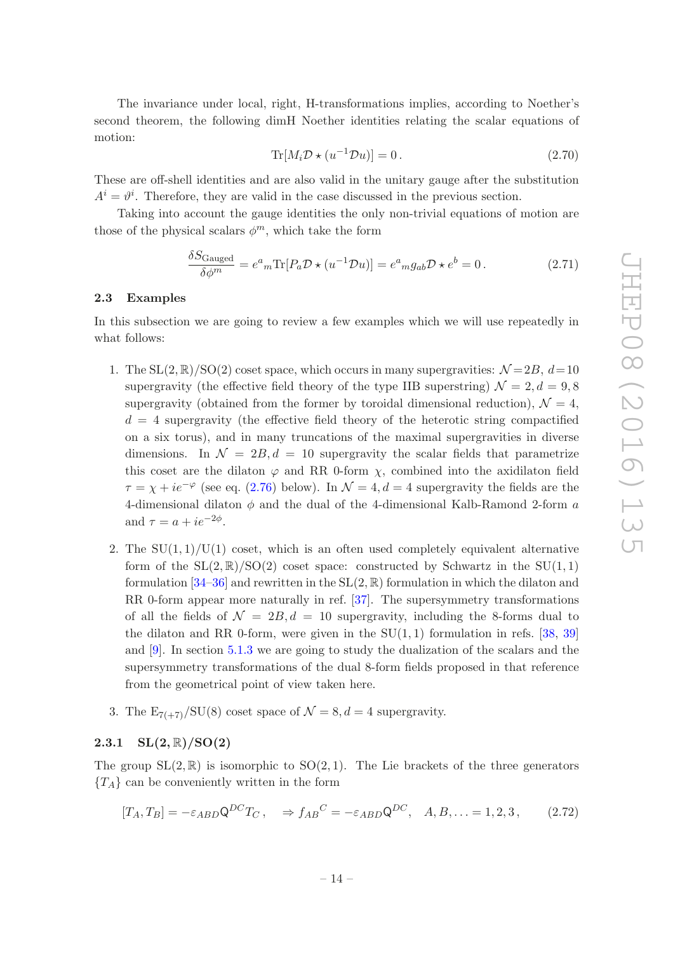The invariance under local, right, H-transformations implies, according to Noether's second theorem, the following dimH Noether identities relating the scalar equations of motion:

<span id="page-15-3"></span>
$$
\text{Tr}[M_i \mathcal{D} \star (u^{-1} \mathcal{D}u)] = 0. \tag{2.70}
$$

These are off-shell identities and are also valid in the unitary gauge after the substitution  $A^i = \vartheta^i$ . Therefore, they are valid in the case discussed in the previous section.

Taking into account the gauge identities the only non-trivial equations of motion are those of the physical scalars  $\phi^m$ , which take the form

<span id="page-15-2"></span>
$$
\frac{\delta S_{\text{Gauged}}}{\delta \phi^m} = e^a{}_m \text{Tr} [P_a \mathcal{D} \star (u^{-1} \mathcal{D} u)] = e^a{}_m g_{ab} \mathcal{D} \star e^b = 0. \tag{2.71}
$$

#### <span id="page-15-0"></span>2.3 Examples

In this subsection we are going to review a few examples which we will use repeatedly in what follows:

- 1. The  $SL(2,\mathbb{R})/SO(2)$  coset space, which occurs in many supergravities:  $\mathcal{N}=2B, d=10$ supergravity (the effective field theory of the type IIB superstring)  $\mathcal{N} = 2, d = 9, 8$ supergravity (obtained from the former by toroidal dimensional reduction),  $\mathcal{N} = 4$ ,  $d = 4$  supergravity (the effective field theory of the heterotic string compactified on a six torus), and in many truncations of the maximal supergravities in diverse dimensions. In  $\mathcal{N} = 2B, d = 10$  supergravity the scalar fields that parametrize this coset are the dilaton  $\varphi$  and RR 0-form  $\chi$ , combined into the axidilaton field  $\tau = \chi + ie^{-\varphi}$  (see eq. [\(2.76\)](#page-16-0) below). In  $\mathcal{N} = 4, d = 4$  supergravity the fields are the 4-dimensional dilaton  $\phi$  and the dual of the 4-dimensional Kalb-Ramond 2-form a and  $\tau = a + ie^{-2\phi}$ .
- 2. The  $SU(1,1)/U(1)$  coset, which is an often used completely equivalent alternative form of the  $SL(2,\mathbb{R})/SO(2)$  coset space: constructed by Schwartz in the  $SU(1,1)$ formulation  $[34-36]$  and rewritten in the  $SL(2,\mathbb{R})$  formulation in which the dilaton and RR 0-form appear more naturally in ref. [\[37](#page-52-0)]. The supersymmetry transformations of all the fields of  $\mathcal{N} = 2B, d = 10$  supergravity, including the 8-forms dual to the dilaton and RR 0-form, were given in the  $SU(1,1)$  formulation in refs. [\[38,](#page-52-1) [39\]](#page-52-2) and [\[9](#page-50-6)]. In section [5.1.3](#page-41-0) we are going to study the dualization of the scalars and the supersymmetry transformations of the dual 8-form fields proposed in that reference from the geometrical point of view taken here.
- 3. The  $E_{7(+7)}/SU(8)$  coset space of  $\mathcal{N}=8, d=4$  supergravity.

# <span id="page-15-1"></span>2.3.1  $SL(2, \mathbb{R})/SO(2)$

The group  $SL(2,\mathbb{R})$  is isomorphic to  $SO(2,1)$ . The Lie brackets of the three generators  ${T_A}$  can be conveniently written in the form

$$
[T_A, T_B] = -\varepsilon_{ABD} \mathsf{Q}^{DC} T_C, \quad \Rightarrow f_{AB}{}^C = -\varepsilon_{ABD} \mathsf{Q}^{DC}, \quad A, B, \dots = 1, 2, 3, \tag{2.72}
$$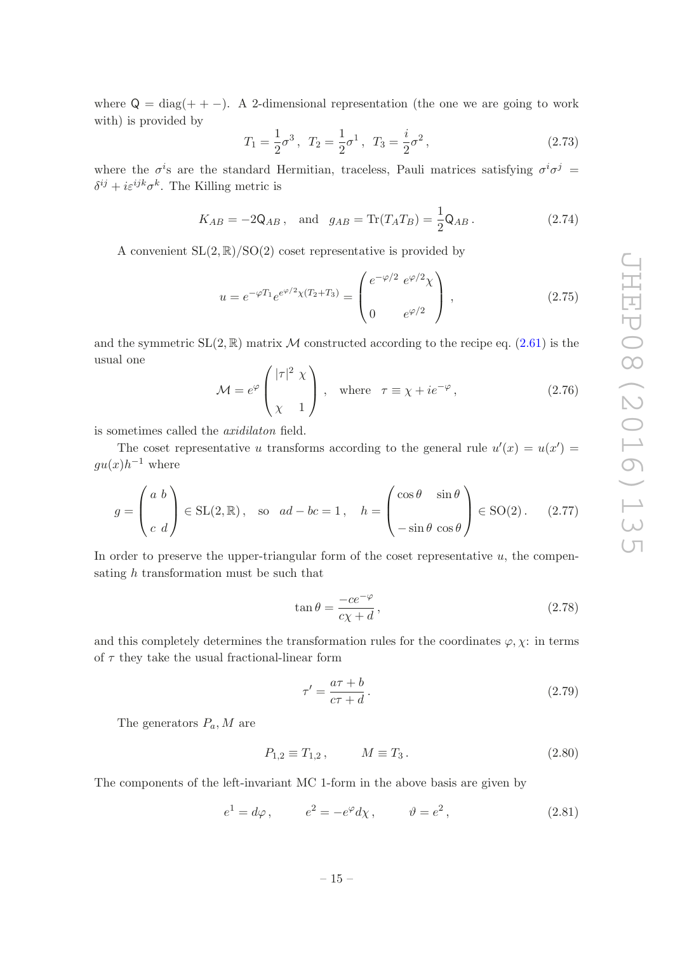where  $Q = \text{diag}(++-)$ . A 2-dimensional representation (the one we are going to work with) is provided by

<span id="page-16-1"></span>
$$
T_1 = \frac{1}{2}\sigma^3 \,, \ T_2 = \frac{1}{2}\sigma^1 \,, \ T_3 = \frac{i}{2}\sigma^2 \,, \tag{2.73}
$$

where the  $\sigma^i$ s are the standard Hermitian, traceless, Pauli matrices satisfying  $\sigma^i \sigma^j =$  $\delta^{ij} + i \varepsilon^{ijk} \sigma^k$ . The Killing metric is

$$
K_{AB} = -2Q_{AB}
$$
, and  $g_{AB} = \text{Tr}(T_A T_B) = \frac{1}{2}Q_{AB}$ . (2.74)

A convenient  $SL(2,\mathbb{R})/SO(2)$  coset representative is provided by

$$
u = e^{-\varphi T_1} e^{e^{\varphi/2} \chi (T_2 + T_3)} = \begin{pmatrix} e^{-\varphi/2} & e^{\varphi/2} \chi \\ 0 & e^{\varphi/2} \end{pmatrix},
$$
 (2.75)

and the symmetric  $SL(2,\mathbb{R})$  matrix M constructed according to the recipe eq.  $(2.61)$  is the usual one

<span id="page-16-0"></span>
$$
\mathcal{M} = e^{\varphi} \begin{pmatrix} |\tau|^2 \chi \\ \chi & 1 \end{pmatrix}, \text{ where } \tau \equiv \chi + ie^{-\varphi}, \qquad (2.76)
$$

is sometimes called the axidilaton field.

The coset representative u transforms according to the general rule  $u'(x) = u(x') =$  $gu(x)h^{-1}$  where

$$
g = \begin{pmatrix} a & b \\ c & d \end{pmatrix} \in SL(2, \mathbb{R}), \text{ so } ad - bc = 1, \quad h = \begin{pmatrix} \cos \theta & \sin \theta \\ -\sin \theta & \cos \theta \end{pmatrix} \in SO(2). \quad (2.77)
$$

In order to preserve the upper-triangular form of the coset representative  $u$ , the compensating h transformation must be such that

$$
\tan \theta = \frac{-ce^{-\varphi}}{c\chi + d},\tag{2.78}
$$

and this completely determines the transformation rules for the coordinates  $\varphi, \chi$ : in terms of  $\tau$  they take the usual fractional-linear form

$$
\tau' = \frac{a\tau + b}{c\tau + d}.\tag{2.79}
$$

The generators  $P_a, M$  are

$$
P_{1,2} \equiv T_{1,2} \,, \qquad M \equiv T_3 \,. \tag{2.80}
$$

The components of the left-invariant MC 1-form in the above basis are given by

$$
e1 = d\varphi, \qquad e2 = -e\varphi d\chi, \qquad \vartheta = e2, \qquad (2.81)
$$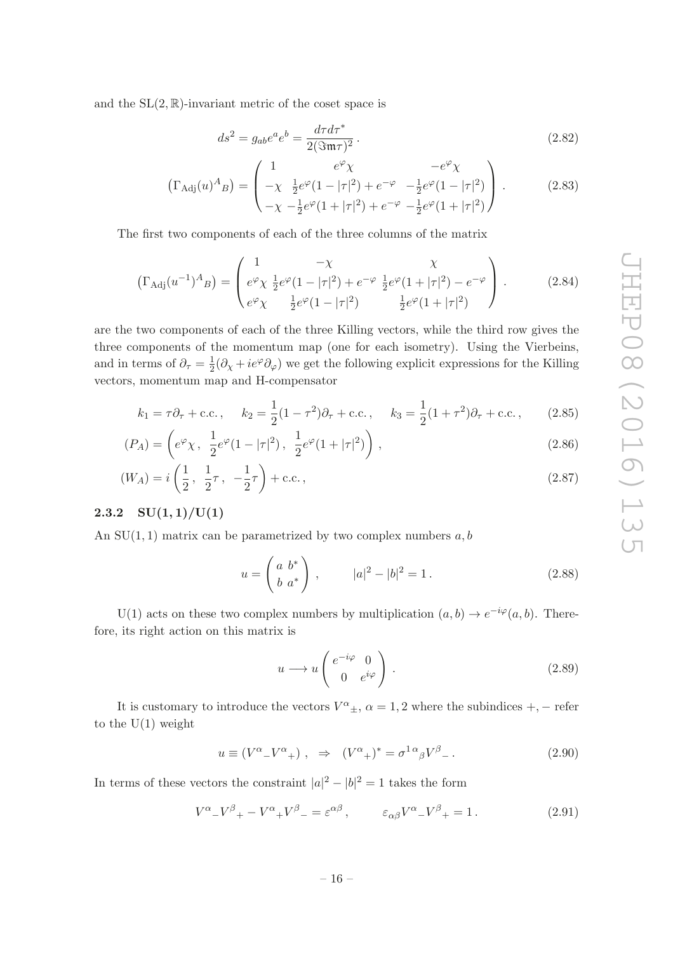and the  $SL(2,\mathbb{R})$ -invariant metric of the coset space is

<span id="page-17-2"></span><span id="page-17-1"></span>
$$
ds^{2} = g_{ab}e^{a}e^{b} = \frac{d\tau d\tau^{*}}{2(\Im \mathfrak{m}\tau)^{2}}.
$$
\n(2.82)

$$
\left(\Gamma_{\text{Adj}}(u)^{A}{}_{B}\right) = \begin{pmatrix} 1 & e^{\varphi}\chi & -e^{\varphi}\chi\\ -\chi & \frac{1}{2}e^{\varphi}(1-|\tau|^{2}) + e^{-\varphi} & -\frac{1}{2}e^{\varphi}(1-|\tau|^{2})\\ -\chi & -\frac{1}{2}e^{\varphi}(1+|\tau|^{2}) + e^{-\varphi} & -\frac{1}{2}e^{\varphi}(1+|\tau|^{2}) \end{pmatrix}.
$$
 (2.83)

The first two components of each of the three columns of the matrix

$$
\left(\Gamma_{\text{Adj}}(u^{-1})^A{}_B\right) = \begin{pmatrix} 1 & -\chi & \chi \\ e^{\varphi}\chi & \frac{1}{2}e^{\varphi}(1-|\tau|^2) + e^{-\varphi} & \frac{1}{2}e^{\varphi}(1+|\tau|^2) - e^{-\varphi} \\ e^{\varphi}\chi & \frac{1}{2}e^{\varphi}(1-|\tau|^2) & \frac{1}{2}e^{\varphi}(1+|\tau|^2) \end{pmatrix} . \tag{2.84}
$$

are the two components of each of the three Killing vectors, while the third row gives the three components of the momentum map (one for each isometry). Using the Vierbeins, and in terms of  $\partial_{\tau} = \frac{1}{2}$  $\frac{1}{2}(\partial_{\chi} + ie^{\varphi}\partial_{\varphi})$  we get the following explicit expressions for the Killing vectors, momentum map and H-compensator

$$
k_1 = \tau \partial_\tau + c.c.
$$
,  $k_2 = \frac{1}{2}(1 - \tau^2)\partial_\tau + c.c.$ ,  $k_3 = \frac{1}{2}(1 + \tau^2)\partial_\tau + c.c.$ , (2.85)

$$
(P_A) = \left(e^{\varphi}\chi \, , \, \frac{1}{2}e^{\varphi}(1-|\tau|^2) \, , \, \frac{1}{2}e^{\varphi}(1+|\tau|^2) \right) \,, \tag{2.86}
$$

$$
(W_A) = i\left(\frac{1}{2}, \frac{1}{2}\tau, -\frac{1}{2}\tau\right) + \text{c.c.},\tag{2.87}
$$

# <span id="page-17-0"></span>2.3.2  $SU(1,1)/U(1)$

An  $SU(1, 1)$  matrix can be parametrized by two complex numbers  $a, b$ 

$$
u = \begin{pmatrix} a & b^* \\ b & a^* \end{pmatrix}, \qquad |a|^2 - |b|^2 = 1.
$$
 (2.88)

U(1) acts on these two complex numbers by multiplication  $(a, b) \to e^{-i\varphi}(a, b)$ . Therefore, its right action on this matrix is

$$
u \longrightarrow u \begin{pmatrix} e^{-i\varphi} & 0\\ 0 & e^{i\varphi} \end{pmatrix} . \tag{2.89}
$$

It is customary to introduce the vectors  $V^{\alpha}{}_{\pm}$ ,  $\alpha = 1, 2$  where the subindices  $+$ , – refer to the  $U(1)$  weight

$$
u \equiv (V^{\alpha} - V^{\alpha} + ), \Rightarrow (V^{\alpha} + )^* = \sigma^{1 \alpha}{}_{\beta} V^{\beta} - . \tag{2.90}
$$

In terms of these vectors the constraint  $|a|^2 - |b|^2 = 1$  takes the form

$$
V^{\alpha}{}_{-}V^{\beta}{}_{+}-V^{\alpha}{}_{+}V^{\beta}{}_{-}=\varepsilon^{\alpha\beta}\,,\qquad\varepsilon_{\alpha\beta}V^{\alpha}{}_{-}V^{\beta}{}_{+}=1\,.
$$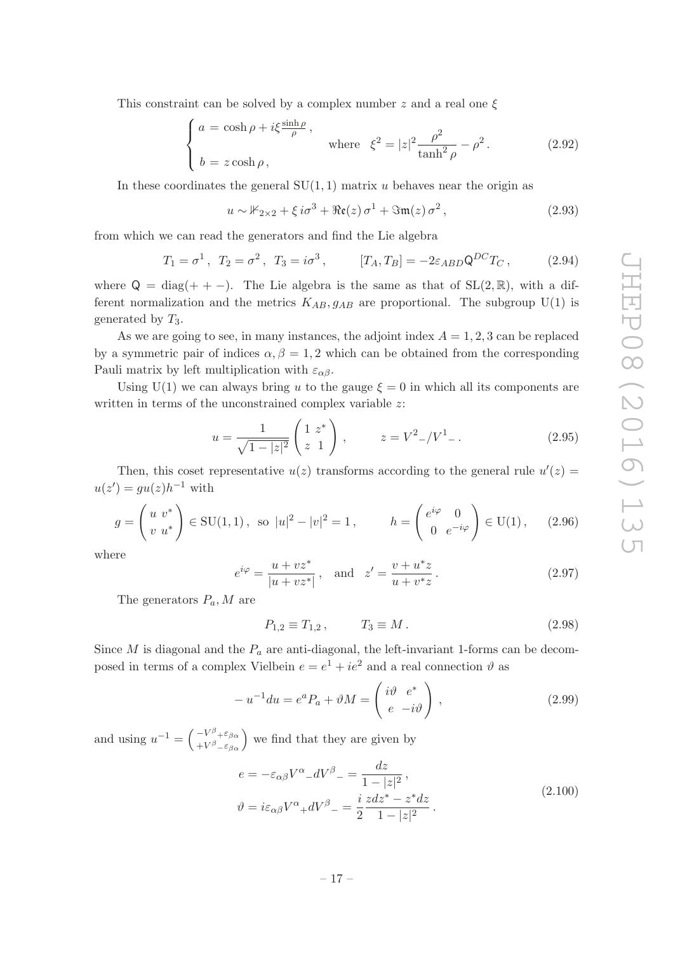This constraint can be solved by a complex number z and a real one  $\xi$ 

$$
\begin{cases}\na = \cosh \rho + i\xi \frac{\sinh \rho}{\rho}, & \text{where } \xi^2 = |z|^2 \frac{\rho^2}{\tanh^2 \rho} - \rho^2. & (2.92) \\
b = z \cosh \rho,\n\end{cases}
$$

In these coordinates the general  $SU(1, 1)$  matrix u behaves near the origin as

$$
u \sim \mathbb{1}_{2 \times 2} + \xi i \sigma^3 + \Re(\epsilon) \sigma^1 + \Im(\epsilon) \sigma^2 , \qquad (2.93)
$$

from which we can read the generators and find the Lie algebra

$$
T_1 = \sigma^1
$$
,  $T_2 = \sigma^2$ ,  $T_3 = i\sigma^3$ ,  $[T_A, T_B] = -2\varepsilon_{ABD} \mathsf{Q}^{DC} T_C$ , (2.94)

where  $Q = diag(++-)$ . The Lie algebra is the same as that of SL(2, R), with a different normalization and the metrics  $K_{AB}$ ,  $g_{AB}$  are proportional. The subgroup  $U(1)$  is generated by  $T_3$ .

As we are going to see, in many instances, the adjoint index  $A = 1, 2, 3$  can be replaced by a symmetric pair of indices  $\alpha, \beta = 1, 2$  which can be obtained from the corresponding Pauli matrix by left multiplication with  $\varepsilon_{\alpha\beta}$ .

Using U(1) we can always bring u to the gauge  $\xi = 0$  in which all its components are written in terms of the unconstrained complex variable  $z$ :

$$
u = \frac{1}{\sqrt{1 - |z|^2}} \begin{pmatrix} 1 & z^* \\ z & 1 \end{pmatrix}, \qquad z = V^2 / V^1. \tag{2.95}
$$

Then, this coset representative  $u(z)$  transforms according to the general rule  $u'(z) =$  $u(z') = gu(z)h^{-1}$  with

$$
g = \begin{pmatrix} u & v^* \\ v & u^* \end{pmatrix} \in \text{SU}(1, 1), \text{ so } |u|^2 - |v|^2 = 1, \qquad h = \begin{pmatrix} e^{i\varphi} & 0 \\ 0 & e^{-i\varphi} \end{pmatrix} \in \text{U}(1), \quad (2.96)
$$

where

$$
e^{i\varphi} = \frac{u + vz^*}{|u + vz^*|}
$$
, and  $z' = \frac{v + u^*z}{u + v^*z}$ . (2.97)

The generators  $P_a, M$  are

$$
P_{1,2} \equiv T_{1,2} \,, \qquad T_3 \equiv M \,. \tag{2.98}
$$

Since M is diagonal and the  $P_a$  are anti-diagonal, the left-invariant 1-forms can be decomposed in terms of a complex Vielbein  $e = e^1 + ie^2$  and a real connection  $\vartheta$  as

$$
-u^{-1}du = e^a P_a + \vartheta M = \begin{pmatrix} i\vartheta & e^* \\ e & -i\vartheta \end{pmatrix},
$$
\n(2.99)

and using  $u^{-1} = \begin{pmatrix} -V^{\beta} + \varepsilon_{\beta\alpha} \\ W^{\beta} - \varepsilon_{\beta\alpha} \end{pmatrix}$  $\begin{pmatrix} -V^{\beta} + \varepsilon_{\beta\alpha} \\ +V^{\beta} - \varepsilon_{\beta\alpha} \end{pmatrix}$  we find that they are given by

$$
e = -\varepsilon_{\alpha\beta}V^{\alpha}{}_{-}dV^{\beta}{}_{-} = \frac{dz}{1 - |z|^2},
$$
  

$$
\vartheta = i\varepsilon_{\alpha\beta}V^{\alpha}{}_{+}dV^{\beta}{}_{-} = \frac{i}{2}\frac{zdz^* - z^*dz}{1 - |z|^2}.
$$
 (2.100)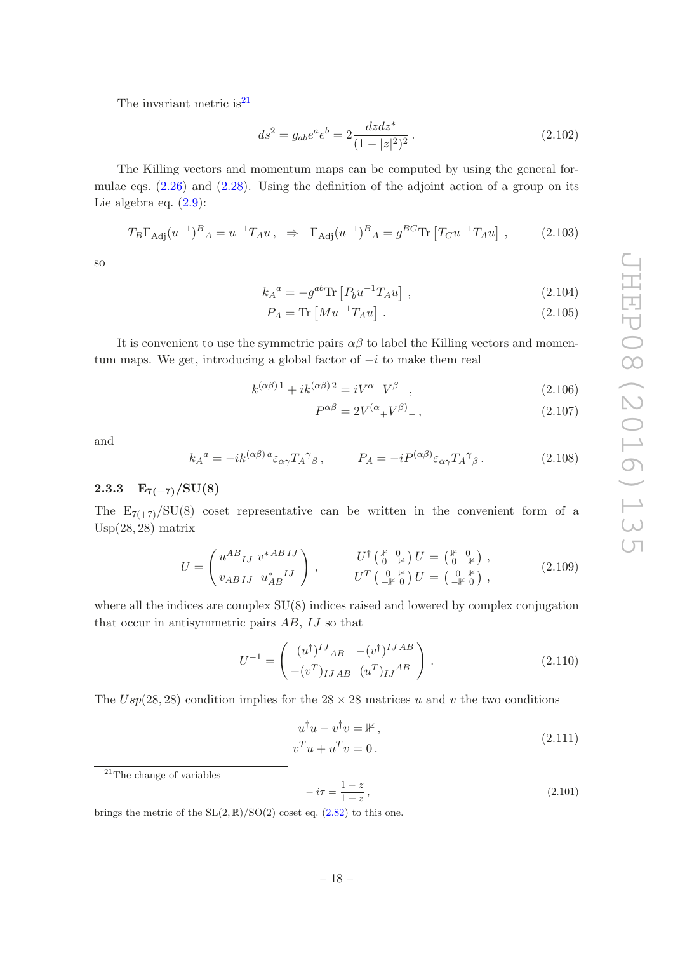The invariant metric is  $2^1$ 

$$
ds^{2} = g_{ab}e^{a}e^{b} = 2\frac{dzdz^{*}}{(1 - |z|^{2})^{2}}.
$$
\n(2.102)

The Killing vectors and momentum maps can be computed by using the general formulae eqs.  $(2.26)$  and  $(2.28)$ . Using the definition of the adjoint action of a group on its Lie algebra eq.  $(2.9)$ :

$$
T_B \Gamma_{\text{Adj}}(u^{-1})^B{}_A = u^{-1} T_A u \,, \quad \Rightarrow \quad \Gamma_{\text{Adj}}(u^{-1})^B{}_A = g^{BC} \text{Tr} \left[ T_C u^{-1} T_A u \right] \,, \tag{2.103}
$$

so

$$
k_A^a = -g^{ab} \text{Tr} \left[ P_b u^{-1} T_A u \right], \qquad (2.104)
$$

$$
P_A = \text{Tr}\left[Mu^{-1}T_Au\right].\tag{2.105}
$$

It is convenient to use the symmetric pairs  $\alpha\beta$  to label the Killing vectors and momentum maps. We get, introducing a global factor of  $-i$  to make them real

$$
k^{(\alpha\beta)1} + ik^{(\alpha\beta)2} = iV^{\alpha} - V^{\beta} - , \qquad (2.106)
$$

<span id="page-19-4"></span><span id="page-19-3"></span>
$$
P^{\alpha\beta} = 2V^{(\alpha}{}_{+}V^{\beta)}{}_{-} \,, \tag{2.107}
$$

and

$$
k_A{}^a = -ik^{(\alpha\beta)}{}^a \varepsilon_{\alpha\gamma} T_A{}^{\gamma}{}_{\beta} , \qquad P_A = -iP^{(\alpha\beta)}{} \varepsilon_{\alpha\gamma} T_A{}^{\gamma}{}_{\beta} . \tag{2.108}
$$

# <span id="page-19-0"></span>2.3.3  $E_{7(+7)}/SU(8)$

The  $E_{7(+7)}/SU(8)$  coset representative can be written in the convenient form of a  $Usp(28, 28)$  matrix

<span id="page-19-2"></span>
$$
U = \begin{pmatrix} u^{AB}{}_I J & v^{*AB}{}^{IJ} \\ v_{AB}{}_I J & u^{*}_{AB}{}^{IJ} \end{pmatrix}, \qquad \begin{array}{c} U^{\dagger} \begin{pmatrix} \mathbb{1} & 0 \\ 0 & -\mathbb{1} \end{pmatrix} U = \begin{pmatrix} \mathbb{1} & 0 \\ 0 & -\mathbb{1} \end{pmatrix}, \\ U^T \begin{pmatrix} 0 & \mathbb{1} \\ -\mathbb{1} & 0 \end{pmatrix} U = \begin{pmatrix} 0 & \mathbb{1} \\ -\mathbb{1} & 0 \end{pmatrix}, \end{array} \tag{2.109}
$$

where all the indices are complex SU(8) indices raised and lowered by complex conjugation that occur in antisymmetric pairs AB, IJ so that

$$
U^{-1} = \begin{pmatrix} (u^{\dagger})^{IJ}{}_{AB} & -(v^{\dagger})^{IJ}{}^{AB} \\ -(v^T)_{IJ}{}_{AB} & (u^T)_{IJ}{}^{AB} \end{pmatrix} . \tag{2.110}
$$

The  $Usp(28, 28)$  condition implies for the  $28 \times 28$  matrices u and v the two conditions

$$
u^{\dagger}u - v^{\dagger}v = \mathbb{1},
$$
  
\n
$$
v^{T}u + u^{T}v = 0.
$$
\n(2.111)

<span id="page-19-1"></span> $\overline{^{21}$ The change of variables

$$
-i\tau = \frac{1-z}{1+z},\tag{2.101}
$$

brings the metric of the  $SL(2,\mathbb{R})/SO(2)$  coset eq. [\(2.82\)](#page-17-1) to this one.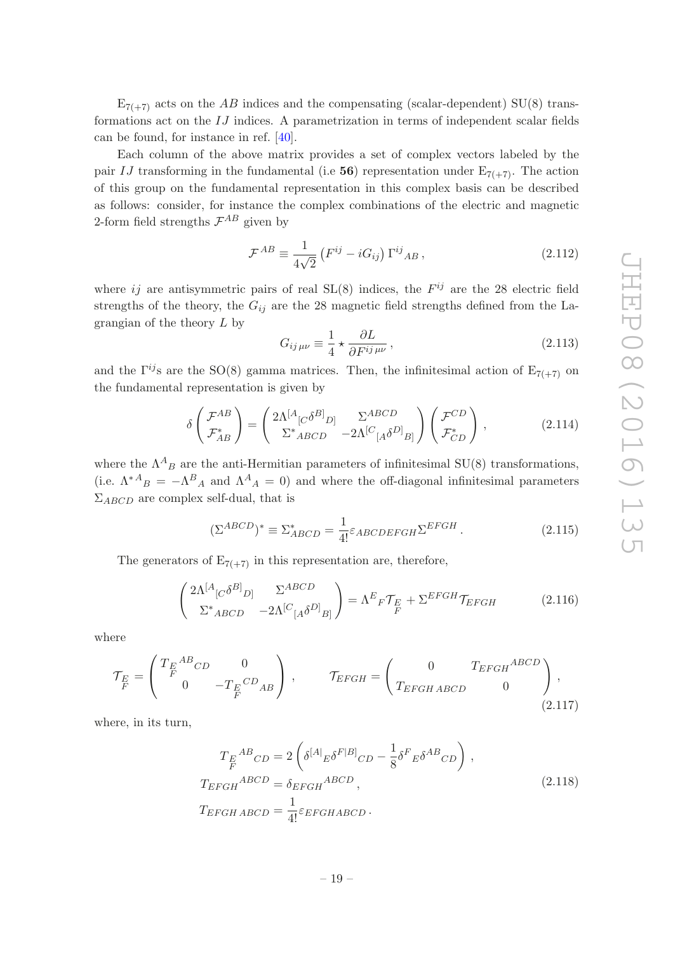$E_{7(+7)}$  acts on the AB indices and the compensating (scalar-dependent) SU(8) transformations act on the  $IJ$  indices. A parametrization in terms of independent scalar fields can be found, for instance in ref. [\[40\]](#page-52-3).

Each column of the above matrix provides a set of complex vectors labeled by the pair IJ transforming in the fundamental (i.e 56) representation under  $E_{7(+7)}$ . The action of this group on the fundamental representation in this complex basis can be described as follows: consider, for instance the complex combinations of the electric and magnetic 2-form field strengths  $\mathcal{F}^{AB}$  given by

$$
\mathcal{F}^{AB} \equiv \frac{1}{4\sqrt{2}} \left( F^{ij} - i G_{ij} \right) \Gamma^{ij}{}_{AB} , \qquad (2.112)
$$

where ij are antisymmetric pairs of real  $SL(8)$  indices, the  $F^{ij}$  are the 28 electric field strengths of the theory, the  $G_{ij}$  are the 28 magnetic field strengths defined from the Lagrangian of the theory  $L$  by

$$
G_{ij\,\mu\nu} \equiv \frac{1}{4} \star \frac{\partial L}{\partial F^{ij\,\mu\nu}},\tag{2.113}
$$

and the  $\Gamma^{ij}$ s are the SO(8) gamma matrices. Then, the infinitesimal action of  $E_{7(+7)}$  on the fundamental representation is given by

$$
\delta \begin{pmatrix} \mathcal{F}^{AB} \\ \mathcal{F}_{AB}^* \end{pmatrix} = \begin{pmatrix} 2\Lambda^{[A}_{[C}\delta^{B]}_{D]} & \Sigma^{ABCD} \\ \Sigma^*_{ABCD} & -2\Lambda^{[C}_{[A}\delta^{D]}_{B]} \end{pmatrix} \begin{pmatrix} \mathcal{F}^{CD} \\ \mathcal{F}_{CD}^* \end{pmatrix},
$$
(2.114)

where the  $\Lambda^{A}{}_{B}$  are the anti-Hermitian parameters of infinitesimal SU(8) transformations, (i.e.  $\Lambda^* A_B = -\Lambda^B{}_A$  and  $\Lambda^A{}_A = 0$ ) and where the off-diagonal infinitesimal parameters  $\Sigma_{ABCD}$  are complex self-dual, that is

$$
(\Sigma^{ABCD})^* \equiv \Sigma_{ABCD}^* = \frac{1}{4!} \varepsilon_{ABCDEFGH} \Sigma^{EFGH}.
$$
 (2.115)

The generators of  $E_{7(+7)}$  in this representation are, therefore,

$$
\begin{pmatrix} 2\Lambda^{[A}_{[C}\delta^{B]}_{D]} & \Sigma^{ABCD} \\ \Sigma^{*}_{ABCD} & -2\Lambda^{[C}_{[A}\delta^{D]}_{B]} \end{pmatrix} = \Lambda^{E}_{F}\mathcal{T}_{E}^{E} + \Sigma^{EFGH}\mathcal{T}_{EFGH}
$$
(2.116)

where

$$
\mathcal{T}_{E}^{E} = \begin{pmatrix} T_{E}^{AB}{}^{CD} & 0 \\ 0 & -T_{E}^{C}{}^{CD}{}_{AB} \end{pmatrix}, \qquad \mathcal{T}_{EFGH} = \begin{pmatrix} 0 & T_{EFGH}^{ABCD} \\ T_{EFGH\,ABCD} & 0 \end{pmatrix},
$$
\n(2.117)

where, in its turn,

$$
T_E^{AB}_{CD} = 2 \left( \delta^{[A]}_{E} \delta^{F|B]}_{CD} - \frac{1}{8} \delta^{F}_{E} \delta^{AB}_{CD} \right),
$$
  
\n
$$
T_{EFGH}^{ABCD} = \delta_{EFGH}^{ABCD},
$$
  
\n
$$
T_{EFGHABCD} = \frac{1}{4!} \varepsilon_{EFGHABCD}.
$$
\n(2.118)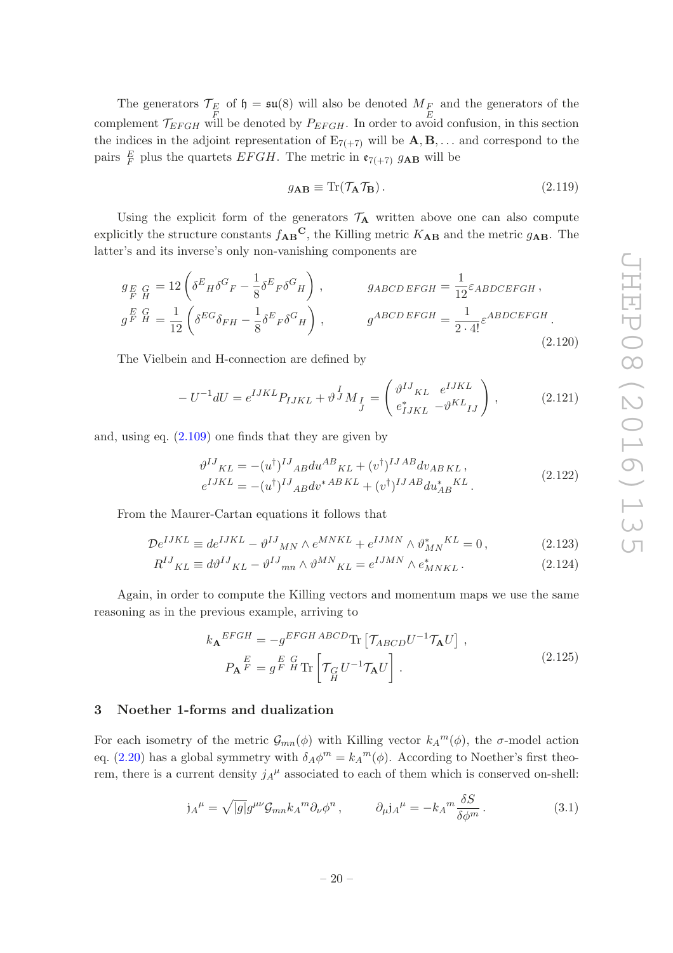The generators  $\mathcal{T}_E$  of  $\mathfrak{h} = \mathfrak{su}(8)$  will also be denoted  $M_F$  and the generators of the complement  $\mathcal{T}_{EFGH}$  will be denoted by  $P_{EFGH}$ . In order to avoid confusion, in this section the indices in the adjoint representation of  $E_{7(+7)}$  will be  $\mathbf{A}, \mathbf{B}, \dots$  and correspond to the pairs  $\frac{E}{F}$  plus the quartets  $EFGH$ . The metric in  $\mathfrak{e}_{7(+7)}$  g<sub>AB</sub> will be

$$
g_{\mathbf{AB}} \equiv \text{Tr}(\mathcal{T}_{\mathbf{A}} \mathcal{T}_{\mathbf{B}}). \tag{2.119}
$$

Using the explicit form of the generators  $\mathcal{T}_{A}$  written above one can also compute explicitly the structure constants  $f_{AB}^C$ , the Killing metric  $K_{AB}$  and the metric  $g_{AB}$ . The latter's and its inverse's only non-vanishing components are

$$
g_{E \ G \ F \ H} = 12 \left( \delta^{E}{}_{H} \delta^{G}{}_{F} - \frac{1}{8} \delta^{E}{}_{F} \delta^{G}{}_{H} \right) , \qquad g_{ABCDEFGH} = \frac{1}{12} \varepsilon_{ABDCEFGH} ,
$$
  
\n
$$
g_{F \ H} = \frac{1}{12} \left( \delta^{EG} \delta_{FH} - \frac{1}{8} \delta^{E}{}_{F} \delta^{G}{}_{H} \right) , \qquad g^{ABCDEFGH} = \frac{1}{2 \cdot 4!} \varepsilon^{ABDCEFGH} .
$$
\n(2.120)

The Vielbein and H-connection are defined by

$$
-U^{-1}dU = e^{IJKL}P_{IJKL} + \vartheta^{I}_{J}M_{I}_{J} = \begin{pmatrix} \vartheta^{IJ}{}_{KL} & e^{IJKL} \\ e^{*}_{IJKL} & -\vartheta^{KL}{}_{IJ} \end{pmatrix}, \qquad (2.121)
$$

and, using eq. [\(2.109\)](#page-19-2) one finds that they are given by

$$
\vartheta^{IJ}{}_{KL} = -(u^{\dagger})^{IJ}{}_{AB} du^{AB}{}_{KL} + (v^{\dagger})^{IJ}{}^{AB} dv_{ABKL} ,\ne^{IJKL} = -(u^{\dagger})^{IJ}{}_{AB} dv^{*ABKL} + (v^{\dagger})^{IJ}{}^{AB} du^{*}_{AB}{}^{KL} .
$$
\n(2.122)

From the Maurer-Cartan equations it follows that

$$
\mathcal{D}e^{IJKL} \equiv de^{IJKL} - \vartheta^{IJ}{}_{MN} \wedge e^{MNKL} + e^{IJMN} \wedge \vartheta^{*}_{MN}{}^{KL} = 0, \qquad (2.123)
$$

$$
R^{IJ}{}_{KL} \equiv d\vartheta^{IJ}{}_{KL} - \vartheta^{IJ}{}_{mn} \wedge \vartheta^{MN}{}_{KL} = e^{IJMN} \wedge e^*_{MNKL} \,. \tag{2.124}
$$

Again, in order to compute the Killing vectors and momentum maps we use the same reasoning as in the previous example, arriving to

$$
k_{\mathbf{A}}^{EFGH} = -g^{EFGH\ ABCD} \text{Tr} \left[ \mathcal{T}_{ABCD} U^{-1} \mathcal{T}_{\mathbf{A}} U \right],
$$
  
\n
$$
P_{\mathbf{A}}^{E} = g^{E}_{F}^{G} \text{Tr} \left[ \mathcal{T}_{G}^{U^{-1}} \mathcal{T}_{\mathbf{A}} U \right].
$$
\n(2.125)

## <span id="page-21-1"></span><span id="page-21-0"></span>3 Noether 1-forms and dualization

For each isometry of the metric  $\mathcal{G}_{mn}(\phi)$  with Killing vector  $k_A^m(\phi)$ , the  $\sigma$ -model action eq. [\(2.20\)](#page-7-7) has a global symmetry with  $\delta_A \phi^m = k_A{}^m(\phi)$ . According to Noether's first theorem, there is a current density  $j_A^{\mu}$  associated to each of them which is conserved on-shell:

$$
j_A^{\mu} = \sqrt{|g|} g^{\mu\nu} \mathcal{G}_{mn} k_A^m \partial_{\nu} \phi^n, \qquad \partial_{\mu} j_A^{\mu} = -k_A^m \frac{\delta S}{\delta \phi^m}.
$$
 (3.1)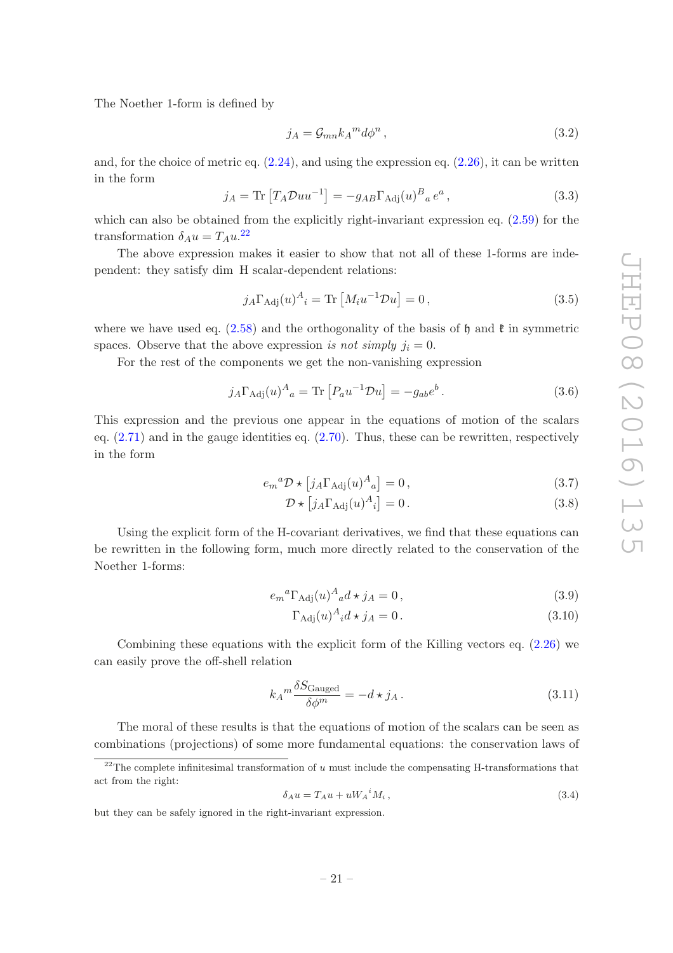The Noether 1-form is defined by

$$
j_A = \mathcal{G}_{mn} k_A^m d\phi^n \,,\tag{3.2}
$$

and, for the choice of metric eq.  $(2.24)$ , and using the expression eq.  $(2.26)$ , it can be written in the form

$$
j_A = \text{Tr}\left[T_A \mathcal{D}uu^{-1}\right] = -g_{AB}\Gamma_{\text{Adj}}(u)^B{}_a e^a\,,\tag{3.3}
$$

which can also be obtained from the explicitly right-invariant expression eq.  $(2.59)$  for the transformation  $\delta_A u = T_A u^{22}$  $\delta_A u = T_A u^{22}$  $\delta_A u = T_A u^{22}$ 

The above expression makes it easier to show that not all of these 1-forms are independent: they satisfy dim H scalar-dependent relations:

<span id="page-22-2"></span>
$$
j_A \Gamma_{\text{Adj}}(u)^A{}_i = \text{Tr}\left[M_i u^{-1} \mathcal{D}u\right] = 0\,,\tag{3.5}
$$

where we have used eq.  $(2.58)$  and the orthogonality of the basis of h and  $\ell$  in symmetric spaces. Observe that the above expression is not simply  $j_i = 0$ .

For the rest of the components we get the non-vanishing expression

<span id="page-22-1"></span>
$$
j_A \Gamma_{\text{Adj}}(u)^A{}_a = \text{Tr}\left[P_a u^{-1} \mathcal{D}u\right] = -g_{ab} e^b. \tag{3.6}
$$

This expression and the previous one appear in the equations of motion of the scalars eq.  $(2.71)$  and in the gauge identities eq.  $(2.70)$ . Thus, these can be rewritten, respectively in the form

$$
e_m{}^a \mathcal{D} \star \left[ j_A \Gamma_{\text{Adj}}(u)^A{}_a \right] = 0, \tag{3.7}
$$

$$
\mathcal{D} \star [j_A \Gamma_{\text{Adj}}(u)^A{}_i] = 0. \tag{3.8}
$$

Using the explicit form of the H-covariant derivatives, we find that these equations can be rewritten in the following form, much more directly related to the conservation of the Noether 1-forms:

$$
e_m{}^a \Gamma_{\text{Adj}}(u) A_a d \star j_A = 0, \qquad (3.9)
$$

$$
\Gamma_{\text{Adj}}(u)^A{}_i d \star j_A = 0. \tag{3.10}
$$

Combining these equations with the explicit form of the Killing vectors eq. [\(2.26\)](#page-8-4) we can easily prove the off-shell relation

<span id="page-22-3"></span>
$$
k_A{}^m \frac{\delta S_{\text{Gauged}}}{\delta \phi^m} = -d \star j_A \,. \tag{3.11}
$$

The moral of these results is that the equations of motion of the scalars can be seen as combinations (projections) of some more fundamental equations: the conservation laws of

$$
\delta_A u = T_A u + u W_A{}^i M_i \,, \tag{3.4}
$$

<span id="page-22-0"></span> $22$ The complete infinitesimal transformation of u must include the compensating H-transformations that act from the right:

but they can be safely ignored in the right-invariant expression.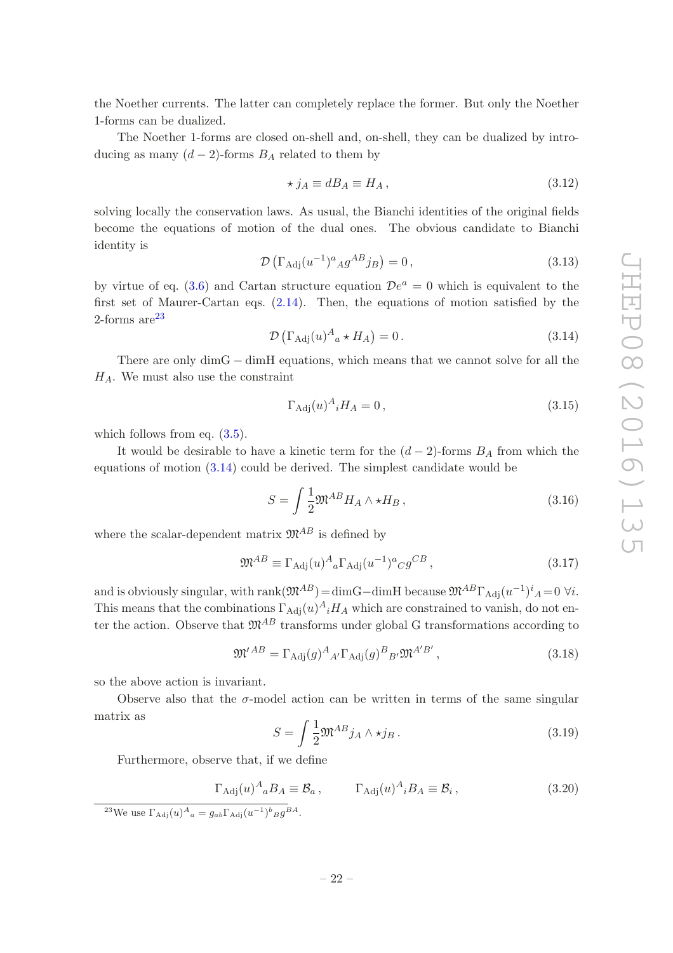the Noether currents. The latter can completely replace the former. But only the Noether 1-forms can be dualized.

The Noether 1-forms are closed on-shell and, on-shell, they can be dualized by introducing as many  $(d-2)$ -forms  $B<sub>A</sub>$  related to them by

<span id="page-23-3"></span>
$$
\star j_A \equiv dB_A \equiv H_A, \tag{3.12}
$$

solving locally the conservation laws. As usual, the Bianchi identities of the original fields become the equations of motion of the dual ones. The obvious candidate to Bianchi identity is

$$
\mathcal{D}\left(\Gamma_{\text{Adj}}(u^{-1})^a{}_A g^{AB}j_B\right) = 0\,,\tag{3.13}
$$

by virtue of eq. [\(3.6\)](#page-22-1) and Cartan structure equation  $\mathcal{D}e^a = 0$  which is equivalent to the first set of Maurer-Cartan eqs. [\(2.14\)](#page-7-8). Then, the equations of motion satisfied by the 2-forms  $are^{23}$  $are^{23}$  $are^{23}$ 

<span id="page-23-1"></span>
$$
\mathcal{D}\left(\Gamma_{\text{Adj}}(u)^{A}{}_{a} \star H_{A}\right) = 0\,. \tag{3.14}
$$

There are only dimG − dimH equations, which means that we cannot solve for all the  $H_A$ . We must also use the constraint

<span id="page-23-2"></span>
$$
\Gamma_{\text{Adj}}(u)^A{}_i H_A = 0 \,, \tag{3.15}
$$

which follows from eq.  $(3.5)$ .

It would be desirable to have a kinetic term for the  $(d-2)$ -forms  $B<sub>A</sub>$  from which the equations of motion [\(3.14\)](#page-23-1) could be derived. The simplest candidate would be

<span id="page-23-4"></span>
$$
S = \int \frac{1}{2} \mathfrak{M}^{AB} H_A \wedge \star H_B , \qquad (3.16)
$$

where the scalar-dependent matrix  $\mathfrak{M}^{AB}$  is defined by

<span id="page-23-5"></span>
$$
\mathfrak{M}^{AB} \equiv \Gamma_{\text{Adj}}(u)^A{}_a \Gamma_{\text{Adj}}(u^{-1})^a{}_C g^{CB} \,, \tag{3.17}
$$

and is obviously singular, with rank $(\mathfrak{M}^{AB}) = \dim G - \dim H$  because  $\mathfrak{M}^{AB} \Gamma_{\text{Adj}}(u^{-1})^i{}_A = 0 \forall i$ . This means that the combinations  $\Gamma_{\text{Adj}}(u)_{i}^{A}H_{A}$  which are constrained to vanish, do not enter the action. Observe that  $\mathfrak{M}^{AB}$  transforms under global G transformations according to

$$
\mathfrak{M}^{\prime AB} = \Gamma_{\text{Adj}}(g)^{A}{}_{A'} \Gamma_{\text{Adj}}(g)^{B}{}_{B'} \mathfrak{M}^{A'B'} , \qquad (3.18)
$$

so the above action is invariant.

Observe also that the  $\sigma$ -model action can be written in terms of the same singular matrix as

<span id="page-23-6"></span>
$$
S = \int \frac{1}{2} \mathfrak{M}^{AB} j_A \wedge \star j_B \,. \tag{3.19}
$$

Furthermore, observe that, if we define

$$
\Gamma_{\text{Adj}}(u)^{A}{}_{a}B_{A} \equiv \mathcal{B}_{a} , \qquad \Gamma_{\text{Adj}}(u)^{A}{}_{i}B_{A} \equiv \mathcal{B}_{i} , \qquad (3.20)
$$

<span id="page-23-0"></span><sup>&</sup>lt;sup>23</sup>We use  $\Gamma_{\text{Adj}}(u)^A{}_a = g_{ab} \Gamma_{\text{Adj}}(u^{-1})^b{}_B g^{BA}.$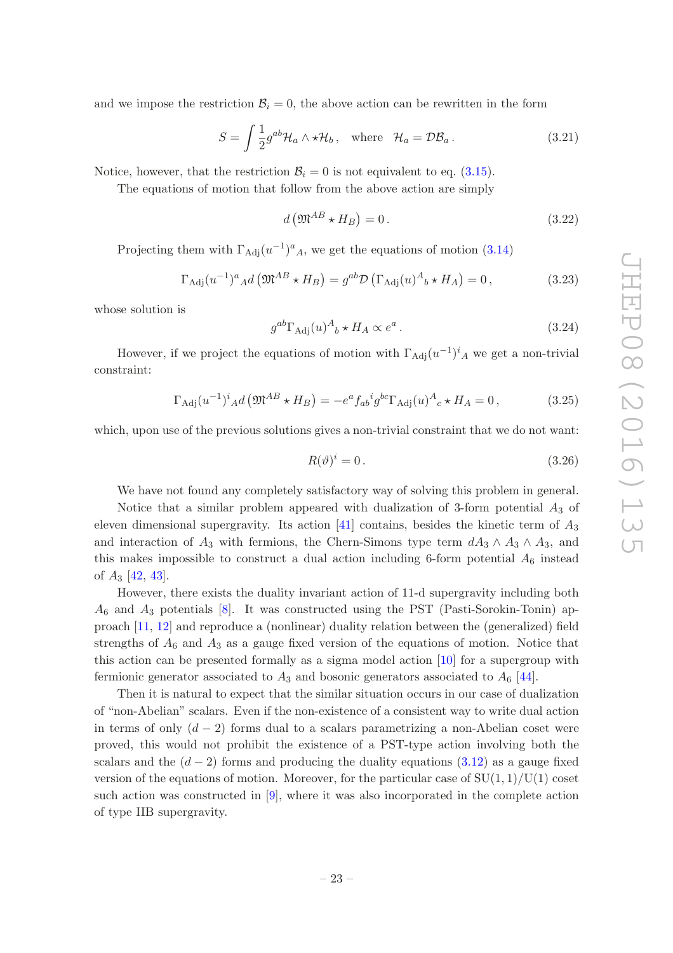and we impose the restriction  $B_i = 0$ , the above action can be rewritten in the form

$$
S = \int \frac{1}{2} g^{ab} \mathcal{H}_a \wedge \star \mathcal{H}_b, \quad \text{where} \quad \mathcal{H}_a = \mathcal{D} \mathcal{B}_a. \tag{3.21}
$$

Notice, however, that the restriction  $B<sub>i</sub> = 0$  is not equivalent to eq. [\(3.15\)](#page-23-2).

The equations of motion that follow from the above action are simply

$$
d\left(\mathfrak{M}^{AB} \star H_B\right) = 0. \tag{3.22}
$$

Projecting them with  $\Gamma_{\text{Adj}}(u^{-1})^a{}_A$ , we get the equations of motion [\(3.14\)](#page-23-1)

$$
\Gamma_{\text{Adj}}(u^{-1})^a{}_A d\left(\mathfrak{M}^{AB} \star H_B\right) = g^{ab} \mathcal{D}\left(\Gamma_{\text{Adj}}(u)^A{}_b \star H_A\right) = 0\,,\tag{3.23}
$$

whose solution is

$$
g^{ab}\Gamma_{\text{Adj}}(u)^{A}{}_{b} \star H_{A} \propto e^{a} \,. \tag{3.24}
$$

However, if we project the equations of motion with  $\Gamma_{\text{Adj}}(u^{-1})^i{}_A$  we get a non-trivial constraint:

$$
\Gamma_{\text{Adj}}(u^{-1})^i{}_A d\left(\mathfrak{M}^{AB} \star H_B\right) = -e^a f_{ab}^i g^{bc} \Gamma_{\text{Adj}}(u)^A{}_c \star H_A = 0\,,\tag{3.25}
$$

which, upon use of the previous solutions gives a non-trivial constraint that we do not want:

$$
R(\vartheta)^i = 0. \tag{3.26}
$$

We have not found any completely satisfactory way of solving this problem in general.

Notice that a similar problem appeared with dualization of 3-form potential  $A_3$  of eleven dimensional supergravity. Its action  $[41]$  contains, besides the kinetic term of  $A_3$ and interaction of  $A_3$  with fermions, the Chern-Simons type term  $dA_3 \wedge A_3 \wedge A_3$ , and this makes impossible to construct a dual action including 6-form potential  $A_6$  instead of  $A_3$  [\[42](#page-52-5), [43\]](#page-52-6).

However, there exists the duality invariant action of 11-d supergravity including both  $A_6$  and  $A_3$  potentials [\[8\]](#page-50-5). It was constructed using the PST (Pasti-Sorokin-Tonin) approach [\[11](#page-50-7), [12](#page-50-8)] and reproduce a (nonlinear) duality relation between the (generalized) field strengths of  $A_6$  and  $A_3$  as a gauge fixed version of the equations of motion. Notice that this action can be presented formally as a sigma model action [\[10](#page-50-13)] for a supergroup with fermionic generator associated to  $A_3$  and bosonic generators associated to  $A_6$  [\[44](#page-52-7)].

Then it is natural to expect that the similar situation occurs in our case of dualization of "non-Abelian" scalars. Even if the non-existence of a consistent way to write dual action in terms of only  $(d-2)$  forms dual to a scalars parametrizing a non-Abelian coset were proved, this would not prohibit the existence of a PST-type action involving both the scalars and the  $(d-2)$  forms and producing the duality equations [\(3.12\)](#page-23-3) as a gauge fixed version of the equations of motion. Moreover, for the particular case of  $SU(1,1)/U(1)$  coset such action was constructed in [\[9](#page-50-6)], where it was also incorporated in the complete action of type IIB supergravity.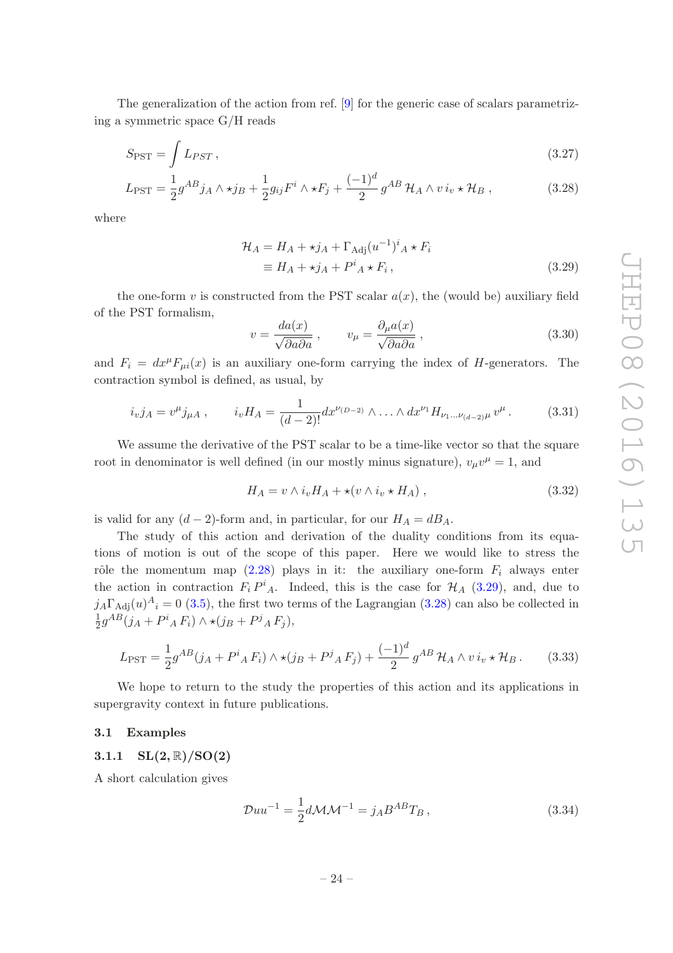The generalization of the action from ref. [\[9\]](#page-50-6) for the generic case of scalars parametrizing a symmetric space G/H reads

$$
S_{\rm PST} = \int L_{PST} \,, \tag{3.27}
$$

$$
L_{\text{PST}} = \frac{1}{2} g^{AB} j_A \wedge \star j_B + \frac{1}{2} g_{ij} F^i \wedge \star F_j + \frac{(-1)^d}{2} g^{AB} \mathcal{H}_A \wedge v i_v \star \mathcal{H}_B ,
$$
 (3.28)

where

<span id="page-25-3"></span>
$$
\mathcal{H}_A = H_A + \star j_A + \Gamma_{\text{Adj}} (u^{-1})^i{}_A \star F_i
$$
  
\n
$$
\equiv H_A + \star j_A + P^i{}_A \star F_i , \qquad (3.29)
$$

the one-form v is constructed from the PST scalar  $a(x)$ , the (would be) auxiliary field of the PST formalism,

<span id="page-25-2"></span>
$$
v = \frac{da(x)}{\sqrt{\partial a \partial a}}, \qquad v_{\mu} = \frac{\partial_{\mu} a(x)}{\sqrt{\partial a \partial a}}, \qquad (3.30)
$$

and  $F_i = dx^{\mu}F_{\mu i}(x)$  is an auxiliary one-form carrying the index of H-generators. The contraction symbol is defined, as usual, by

$$
i_{\nu}j_A = \nu^{\mu}j_{\mu A} , \qquad i_{\nu}H_A = \frac{1}{(d-2)!} dx^{\nu_{(D-2)}} \wedge \ldots \wedge dx^{\nu_1} H_{\nu_1 \ldots \nu_{(d-2)}\mu} v^{\mu} . \tag{3.31}
$$

We assume the derivative of the PST scalar to be a time-like vector so that the square root in denominator is well defined (in our mostly minus signature),  $v_{\mu}v^{\mu} = 1$ , and

$$
H_A = v \wedge i_v H_A + \star (v \wedge i_v \star H_A) , \qquad (3.32)
$$

is valid for any  $(d-2)$ -form and, in particular, for our  $H_A = dB_A$ .

The study of this action and derivation of the duality conditions from its equations of motion is out of the scope of this paper. Here we would like to stress the rôle the momentum map  $(2.28)$  plays in it: the auxiliary one-form  $F_i$  always enter the action in contraction  $F_i P^i{}_A$ . Indeed, this is the case for  $\mathcal{H}_A$  [\(3.29\)](#page-25-2), and, due to  $j_A \Gamma_{\text{Adj}}(u)_{i}^A = 0$  [\(3.5\)](#page-22-2), the first two terms of the Lagrangian [\(3.28\)](#page-25-3) can also be collected in 1  $\frac{1}{2}g^{AB}(j_A + P^i{}_A F_i) \wedge \star (j_B + P^j{}_A F_j),$ 

$$
L_{\text{PST}} = \frac{1}{2} g^{AB} (j_A + P^i{}_A F_i) \wedge \star (j_B + P^j{}_A F_j) + \frac{(-1)^d}{2} g^{AB} \mathcal{H}_A \wedge v i_v \star \mathcal{H}_B. \tag{3.33}
$$

We hope to return to the study the properties of this action and its applications in supergravity context in future publications.

## <span id="page-25-1"></span><span id="page-25-0"></span>3.1 Examples

# 3.1.1  $SL(2, \mathbb{R})/SO(2)$

A short calculation gives

$$
\mathcal{D}uu^{-1} = \frac{1}{2}d\mathcal{M}\mathcal{M}^{-1} = j_A B^{AB} T_B , \qquad (3.34)
$$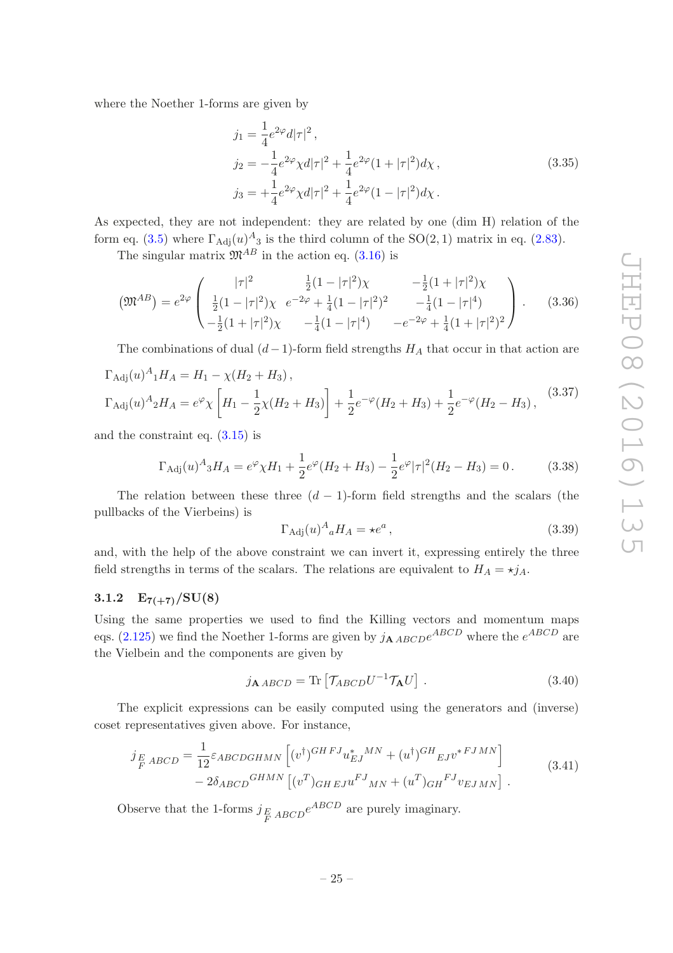where the Noether 1-forms are given by

$$
j_1 = \frac{1}{4}e^{2\varphi}d|\tau|^2,
$$
  
\n
$$
j_2 = -\frac{1}{4}e^{2\varphi}\chi d|\tau|^2 + \frac{1}{4}e^{2\varphi}(1+|\tau|^2)d\chi,
$$
  
\n
$$
j_3 = +\frac{1}{4}e^{2\varphi}\chi d|\tau|^2 + \frac{1}{4}e^{2\varphi}(1-|\tau|^2)d\chi.
$$
\n(3.35)

As expected, they are not independent: they are related by one (dim H) relation of the form eq. [\(3.5\)](#page-22-2) where  $\Gamma_{\text{Adj}}(u)^A$ <sub>3</sub> is the third column of the SO(2, 1) matrix in eq. [\(2.83\)](#page-17-2).

The singular matrix  $\mathfrak{M}^{AB}$  in the action eq. [\(3.16\)](#page-23-4) is

$$
\left(\mathfrak{M}^{AB}\right) = e^{2\varphi} \begin{pmatrix} |\tau|^2 & \frac{1}{2}(1 - |\tau|^2)\chi & -\frac{1}{2}(1 + |\tau|^2)\chi\\ \frac{1}{2}(1 - |\tau|^2)\chi & e^{-2\varphi} + \frac{1}{4}(1 - |\tau|^2)^2 & -\frac{1}{4}(1 - |\tau|^4)\\ -\frac{1}{2}(1 + |\tau|^2)\chi & -\frac{1}{4}(1 - |\tau|^4) & -e^{-2\varphi} + \frac{1}{4}(1 + |\tau|^2)^2 \end{pmatrix} .
$$
 (3.36)

The combinations of dual  $(d-1)$ -form field strengths  $H_A$  that occur in that action are

$$
\Gamma_{\text{Adj}}(u)^{A} {}_{1}H_{A} = H_{1} - \chi(H_{2} + H_{3}),
$$
\n
$$
\Gamma_{\text{Adj}}(u)^{A} {}_{2}H_{A} = e^{\varphi} \chi \left[ H_{1} - \frac{1}{2} \chi(H_{2} + H_{3}) \right] + \frac{1}{2} e^{-\varphi} (H_{2} + H_{3}) + \frac{1}{2} e^{-\varphi} (H_{2} - H_{3}),
$$
\n(3.37)

and the constraint eq. [\(3.15\)](#page-23-2) is

$$
\Gamma_{\text{Adj}}(u)^{A}{}_{3}H_{A} = e^{\varphi} \chi H_{1} + \frac{1}{2} e^{\varphi} (H_{2} + H_{3}) - \frac{1}{2} e^{\varphi} |\tau|^{2} (H_{2} - H_{3}) = 0. \tag{3.38}
$$

The relation between these three  $(d-1)$ -form field strengths and the scalars (the pullbacks of the Vierbeins) is

$$
\Gamma_{\text{Adj}}(u)^A{}_a H_A = \star e^a \,,\tag{3.39}
$$

and, with the help of the above constraint we can invert it, expressing entirely the three field strengths in terms of the scalars. The relations are equivalent to  $H_A = \star j_A$ .

# <span id="page-26-0"></span>3.1.2  $E_{7(+7)}/SU(8)$

Using the same properties we used to find the Killing vectors and momentum maps eqs. [\(2.125\)](#page-21-1) we find the Noether 1-forms are given by  $j_{\mathbf{A} ABCD}e^{ABCD}$  where the  $e^{ABCD}$  are the Vielbein and the components are given by

$$
j_{\mathbf{A}\,ABCD} = \text{Tr}\left[\mathcal{T}_{ABCD}U^{-1}\mathcal{T}_{\mathbf{A}}U\right].\tag{3.40}
$$

The explicit expressions can be easily computed using the generators and (inverse) coset representatives given above. For instance,

$$
j_{\substack{F \ A B C D}} = \frac{1}{12} \varepsilon_{ABCDGHMN} \left[ (v^{\dagger})^{GH \ FJ} u_{EJ}^{*}{}^{MN} + (u^{\dagger})^{GH}{}_{EJ} v^{*}{}^{FJ}{}^{MN} \right] - 2 \delta_{ABCD}{}^{GHMN} \left[ (v^{T})_{GH \ EJ} u^{FJ}{}_{MN} + (u^{T})_{GH}{}^{FJ} v_{EJ \ MN} \right].
$$
\n(3.41)

Observe that the 1-forms  $j_{\mathcal{F}^{ABCD}} e^{ABCD}$  are purely imaginary.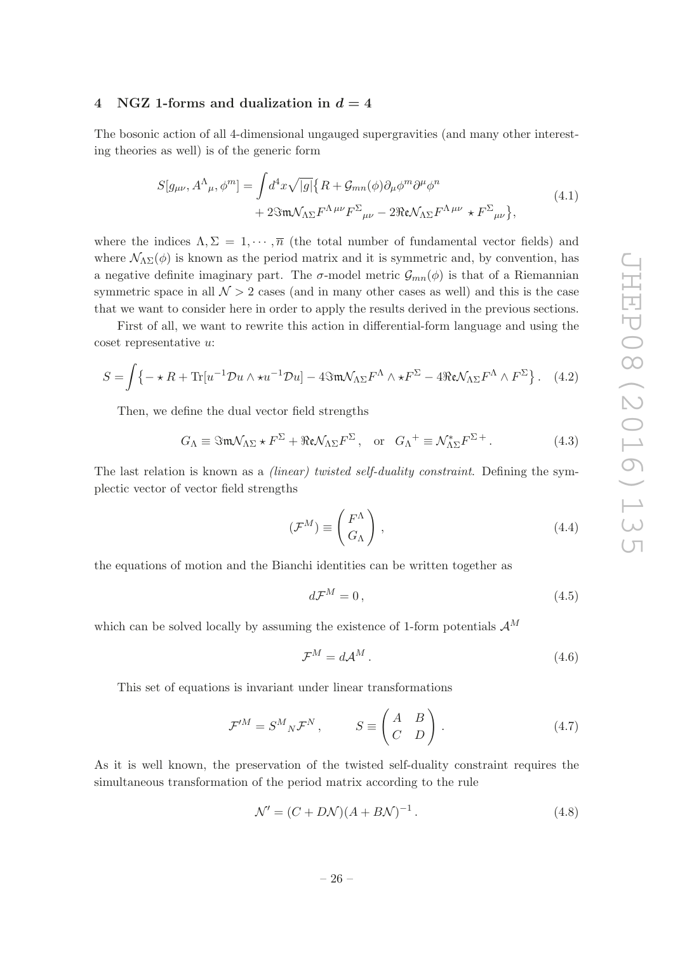## <span id="page-27-0"></span>4 NGZ 1-forms and dualization in  $d = 4$

The bosonic action of all 4-dimensional ungauged supergravities (and many other interesting theories as well) is of the generic form

$$
S[g_{\mu\nu}, A^{\Lambda}{}_{\mu}, \phi^{m}] = \int d^{4}x \sqrt{|g|} \{ R + \mathcal{G}_{mn}(\phi) \partial_{\mu} \phi^{m} \partial^{\mu} \phi^{n} + 2\Im \mathfrak{m} \mathcal{N}_{\Lambda\Sigma} F^{\Lambda}{}^{\mu\nu} F^{\Sigma}{}_{\mu\nu} - 2\Re \mathfrak{e} \mathcal{N}_{\Lambda\Sigma} F^{\Lambda}{}^{\mu\nu} \star F^{\Sigma}{}_{\mu\nu} \},
$$
\n(4.1)

<span id="page-27-3"></span>where the indices  $\Lambda, \Sigma = 1, \cdots, \overline{n}$  (the total number of fundamental vector fields) and where  $\mathcal{N}_{\Lambda\Sigma}(\phi)$  is known as the period matrix and it is symmetric and, by convention, has a negative definite imaginary part. The  $\sigma$ -model metric  $\mathcal{G}_{mn}(\phi)$  is that of a Riemannian symmetric space in all  $\mathcal{N} > 2$  cases (and in many other cases as well) and this is the case that we want to consider here in order to apply the results derived in the previous sections.

First of all, we want to rewrite this action in differential-form language and using the coset representative u:

$$
S = \int \left\{ -\star R + \text{Tr}[u^{-1} \mathcal{D}u \wedge \star u^{-1} \mathcal{D}u] - 4\text{Im}\mathcal{N}_{\Lambda\Sigma}F^{\Lambda} \wedge \star F^{\Sigma} - 4\Re\epsilon\mathcal{N}_{\Lambda\Sigma}F^{\Lambda} \wedge F^{\Sigma} \right\}. \tag{4.2}
$$

Then, we define the dual vector field strengths

<span id="page-27-4"></span>
$$
G_{\Lambda} \equiv \Im \mathfrak{m} \mathcal{N}_{\Lambda \Sigma} \star F^{\Sigma} + \Re \mathfrak{e} \mathcal{N}_{\Lambda \Sigma} F^{\Sigma} , \text{ or } G_{\Lambda}^{+} \equiv \mathcal{N}_{\Lambda \Sigma}^{*} F^{\Sigma +} . \tag{4.3}
$$

The last relation is known as a *(linear)* twisted self-duality constraint. Defining the symplectic vector of vector field strengths

$$
(\mathcal{F}^M) \equiv \begin{pmatrix} F^{\Lambda} \\ G_{\Lambda} \end{pmatrix}, \qquad (4.4)
$$

the equations of motion and the Bianchi identities can be written together as

<span id="page-27-1"></span>
$$
d\mathcal{F}^M = 0\,,\tag{4.5}
$$

which can be solved locally by assuming the existence of 1-form potentials  $\mathcal{A}^M$ 

$$
\mathcal{F}^M = d\mathcal{A}^M. \tag{4.6}
$$

This set of equations is invariant under linear transformations

$$
\mathcal{F}'^M = S^M{}_N \mathcal{F}^N \,, \qquad S \equiv \begin{pmatrix} A & B \\ C & D \end{pmatrix} \,. \tag{4.7}
$$

As it is well known, the preservation of the twisted self-duality constraint requires the simultaneous transformation of the period matrix according to the rule

<span id="page-27-2"></span>
$$
\mathcal{N}' = (C + D\mathcal{N})(A + B\mathcal{N})^{-1}.
$$
\n
$$
(4.8)
$$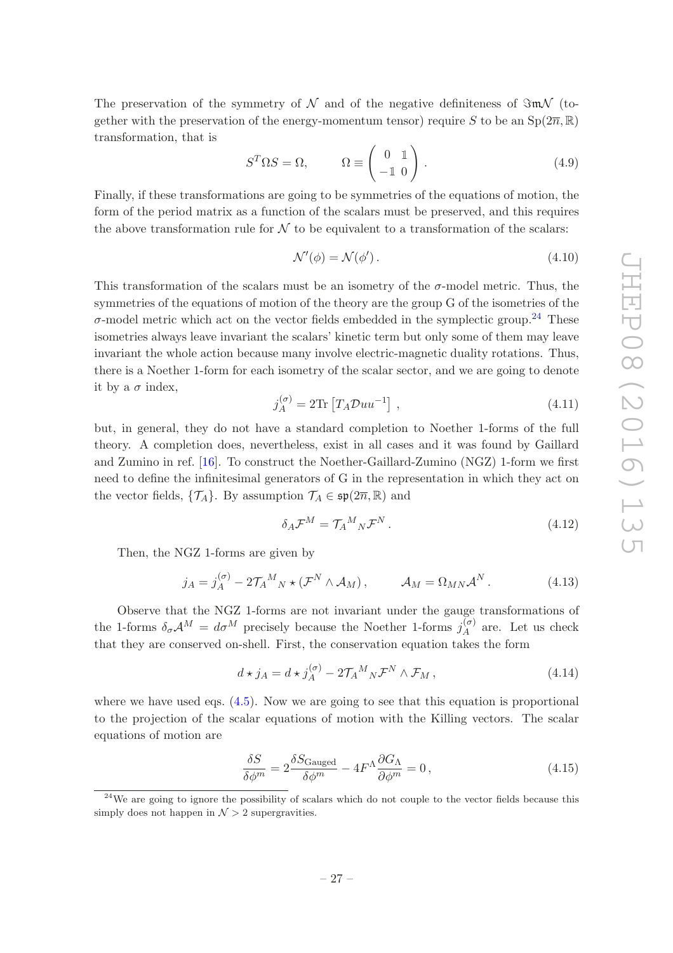The preservation of the symmetry of  $\mathcal N$  and of the negative definiteness of  $\Im m\mathcal N$  (together with the preservation of the energy-momentum tensor) require S to be an  $Sp(2\overline{n}, \mathbb{R})$ transformation, that is

$$
S^{T}\Omega S = \Omega, \qquad \Omega \equiv \begin{pmatrix} 0 & 1 \\ -1 & 0 \end{pmatrix} . \tag{4.9}
$$

Finally, if these transformations are going to be symmetries of the equations of motion, the form of the period matrix as a function of the scalars must be preserved, and this requires the above transformation rule for  $\mathcal N$  to be equivalent to a transformation of the scalars:

<span id="page-28-1"></span>
$$
\mathcal{N}'(\phi) = \mathcal{N}(\phi'). \tag{4.10}
$$

This transformation of the scalars must be an isometry of the  $\sigma$ -model metric. Thus, the symmetries of the equations of motion of the theory are the group G of the isometries of the  $\sigma$ -model metric which act on the vector fields embedded in the symplectic group.<sup>[24](#page-28-0)</sup> These isometries always leave invariant the scalars' kinetic term but only some of them may leave invariant the whole action because many involve electric-magnetic duality rotations. Thus, there is a Noether 1-form for each isometry of the scalar sector, and we are going to denote it by a  $\sigma$  index,

$$
j_A^{(\sigma)} = 2 \text{Tr} \left[ T_A \mathcal{D} u u^{-1} \right], \qquad (4.11)
$$

but, in general, they do not have a standard completion to Noether 1-forms of the full theory. A completion does, nevertheless, exist in all cases and it was found by Gaillard and Zumino in ref. [\[16\]](#page-50-11). To construct the Noether-Gaillard-Zumino (NGZ) 1-form we first need to define the infinitesimal generators of G in the representation in which they act on the vector fields,  $\{\mathcal{T}_A\}$ . By assumption  $\mathcal{T}_A \in \mathfrak{sp}(2\overline{n}, \mathbb{R})$  and

$$
\delta_A \mathcal{F}^M = \mathcal{T}_A{}^M{}_N \mathcal{F}^N \,. \tag{4.12}
$$

Then, the NGZ 1-forms are given by

$$
j_A = j_A^{(\sigma)} - 2\mathcal{T}_A{}^M{}_N \star (\mathcal{F}^N \wedge \mathcal{A}_M) \,, \qquad \mathcal{A}_M = \Omega_{MN} \mathcal{A}^N \,. \tag{4.13}
$$

Observe that the NGZ 1-forms are not invariant under the gauge transformations of the 1-forms  $\delta_{\sigma} A^M = d\sigma^M$  precisely because the Noether 1-forms  $j_A^{(\sigma)}$  $A^{(0)}$  are. Let us check that they are conserved on-shell. First, the conservation equation takes the form

$$
d \star j_A = d \star j_A^{(\sigma)} - 2\mathcal{T}_A{}^M{}_N \mathcal{F}^N \wedge \mathcal{F}_M \,, \tag{4.14}
$$

where we have used eqs.  $(4.5)$ . Now we are going to see that this equation is proportional to the projection of the scalar equations of motion with the Killing vectors. The scalar equations of motion are

$$
\frac{\delta S}{\delta \phi^m} = 2 \frac{\delta S_{\text{Gauged}}}{\delta \phi^m} - 4F^\Lambda \frac{\partial G_\Lambda}{\partial \phi^m} = 0, \qquad (4.15)
$$

<span id="page-28-0"></span> $24$ We are going to ignore the possibility of scalars which do not couple to the vector fields because this simply does not happen in  $\mathcal{N} > 2$  supergravities.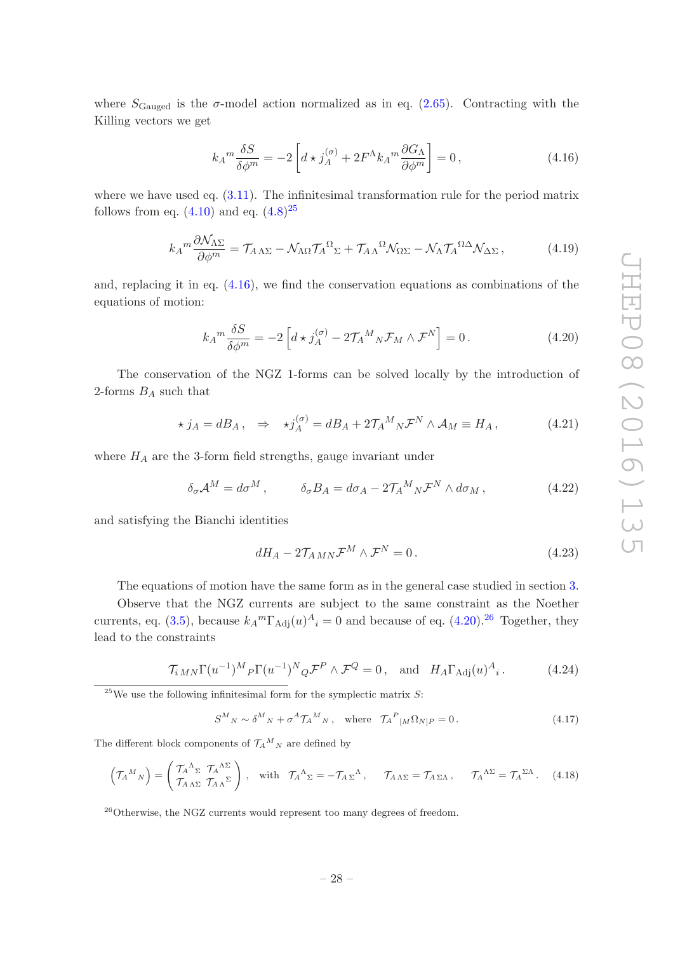where  $S_{\text{Gauged}}$  is the  $\sigma$ -model action normalized as in eq. [\(2.65\)](#page-14-1). Contracting with the Killing vectors we get

<span id="page-29-1"></span>
$$
k_A^m \frac{\delta S}{\delta \phi^m} = -2 \left[ d \star j_A^{(\sigma)} + 2F^\Lambda k_A^m \frac{\partial G_\Lambda}{\partial \phi^m} \right] = 0, \qquad (4.16)
$$

where we have used eq.  $(3.11)$ . The infinitesimal transformation rule for the period matrix follows from eq.  $(4.10)$  and eq.  $(4.8)^{25}$  $(4.8)^{25}$  $(4.8)^{25}$ 

$$
k_A{}^m \frac{\partial \mathcal{N}_{\Lambda\Sigma}}{\partial \phi^m} = \mathcal{T}_{A\Lambda\Sigma} - \mathcal{N}_{\Lambda\Omega} \mathcal{T}_A{}^{\Omega}{}_{\Sigma} + \mathcal{T}_{A\Lambda}{}^{\Omega} \mathcal{N}_{\Omega\Sigma} - \mathcal{N}_{\Lambda} \mathcal{T}_A{}^{\Omega\Delta} \mathcal{N}_{\Delta\Sigma} \,, \tag{4.19}
$$

and, replacing it in eq. [\(4.16\)](#page-29-1), we find the conservation equations as combinations of the equations of motion:

<span id="page-29-2"></span>
$$
k_A^m \frac{\delta S}{\delta \phi^m} = -2 \left[ d \star j_A^{(\sigma)} - 2 \mathcal{T}_A{}^M{}_N \mathcal{F}_M \wedge \mathcal{F}^N \right] = 0 \,. \tag{4.20}
$$

The conservation of the NGZ 1-forms can be solved locally by the introduction of 2-forms  $B_A$  such that

$$
\star j_A = dB_A, \quad \Rightarrow \quad \star j_A^{(\sigma)} = dB_A + 2\mathcal{T}_A{}^M{}_N \mathcal{F}^N \wedge \mathcal{A}_M \equiv H_A, \tag{4.21}
$$

where  $H_A$  are the 3-form field strengths, gauge invariant under

$$
\delta_{\sigma} \mathcal{A}^M = d\sigma^M , \qquad \delta_{\sigma} B_A = d\sigma_A - 2\mathcal{T}_A{}^M{}_N \mathcal{F}^N \wedge d\sigma_M , \qquad (4.22)
$$

and satisfying the Bianchi identities

$$
dH_A - 2\mathcal{T}_{AMN} \mathcal{F}^M \wedge \mathcal{F}^N = 0.
$$
\n(4.23)

The equations of motion have the same form as in the general case studied in section [3.](#page-21-0)

Observe that the NGZ currents are subject to the same constraint as the Noether currents, eq. [\(3.5\)](#page-22-2), because  $k_A{}^m\Gamma_{\text{Adj}}(u)^A{}_i = 0$  and because of eq. [\(4.20\)](#page-29-2).<sup>[26](#page-29-3)</sup> Together, they lead to the constraints

<span id="page-29-4"></span>
$$
\mathcal{T}_{i \, MN} \Gamma(u^{-1})^M{}_P \Gamma(u^{-1})^N{}_Q \mathcal{F}^P \wedge \mathcal{F}^Q = 0, \text{ and } H_A \Gamma_{\text{Adj}}(u)^A{}_i. \tag{4.24}
$$

<span id="page-29-0"></span> $25$ We use the following infinitesimal form for the symplectic matrix S:

$$
S^{M}{}_{N} \sim \delta^{M}{}_{N} + \sigma^{A} \mathcal{T}_{A}{}^{M}{}_{N}, \quad \text{where} \quad \mathcal{T}_{A}{}^{P}{}_{[M} \Omega_{N]P} = 0. \tag{4.17}
$$

The different block components of  $\mathcal{T}_A{}^M{}_N$  are defined by

$$
\left(\mathcal{T}_{A}{}^{M}{}_{N}\right) = \left(\frac{\mathcal{T}_{A}{}^{\Lambda}\Sigma}{\mathcal{T}_{A}\Lambda\Sigma}\frac{\mathcal{T}_{A}{}^{\Lambda\Sigma}}{\mathcal{T}_{A}\Lambda\Sigma}\right), \text{ with } \mathcal{T}_{A}{}^{\Lambda}\Sigma = -\mathcal{T}_{A}\Sigma^{\Lambda}, \quad \mathcal{T}_{A}\Lambda\Sigma = \mathcal{T}_{A}\Sigma\Lambda, \quad \mathcal{T}_{A}{}^{\Lambda\Sigma} = \mathcal{T}_{A}{}^{\Sigma\Lambda}. \quad (4.18)
$$

<span id="page-29-3"></span><sup>26</sup>Otherwise, the NGZ currents would represent too many degrees of freedom.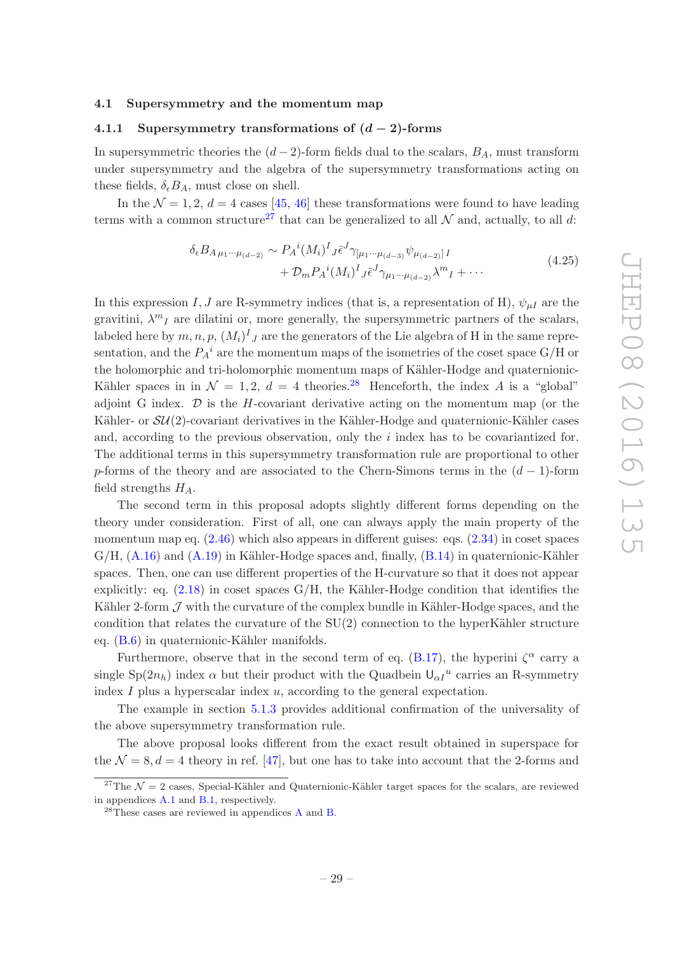#### <span id="page-30-1"></span><span id="page-30-0"></span>4.1 Supersymmetry and the momentum map

# 4.1.1 Supersymmetry transformations of  $(d-2)$ -forms

In supersymmetric theories the  $(d-2)$ -form fields dual to the scalars,  $B_A$ , must transform under supersymmetry and the algebra of the supersymmetry transformations acting on these fields,  $\delta_{\epsilon}B_A$ , must close on shell.

In the  $\mathcal{N} = 1, 2, d = 4$  cases [\[45,](#page-52-8) [46](#page-52-9)] these transformations were found to have leading terms with a common structure<sup>[27](#page-30-2)</sup> that can be generalized to all  $N$  and, actually, to all d:

$$
\delta_{\epsilon} B_{A\mu_1\cdots\mu_{(d-2)}} \sim P_A{}^i (M_i)^I J \bar{\epsilon}^J \gamma_{\mu_1\cdots\mu_{(d-3)}} \psi_{\mu_{(d-2)}I} + \mathcal{D}_m P_A{}^i (M_i)^I J \bar{\epsilon}^J \gamma_{\mu_1\cdots\mu_{(d-2)}} \lambda^m I + \cdots
$$
\n(4.25)

<span id="page-30-4"></span>In this expression I, J are R-symmetry indices (that is, a representation of H),  $\psi_{\mu I}$  are the gravitini,  $\lambda^{m}$ <sub>I</sub> are dilatini or, more generally, the supersymmetric partners of the scalars, labeled here by  $m, n, p, (M_i)^I$  are the generators of the Lie algebra of H in the same representation, and the  $P_A{}^i$  are the momentum maps of the isometries of the coset space G/H or the holomorphic and tri-holomorphic momentum maps of Kähler-Hodge and quaternionic-Kähler spaces in in  $\mathcal{N} = 1, 2, d = 4$  theories.<sup>[28](#page-30-3)</sup> Henceforth, the index A is a "global" adjoint G index.  $\mathcal D$  is the H-covariant derivative acting on the momentum map (or the Kähler- or  $SU(2)$ -covariant derivatives in the Kähler-Hodge and quaternionic-Kähler cases and, according to the previous observation, only the i index has to be covariantized for. The additional terms in this supersymmetry transformation rule are proportional to other p-forms of the theory and are associated to the Chern-Simons terms in the  $(d-1)$ -form field strengths  $H_A$ .

The second term in this proposal adopts slightly different forms depending on the theory under consideration. First of all, one can always apply the main property of the momentum map eq.  $(2.46)$  which also appears in different guises: eqs.  $(2.34)$  in coset spaces  $G/H$ ,  $(A.16)$  and  $(A.19)$  in Kähler-Hodge spaces and, finally,  $(B.14)$  in quaternionic-Kähler spaces. Then, one can use different properties of the H-curvature so that it does not appear explicitly: eq.  $(2.18)$  in coset spaces  $G/H$ , the Kähler-Hodge condition that identifies the Kähler 2-form  $\mathcal J$  with the curvature of the complex bundle in Kähler-Hodge spaces, and the condition that relates the curvature of the  $SU(2)$  connection to the hyperKähler structure eq.  $(B.6)$  in quaternionic-Kähler manifolds.

Furthermore, observe that in the second term of eq. [\(B.17\)](#page-49-2), the hyperini  $\zeta^{\alpha}$  carry a single  $Sp(2n_h)$  index  $\alpha$  but their product with the Quadbein  $U_{\alpha I}^u$  carries an R-symmetry index  $I$  plus a hyperscalar index  $u$ , according to the general expectation.

The example in section [5.1.3](#page-41-0) provides additional confirmation of the universality of the above supersymmetry transformation rule.

The above proposal looks different from the exact result obtained in superspace for the  $\mathcal{N} = 8, d = 4$  theory in ref. [\[47](#page-52-10)], but one has to take into account that the 2-forms and

<sup>&</sup>lt;sup>27</sup>The  $\mathcal{N} = 2$  cases, Special-Kähler and Quaternionic-Kähler target spaces for the scalars, are reviewed in appendices [A.1](#page-46-0) and [B.1,](#page-49-0) respectively.

<span id="page-30-3"></span><span id="page-30-2"></span> $28$ These cases are reviewed in appendices [A](#page-44-0) and [B.](#page-47-0)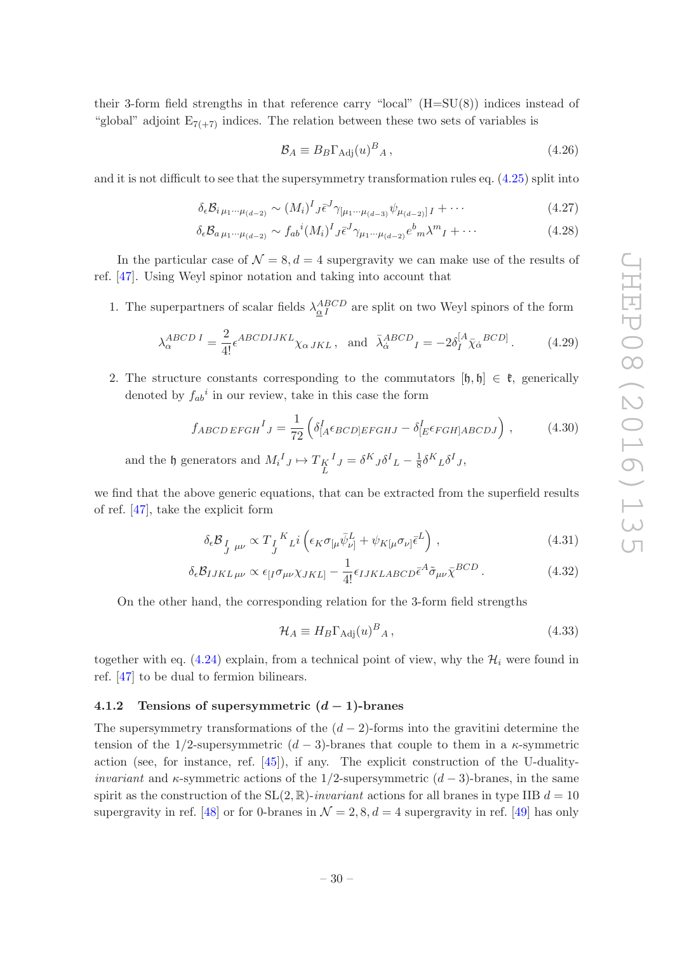their 3-form field strengths in that reference carry "local"  $(H=SU(8))$  indices instead of "global" adjoint  $E_{7(+7)}$  indices. The relation between these two sets of variables is

$$
\mathcal{B}_A \equiv B_B \Gamma_{\text{Adj}}(u)^B{}_A \,, \tag{4.26}
$$

and it is not difficult to see that the supersymmetry transformation rules eq. [\(4.25\)](#page-30-4) split into

$$
\delta_{\epsilon} \mathcal{B}_{i \mu_1 \cdots \mu_{(d-2)}} \sim (M_i)^I J \bar{\epsilon}^J \gamma_{\mu_1 \cdots \mu_{(d-3)}} \psi_{\mu_{(d-2)} I} + \cdots \tag{4.27}
$$

$$
\delta_{\epsilon} \mathcal{B}_{a \mu_1 \cdots \mu_{(d-2)}} \sim f_{ab}{}^{i} (M_i)^I J \bar{\epsilon}^J \gamma_{\mu_1 \cdots \mu_{(d-2)}} e^b{}_m \lambda^m{}_I + \cdots \tag{4.28}
$$

In the particular case of  $\mathcal{N} = 8, d = 4$  supergravity we can make use of the results of ref. [\[47](#page-52-10)]. Using Weyl spinor notation and taking into account that

1. The superpartners of scalar fields  $\lambda_{\underline{\alpha}}^{ABCD}$  are split on two Weyl spinors of the form

$$
\lambda_{\alpha}^{ABCD I} = \frac{2}{4!} \epsilon^{ABCDIJKL} \chi_{\alpha JKL}, \text{ and } \bar{\lambda}_{\dot{\alpha}}^{ABCD}{}_{I} = -2 \delta_{I}^{[A} \bar{\chi}_{\dot{\alpha}}^{BCD]}.
$$
 (4.29)

2. The structure constants corresponding to the commutators  $[\mathfrak{h}, \mathfrak{h}] \in \mathfrak{k}$ , generically denoted by  $f_{ab}{}^i$  in our review, take in this case the form

$$
f_{ABCDEFGH}{}^{I}{}_{J} = \frac{1}{72} \left( \delta^{I}_{[A} \epsilon_{BCD]EFGHJ} - \delta^{I}_{[E} \epsilon_{FGH]ABCDJ} \right) , \qquad (4.30)
$$

and the  $\mathfrak h$  generators and  $M_i^I{}_J \mapsto T_K^K$  $I_J = \delta^K J \delta^I_L - \frac{1}{8}$  $\frac{1}{8} \delta^{K}{}_{L} \delta^{I}{}_{J},$ 

we find that the above generic equations, that can be extracted from the superfield results of ref. [\[47\]](#page-52-10), take the explicit form

$$
\delta_{\epsilon} \mathcal{B}_{\int \mu \nu} \propto T_{\int}^{K} L^{i} \left( \epsilon_{K} \sigma_{\left[ \mu \right]} \bar{\psi}_{\nu\right]}^{L} + \psi_{K\left[ \mu \right]} \bar{\epsilon}^{L} \right) , \qquad (4.31)
$$

$$
\delta_{\epsilon} \mathcal{B}_{IJKL\,\mu\nu} \propto \epsilon_{[I}\sigma_{\mu\nu}\chi_{JKL]} - \frac{1}{4!} \epsilon_{IJKLABCD} \bar{\epsilon}^A \tilde{\sigma}_{\mu\nu} \bar{\chi}^{BCD} \,. \tag{4.32}
$$

On the other hand, the corresponding relation for the 3-form field strengths

$$
\mathcal{H}_A \equiv H_B \Gamma_{\text{Adj}}(u)^B{}_A \,,\tag{4.33}
$$

together with eq. [\(4.24\)](#page-29-4) explain, from a technical point of view, why the  $\mathcal{H}_i$  were found in ref. [\[47](#page-52-10)] to be dual to fermion bilinears.

## <span id="page-31-0"></span>4.1.2 Tensions of supersymmetric  $(d-1)$ -branes

The supersymmetry transformations of the  $(d-2)$ -forms into the gravitini determine the tension of the 1/2-supersymmetric  $(d-3)$ -branes that couple to them in a  $\kappa$ -symmetric action (see, for instance, ref. [\[45\]](#page-52-8)), if any. The explicit construction of the U-duality*invariant* and  $\kappa$ -symmetric actions of the 1/2-supersymmetric  $(d-3)$ -branes, in the same spirit as the construction of the  $SL(2,\mathbb{R})$ -invariant actions for all branes in type IIB  $d=10$ supergravity in ref. [\[48](#page-52-11)] or for 0-branes in  $\mathcal{N} = 2, 8, d = 4$  supergravity in ref. [\[49\]](#page-52-12) has only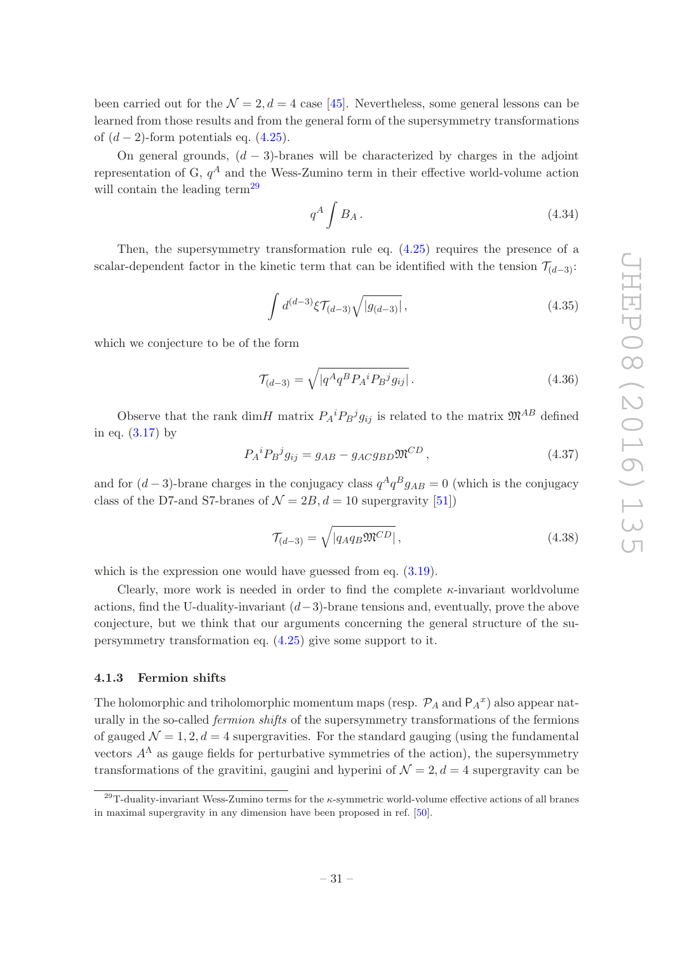been carried out for the  $\mathcal{N} = 2, d = 4$  case [\[45\]](#page-52-8). Nevertheless, some general lessons can be learned from those results and from the general form of the supersymmetry transformations of  $(d-2)$ -form potentials eq.  $(4.25)$ .

On general grounds,  $(d-3)$ -branes will be characterized by charges in the adjoint representation of G,  $q^A$  and the Wess-Zumino term in their effective world-volume action will contain the leading term<sup>[29](#page-32-1)</sup>

$$
q^A \int B_A \,. \tag{4.34}
$$

Then, the supersymmetry transformation rule eq. [\(4.25\)](#page-30-4) requires the presence of a scalar-dependent factor in the kinetic term that can be identified with the tension  $\mathcal{T}_{(d-3)}$ :

$$
\int d^{(d-3)}\xi \mathcal{T}_{(d-3)}\sqrt{|g_{(d-3)}|}\,,\tag{4.35}
$$

which we conjecture to be of the form

$$
\mathcal{T}_{(d-3)} = \sqrt{|q^A q^B P_A^i P_B^j g_{ij}|}.
$$
\n(4.36)

Observe that the rank dim H matrix  $P_A{}^i P_B{}^j g_{ij}$  is related to the matrix  $\mathfrak{M}^{AB}$  defined in eq. [\(3.17\)](#page-23-5) by

$$
P_A{}^i P_B{}^j g_{ij} = g_{AB} - g_{AC} g_{BD} \mathfrak{M}^{CD},\tag{4.37}
$$

and for  $(d-3)$ -brane charges in the conjugacy class  $q^A q^B g_{AB} = 0$  (which is the conjugacy class of the D7-and S7-branes of  $\mathcal{N} = 2B, d = 10$  supergravity [\[51\]](#page-52-13))

$$
\mathcal{T}_{(d-3)} = \sqrt{|q_A q_B \mathfrak{M}^{CD}|},\tag{4.38}
$$

which is the expression one would have guessed from eq.  $(3.19)$ .

Clearly, more work is needed in order to find the complete  $\kappa$ -invariant worldvolume actions, find the U-duality-invariant  $(d-3)$ -brane tensions and, eventually, prove the above conjecture, but we think that our arguments concerning the general structure of the supersymmetry transformation eq. [\(4.25\)](#page-30-4) give some support to it.

## <span id="page-32-0"></span>4.1.3 Fermion shifts

The holomorphic and triholomorphic momentum maps (resp.  $\mathcal{P}_A$  and  $\mathsf{P}_A^x$ ) also appear naturally in the so-called fermion shifts of the supersymmetry transformations of the fermions of gauged  $\mathcal{N} = 1, 2, d = 4$  supergravities. For the standard gauging (using the fundamental vectors  $A^{\Lambda}$  as gauge fields for perturbative symmetries of the action), the supersymmetry transformations of the gravitini, gaugini and hyperini of  $\mathcal{N} = 2, d = 4$  supergravity can be

<span id="page-32-1"></span><sup>&</sup>lt;sup>29</sup>T-duality-invariant Wess-Zumino terms for the  $\kappa$ -symmetric world-volume effective actions of all branes in maximal supergravity in any dimension have been proposed in ref. [\[50](#page-52-14)].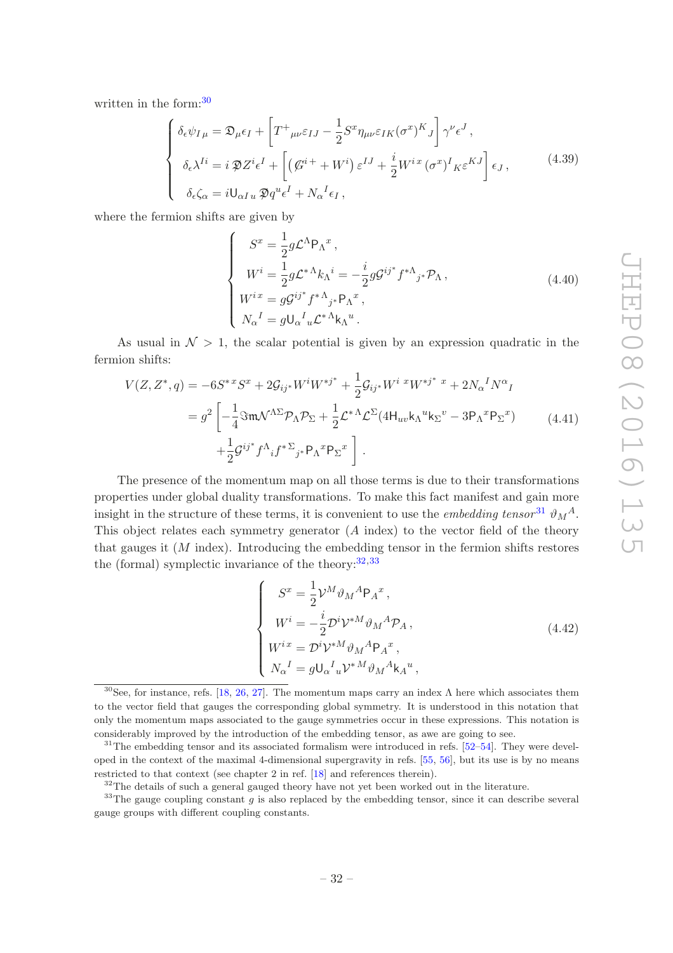written in the form:<sup>[30](#page-33-0)</sup>

$$
\begin{cases}\n\delta_{\epsilon}\psi_{I\,\mu} = \mathfrak{D}_{\mu}\epsilon_{I} + \left[T^{+}{}_{\mu\nu}\varepsilon_{IJ} - \frac{1}{2}S^{x}\eta_{\mu\nu}\varepsilon_{IK}(\sigma^{x})^{K}{}_{J}\right]\gamma^{\nu}\epsilon^{J}, \\
\delta_{\epsilon}\lambda^{Ii} = i\,\mathfrak{D}Z^{i}\epsilon^{I} + \left[\left(\mathcal{G}^{i+} + W^{i}\right)\varepsilon^{IJ} + \frac{i}{2}W^{ix}\left(\sigma^{x}\right)^{I}{}_{K}\varepsilon^{K}{}^{J}\right]\epsilon_{J}, \\
\delta_{\epsilon}\zeta_{\alpha} = i\mathsf{U}_{\alpha I\,u}\,\mathfrak{D}q^{u}\epsilon^{I} + N_{\alpha}{}^{I}\epsilon_{I},\n\end{cases} (4.39)
$$

where the fermion shifts are given by

$$
\begin{cases}\nS^x = \frac{1}{2} g \mathcal{L}^{\Lambda} \mathsf{P}_{\Lambda}{}^x, \\
W^i = \frac{1}{2} g \mathcal{L}^* {}^{\Lambda} k_{\Lambda}{}^i = -\frac{i}{2} g \mathcal{G}^{ij}{}^* f^{*\Lambda}{}_{j*} \mathsf{P}_{\Lambda}, \\
W^{i x} = g \mathcal{G}^{ij}{}^* f^{*\Lambda}{}_{j*} \mathsf{P}_{\Lambda}{}^x, \\
N_{\alpha}{}^I = g \mathsf{U}_{\alpha}{}^I{}_{u} \mathcal{L}^* {}^{\Lambda} k_{\Lambda}{}^{u}.\n\end{cases} \tag{4.40}
$$

As usual in  $\mathcal{N} > 1$ , the scalar potential is given by an expression quadratic in the fermion shifts:

$$
V(Z, Z^*, q) = -6S^{*x}S^x + 2\mathcal{G}_{ij} * W^i W^{*j^*} + \frac{1}{2}\mathcal{G}_{ij} * W^{i}{}^{x}W^{*j^*}{}^{x} + 2N_{\alpha}{}^{I}N^{\alpha}{}_{I}
$$

$$
= g^2 \left[ -\frac{1}{4} \Im \mathfrak{m} \mathcal{N}^{\Lambda \Sigma} \mathcal{P}_{\Lambda} \mathcal{P}_{\Sigma} + \frac{1}{2} \mathcal{L}^{* \Lambda} \mathcal{L}^{\Sigma} (4H_{uv}k_{\Lambda}{}^{u}k_{\Sigma}{}^{v} - 3P_{\Lambda}{}^{x}P_{\Sigma}{}^{x}) \right] + \frac{1}{2} \mathcal{G}^{ij^*} f^{\Lambda}{}_{i} f^{* \Sigma}{}_{j^*} P_{\Lambda}{}^{x} P_{\Sigma}{}^{x} \right].
$$
(4.41)

The presence of the momentum map on all those terms is due to their transformations properties under global duality transformations. To make this fact manifest and gain more insight in the structure of these terms, it is convenient to use the *embedding tensor*<sup>[31](#page-33-1)</sup>  $\vartheta_M^A$ . This object relates each symmetry generator  $(A \text{ index})$  to the vector field of the theory that gauges it  $(M \text{ index})$ . Introducing the embedding tensor in the fermion shifts restores the (formal) symplectic invariance of the theory: $32,33$  $32,33$  $32,33$ 

$$
\begin{cases}\nS^x = \frac{1}{2} \mathcal{V}^M \vartheta_M{}^A \mathsf{P}_A{}^x, \\
W^i = -\frac{i}{2} \mathcal{D}^i \mathcal{V}^{*M} \vartheta_M{}^A \mathcal{P}_A, \\
W^{i x} = \mathcal{D}^i \mathcal{V}^{*M} \vartheta_M{}^A \mathsf{P}_A{}^x, \\
N_\alpha{}^I = g \mathsf{U}_\alpha{}^I{}_u \mathcal{V}^{*M} \vartheta_M{}^A \mathsf{k}_A{}^u,\n\end{cases}
$$
\n(4.42)

<span id="page-33-0"></span><sup>&</sup>lt;sup>30</sup>See, for instance, refs. [\[18,](#page-51-1) [26](#page-51-7), [27](#page-51-8)]. The momentum maps carry an index  $\Lambda$  here which associates them to the vector field that gauges the corresponding global symmetry. It is understood in this notation that only the momentum maps associated to the gauge symmetries occur in these expressions. This notation is considerably improved by the introduction of the embedding tensor, as awe are going to see.

<span id="page-33-1"></span> $31$ The embedding tensor and its associated formalism were introduced in refs. [\[52](#page-52-15)[–54](#page-52-16)]. They were developed in the context of the maximal 4-dimensional supergravity in refs. [\[55](#page-52-17), [56\]](#page-53-0), but its use is by no means restricted to that context (see chapter 2 in ref. [\[18](#page-51-1)] and references therein).

<sup>&</sup>lt;sup>32</sup>The details of such a general gauged theory have not yet been worked out in the literature.

<span id="page-33-3"></span><span id="page-33-2"></span> $33$ The gauge coupling constant g is also replaced by the embedding tensor, since it can describe several gauge groups with different coupling constants.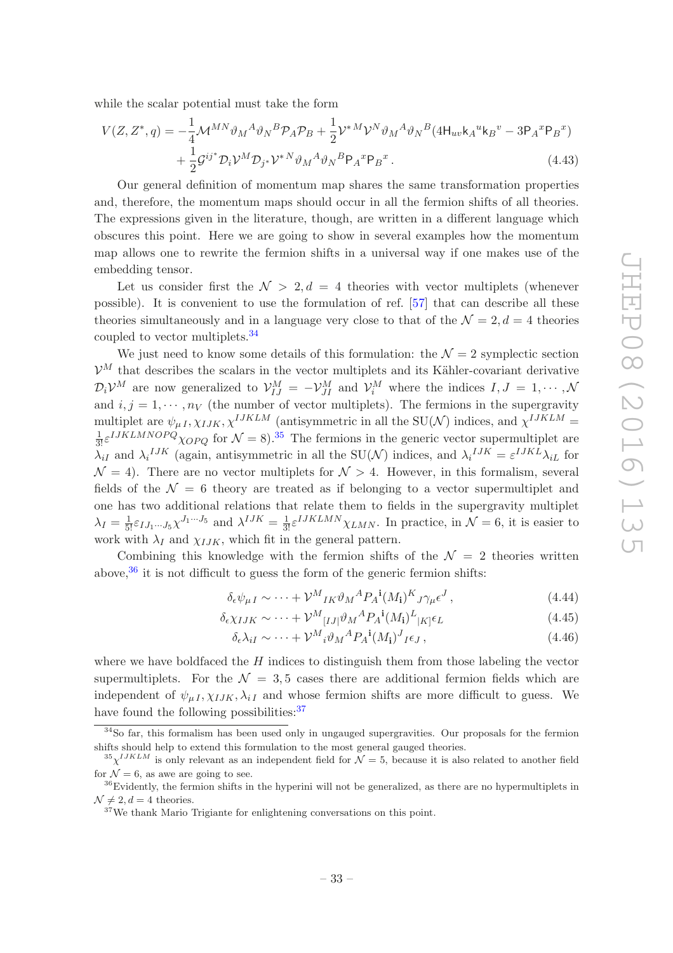while the scalar potential must take the form

$$
V(Z, Z^*, q) = -\frac{1}{4} \mathcal{M}^{MN} \vartheta_M{}^A \vartheta_N{}^B \mathcal{P}_A \mathcal{P}_B + \frac{1}{2} \mathcal{V}^{*M} \mathcal{V}^N \vartheta_M{}^A \vartheta_N{}^B (4H_{uv} k_A{}^u k_B{}^v - 3P_A{}^x P_B{}^x) + \frac{1}{2} \mathcal{G}^{ij*} \mathcal{D}_i \mathcal{V}^M \mathcal{D}_{j*} \mathcal{V}^{*N} \vartheta_M{}^A \vartheta_N{}^B P_A{}^x P_B{}^x.
$$
\n(4.43)

Our general definition of momentum map shares the same transformation properties and, therefore, the momentum maps should occur in all the fermion shifts of all theories. The expressions given in the literature, though, are written in a different language which obscures this point. Here we are going to show in several examples how the momentum map allows one to rewrite the fermion shifts in a universal way if one makes use of the embedding tensor.

Let us consider first the  $\mathcal{N} > 2, d = 4$  theories with vector multiplets (whenever possible). It is convenient to use the formulation of ref. [\[57\]](#page-53-1) that can describe all these theories simultaneously and in a language very close to that of the  $\mathcal{N} = 2, d = 4$  theories coupled to vector multiplets.[34](#page-34-0)

We just need to know some details of this formulation: the  $\mathcal{N}=2$  symplectic section  $\mathcal{V}^M$  that describes the scalars in the vector multiplets and its Kähler-covariant derivative  $\mathcal{D}_i \mathcal{V}^M$  are now generalized to  $\mathcal{V}^M_{IJ} = -\mathcal{V}^M_{JI}$  and  $\mathcal{V}^M_i$  where the indices  $I, J = 1, \cdots, \mathcal{N}$ and  $i, j = 1, \dots, n_V$  (the number of vector multiplets). The fermions in the supergravity multiplet are  $\psi_{\mu I}$ ,  $\chi_{IJK}$ ,  $\chi^{IJKLM}$  (antisymmetric in all the SU(N) indices, and  $\chi^{IJKLM}$  =  $\frac{1}{3!} \varepsilon^{IJKLMNOPQ} \chi_{OPQ}$  for  $\mathcal{N} = 8$ .<sup>[35](#page-34-1)</sup> The fermions in the generic vector supermultiplet are  $\lambda_{iI}$  and  $\lambda_i^{IJK}$  (again, antisymmetric in all the SU(N) indices, and  $\lambda_i^{IJK} = \varepsilon^{IJKL}\lambda_{iL}$  for  $\mathcal{N} = 4$ ). There are no vector multiplets for  $\mathcal{N} > 4$ . However, in this formalism, several fields of the  $\mathcal{N} = 6$  theory are treated as if belonging to a vector supermultiplet and one has two additional relations that relate them to fields in the supergravity multiplet  $\lambda_I = \frac{1}{5!} \varepsilon_{IJ_1\cdots J_5} \chi^{J_1\cdots J_5}$  and  $\lambda^{IJK} = \frac{1}{3!} \varepsilon^{IJKLMN} \chi_{LMN}$ . In practice, in  $\mathcal{N} = 6$ , it is easier to work with  $\lambda_I$  and  $\chi_{IJK}$ , which fit in the general pattern.

Combining this knowledge with the fermion shifts of the  $\mathcal{N} = 2$  theories written above,  $36$  it is not difficult to guess the form of the generic fermion shifts:

$$
\delta_{\epsilon}\psi_{\mu I} \sim \cdots + \mathcal{V}^{M}{}_{IK}\vartheta_{M}{}^{A}P_{A}{}^{i}(M_{i})^{K}{}_{J}\gamma_{\mu}\epsilon^{J}\,,\tag{4.44}
$$

$$
\delta_{\epsilon \chi IJK} \sim \dots + \mathcal{V}^M_{[IJ|} \vartheta_M{}^A P_A{}^{\mathbf{i}} (M_{\mathbf{i}})^L{}_{|K]} \epsilon_L \tag{4.45}
$$

$$
\delta_{\epsilon}\lambda_{iI} \sim \cdots + \mathcal{V}^{M}{}_{i}\vartheta_{M}{}^{A}P_{A}{}^{i}(M_{i})^{J}{}_{I}\epsilon_{J},\tag{4.46}
$$

where we have boldfaced the  $H$  indices to distinguish them from those labeling the vector supermultiplets. For the  $\mathcal{N} = 3.5$  cases there are additional fermion fields which are independent of  $\psi_{\mu I}$ ,  $\chi_{IJK}$ ,  $\lambda_{iI}$  and whose fermion shifts are more difficult to guess. We have found the following possibilities: $37$ 

<span id="page-34-0"></span><sup>&</sup>lt;sup>34</sup>So far, this formalism has been used only in ungauged supergravities. Our proposals for the fermion shifts should help to extend this formulation to the most general gauged theories.

<span id="page-34-1"></span> $35\chi^{IJKLM}$  is only relevant as an independent field for  $\mathcal{N}=5$ , because it is also related to another field for  $\mathcal{N} = 6$ , as awe are going to see.

<sup>&</sup>lt;sup>36</sup>Evidently, the fermion shifts in the hyperini will not be generalized, as there are no hypermultiplets in  $\mathcal{N} \neq 2, d = 4$  theories.

<span id="page-34-3"></span><span id="page-34-2"></span><sup>&</sup>lt;sup>37</sup>We thank Mario Trigiante for enlightening conversations on this point.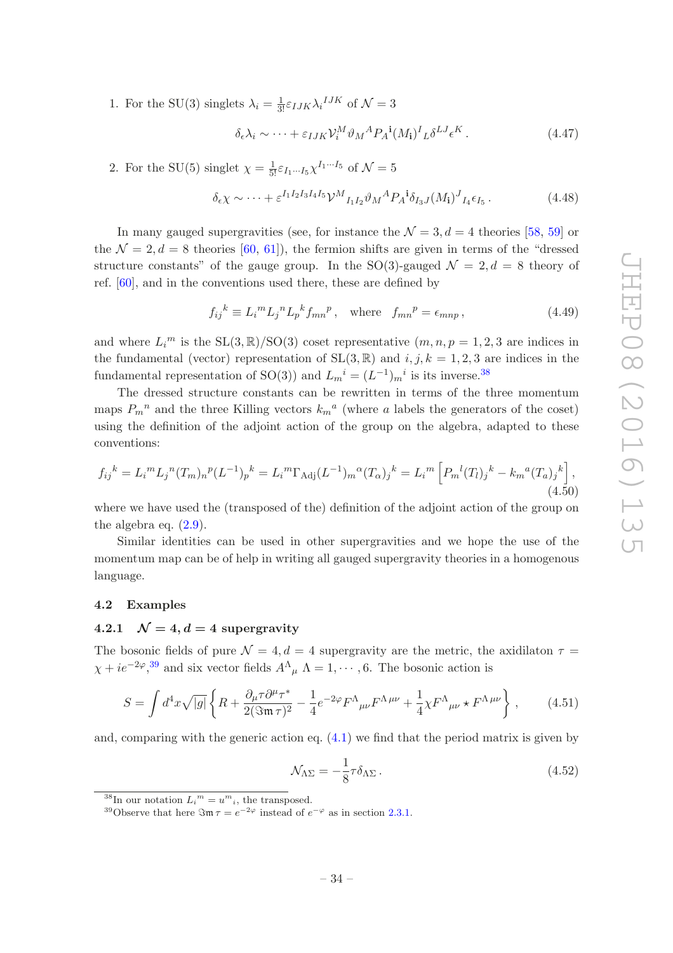1. For the SU(3) singlets  $\lambda_i = \frac{1}{3!} \varepsilon_{IJK} \lambda_i^{IJK}$  of  $\mathcal{N} = 3$ 

$$
\delta_{\epsilon}\lambda_i \sim \dots + \varepsilon_{IJK} \mathcal{V}_i^M \vartheta_M{}^A P_A{}^{\mathbf{i}} (M_{\mathbf{i}})^I{}_L \delta^{LJ} \epsilon^K.
$$
 (4.47)

2. For the SU(5) singlet  $\chi = \frac{1}{5!} \varepsilon_{I_1 \cdots I_5} \chi^{I_1 \cdots I_5}$  of  $\mathcal{N} = 5$ 

$$
\delta_{\epsilon} \chi \sim \dots + \varepsilon^{I_1 I_2 I_3 I_4 I_5} \mathcal{V}^M{}_{I_1 I_2} \vartheta_M{}^A P_A{}^{\mathbf{i}} \delta_{I_3 J} (M_{\mathbf{i}})^J{}_{I_4} \epsilon_{I_5} \,. \tag{4.48}
$$

In many gauged supergravities (see, for instance the  $\mathcal{N} = 3, d = 4$  theories [\[58,](#page-53-2) [59](#page-53-3)] or the  $\mathcal{N} = 2, d = 8$  theories [\[60](#page-53-4), [61](#page-53-5)]), the fermion shifts are given in terms of the "dressed" structure constants" of the gauge group. In the SO(3)-gauged  $\mathcal{N} = 2, d = 8$  theory of ref. [\[60](#page-53-4)], and in the conventions used there, these are defined by

$$
f_{ij}{}^{k} \equiv L_i{}^{m} L_j{}^{n} L_p{}^{k} f_{mn}{}^{p}, \quad \text{where} \quad f_{mn}{}^{p} = \epsilon_{mnp} \,, \tag{4.49}
$$

and where  $L_i^m$  is the  $SL(3,\mathbb{R})/SO(3)$  coset representative  $(m, n, p = 1, 2, 3$  are indices in the fundamental (vector) representation of  $SL(3, \mathbb{R})$  and i, j,  $k = 1, 2, 3$  are indices in the fundamental representation of SO(3)) and  $L_m^i = (L^{-1})_m^i$  is its inverse.<sup>[38](#page-35-2)</sup>

The dressed structure constants can be rewritten in terms of the three momentum maps  $P_m^{\ n}$  and the three Killing vectors  $k_m^{\ a}$  (where a labels the generators of the coset) using the definition of the adjoint action of the group on the algebra, adapted to these conventions:

$$
f_{ij}{}^{k} = L_{i}{}^{m} L_{j}{}^{n} (T_{m})_{n}{}^{p} (L^{-1})_{p}{}^{k} = L_{i}{}^{m} \Gamma_{\text{Adj}} (L^{-1})_{m}{}^{\alpha} (T_{\alpha})_{j}{}^{k} = L_{i}{}^{m} \left[ P_{m}{}^{l} (T_{l})_{j}{}^{k} - k_{m}{}^{a} (T_{a})_{j}{}^{k} \right],
$$
\n(4.50)

where we have used the (transposed of the) definition of the adjoint action of the group on the algebra eq.  $(2.9)$ .

Similar identities can be used in other supergravities and we hope the use of the momentum map can be of help in writing all gauged supergravity theories in a homogenous language.

## <span id="page-35-1"></span><span id="page-35-0"></span>4.2 Examples

## 4.2.1  $\mathcal{N} = 4, d = 4$  supergravity

The bosonic fields of pure  $\mathcal{N} = 4, d = 4$  supergravity are the metric, the axidilaton  $\tau =$  $\chi + ie^{-2\varphi},$ <sup>[39](#page-35-3)</sup> and six vector fields  $A^{\Lambda}{}_{\mu}$   $\Lambda = 1, \cdots, 6$ . The bosonic action is

$$
S = \int d^4x \sqrt{|g|} \left\{ R + \frac{\partial_\mu \tau \partial^\mu \tau^*}{2(\Im \mathfrak{m} \tau)^2} - \frac{1}{4} e^{-2\varphi} F^\Lambda{}_{\mu\nu} F^{\Lambda}{}^{\mu\nu} + \frac{1}{4} \chi F^\Lambda{}_{\mu\nu} \star F^{\Lambda}{}^{\mu\nu} \right\} ,\tag{4.51}
$$

and, comparing with the generic action eq.  $(4.1)$  we find that the period matrix is given by

$$
\mathcal{N}_{\Lambda\Sigma} = -\frac{1}{8}\tau \delta_{\Lambda\Sigma} \,. \tag{4.52}
$$

<sup>&</sup>lt;sup>38</sup>In our notation  $L_i^m = u^m_i$ , the transposed.

<span id="page-35-3"></span><span id="page-35-2"></span><sup>&</sup>lt;sup>39</sup>Observe that here  $\Im \mathfrak{m} \tau = e^{-2\varphi}$  instead of  $e^{-\varphi}$  as in section [2.3.1.](#page-15-1)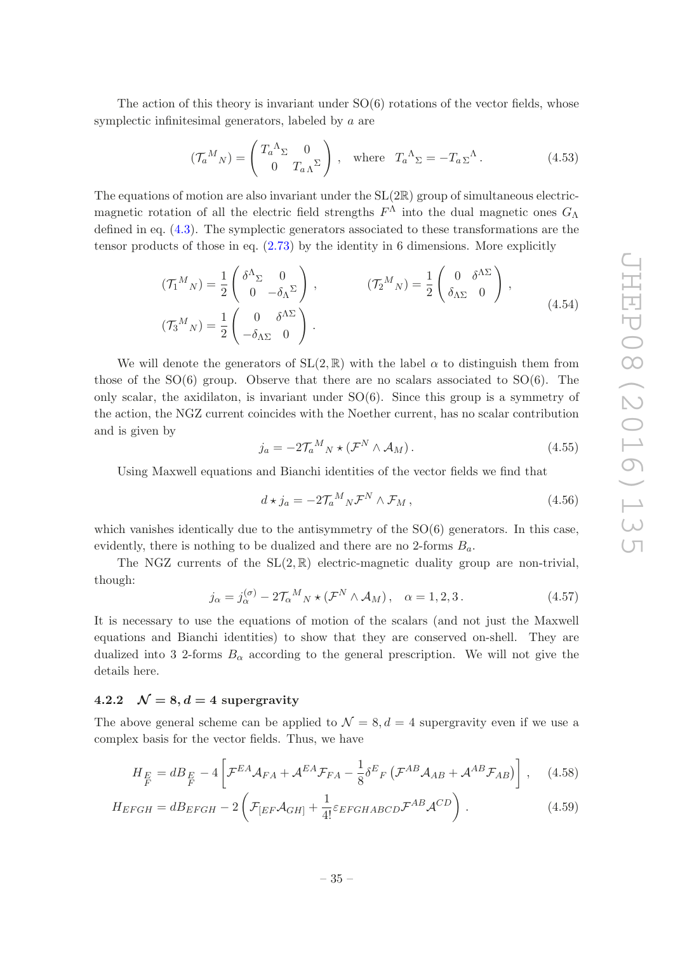The action of this theory is invariant under  $SO(6)$  rotations of the vector fields, whose symplectic infinitesimal generators, labeled by a are

$$
\left(\mathcal{T}_a^M{}_N\right) = \begin{pmatrix} T_a{}^\Lambda \Sigma & 0 \\ 0 & T_a{}_\Lambda \Sigma \end{pmatrix}, \quad \text{where} \quad T_a{}^\Lambda \Sigma = -T_a{}_\Sigma{}^\Lambda. \tag{4.53}
$$

The equations of motion are also invariant under the  $SL(2\mathbb{R})$  group of simultaneous electricmagnetic rotation of all the electric field strengths  $F^{\Lambda}$  into the dual magnetic ones  $G_{\Lambda}$ defined in eq. [\(4.3\)](#page-27-4). The symplectic generators associated to these transformations are the tensor products of those in eq.  $(2.73)$  by the identity in 6 dimensions. More explicitly

$$
(\mathcal{T}_1^M{}_N) = \frac{1}{2} \begin{pmatrix} \delta^{\Lambda}{}_{{\Sigma}} & 0 \\ 0 & -\delta_{\Lambda}{}_{{\Sigma}} \end{pmatrix} , \qquad (\mathcal{T}_2^M{}_N) = \frac{1}{2} \begin{pmatrix} 0 & \delta^{\Lambda}{}_{{\Sigma}} \\ \delta_{\Lambda}{}_{{\Sigma}} & 0 \end{pmatrix} ,
$$
  

$$
(\mathcal{T}_3^M{}_N) = \frac{1}{2} \begin{pmatrix} 0 & \delta^{\Lambda}{}_{{\Sigma}} \\ -\delta_{\Lambda}{}_{{\Sigma}} & 0 \end{pmatrix} .
$$
 (4.54)

We will denote the generators of  $SL(2,\mathbb{R})$  with the label  $\alpha$  to distinguish them from those of the  $SO(6)$  group. Observe that there are no scalars associated to  $SO(6)$ . The only scalar, the axidilaton, is invariant under  $SO(6)$ . Since this group is a symmetry of the action, the NGZ current coincides with the Noether current, has no scalar contribution and is given by

$$
j_a = -2\mathcal{T}_a{}^M{}_N \star (\mathcal{F}^N \wedge \mathcal{A}_M). \tag{4.55}
$$

Using Maxwell equations and Bianchi identities of the vector fields we find that

$$
d \star j_a = -2\mathcal{T}_a{}^M{}_N \mathcal{F}^N \wedge \mathcal{F}_M \,, \tag{4.56}
$$

which vanishes identically due to the antisymmetry of the  $SO(6)$  generators. In this case, evidently, there is nothing to be dualized and there are no 2-forms  $B_a$ .

The NGZ currents of the  $SL(2,\mathbb{R})$  electric-magnetic duality group are non-trivial, though:

$$
j_{\alpha} = j_{\alpha}^{(\sigma)} - 2\mathcal{T}_{\alpha}{}^{M}{}_{N} \star (\mathcal{F}^{N} \wedge \mathcal{A}_{M}), \quad \alpha = 1, 2, 3. \tag{4.57}
$$

It is necessary to use the equations of motion of the scalars (and not just the Maxwell equations and Bianchi identities) to show that they are conserved on-shell. They are dualized into 3 2-forms  $B_{\alpha}$  according to the general prescription. We will not give the details here.

# <span id="page-36-0"></span>4.2.2  $\mathcal{N} = 8, d = 4$  supergravity

The above general scheme can be applied to  $\mathcal{N} = 8, d = 4$  supergravity even if we use a complex basis for the vector fields. Thus, we have

$$
H_{\frac{E}{F}} = dB_{\frac{E}{F}} - 4\left[\mathcal{F}^{EA}\mathcal{A}_{FA} + \mathcal{A}^{EA}\mathcal{F}_{FA} - \frac{1}{8}\delta^{E}{}_{F}\left(\mathcal{F}^{AB}\mathcal{A}_{AB} + \mathcal{A}^{AB}\mathcal{F}_{AB}\right)\right], \quad (4.58)
$$

$$
H_{EFGH} = dB_{EFGH} - 2\left(\mathcal{F}_{[EF}\mathcal{A}_{GH]} + \frac{1}{4!}\varepsilon_{EFGHABCD}\mathcal{F}^{AB}\mathcal{A}^{CD}\right). \tag{4.59}
$$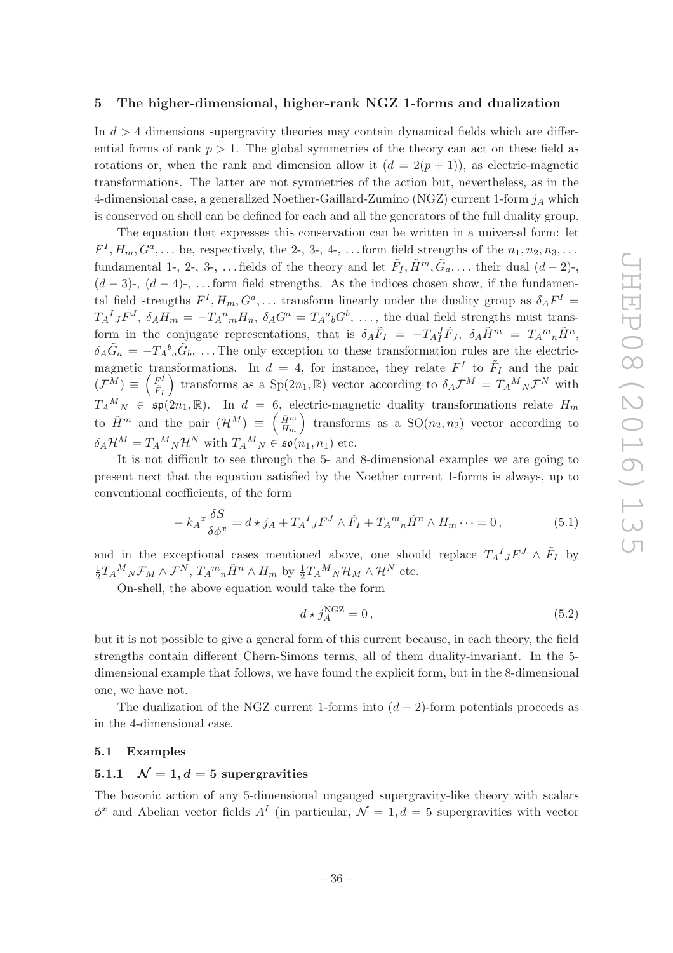## <span id="page-37-0"></span>5 The higher-dimensional, higher-rank NGZ 1-forms and dualization

In  $d > 4$  dimensions supergravity theories may contain dynamical fields which are differential forms of rank  $p > 1$ . The global symmetries of the theory can act on these field as rotations or, when the rank and dimension allow it  $(d = 2(p + 1))$ , as electric-magnetic transformations. The latter are not symmetries of the action but, nevertheless, as in the 4-dimensional case, a generalized Noether-Gaillard-Zumino (NGZ) current 1-form  $j_A$  which is conserved on shell can be defined for each and all the generators of the full duality group.

The equation that expresses this conservation can be written in a universal form: let  $F^I, H_m, G^a, \dots$  be, respectively, the 2-, 3-, 4-, ... form field strengths of the  $n_1, n_2, n_3, \dots$ fundamental 1-, 2-, 3-, ... fields of the theory and let  $\tilde{F}_I$ ,  $\tilde{H}^m$ ,  $\tilde{G}_a$ , ... their dual  $(d-2)$ -,  $(d-3)$ -,  $(d-4)$ -, ... form field strengths. As the indices chosen show, if the fundamental field strengths  $F^I, H_m, G^a, \ldots$  transform linearly under the duality group as  $\delta_A F^I$  =  $T_A^I{}_J F^J$ ,  $\delta_A H_m = -T_A^n{}_m H_n$ ,  $\delta_A G^a = T_A^a{}_b G^b$ , ..., the dual field strengths must transform in the conjugate representations, that is  $\delta_A \tilde{F}_I = -T_A^J \tilde{F}_J$ ,  $\delta_A \tilde{H}^m = T_A^m{}_n \tilde{H}^n$ ,  $\delta_A \tilde{G}_a = -T_A{}^b{}_a \tilde{G}_b$ , ... The only exception to these transformation rules are the electricmagnetic transformations. In  $d = 4$ , for instance, they relate  $F<sup>I</sup>$  to  $\tilde{F}<sub>I</sub>$  and the pair  $\left(\mathcal{F}^M\right) \,\equiv\, \left(\frac{F^I}{\tilde{F}_I}\right)$  $\tilde{F}_I$ ) transforms as a  $Sp(2n_1,\mathbb{R})$  vector according to  $\delta_A\mathcal{F}^M = T_A{}^M{}_N\mathcal{F}^N$  with  $T_A{}^M{}_N$   $\in$   $\mathfrak{sp}(2n_1,\mathbb{R})$ . In  $d = 6$ , electric-magnetic duality transformations relate  $H_m$ to  $\tilde{H}^m$  and the pair  $(\mathcal{H}^M) \equiv \begin{pmatrix} \tilde{H}^m \\ H_m \end{pmatrix}$  transforms as a  $SO(n_2, n_2)$  vector according to  $\delta_A \mathcal{H}^M = T_A{}^M{}_N \mathcal{H}^N$  with  $T_A{}^M{}_N \in \mathfrak{so}(n_1, n_1)$  etc.

It is not difficult to see through the 5- and 8-dimensional examples we are going to present next that the equation satisfied by the Noether current 1-forms is always, up to conventional coefficients, of the form

$$
-k_A^x \frac{\delta S}{\delta \phi^x} = d \star j_A + T_A^I{}_J F^J \wedge \tilde{F}_I + T_A^m{}_n \tilde{H}^n \wedge H_m \cdots = 0, \qquad (5.1)
$$

and in the exceptional cases mentioned above, one should replace  $T_A^I{}_J F^J \wedge \tilde{F}_I$  by 1  $\frac{1}{2}T_A{}^M{}_N\mathcal{F}_M\wedge\mathcal{F}^N$ ,  $T_A{}^m{}_n\tilde{H}^n\wedge H_m$  by  $\frac{1}{2}T_A{}^M{}_N\mathcal{H}_M\wedge\mathcal{H}^N$  etc.

On-shell, the above equation would take the form

$$
d \star j_A^{\text{NGZ}} = 0 \,, \tag{5.2}
$$

but it is not possible to give a general form of this current because, in each theory, the field strengths contain different Chern-Simons terms, all of them duality-invariant. In the 5 dimensional example that follows, we have found the explicit form, but in the 8-dimensional one, we have not.

The dualization of the NGZ current 1-forms into  $(d-2)$ -form potentials proceeds as in the 4-dimensional case.

#### <span id="page-37-2"></span><span id="page-37-1"></span>5.1 Examples

# 5.1.1  $\mathcal{N} = 1, d = 5$  supergravities

The bosonic action of any 5-dimensional ungauged supergravity-like theory with scalars  $\phi^x$  and Abelian vector fields  $A^I$  (in particular,  $\mathcal{N} = 1, d = 5$  supergravities with vector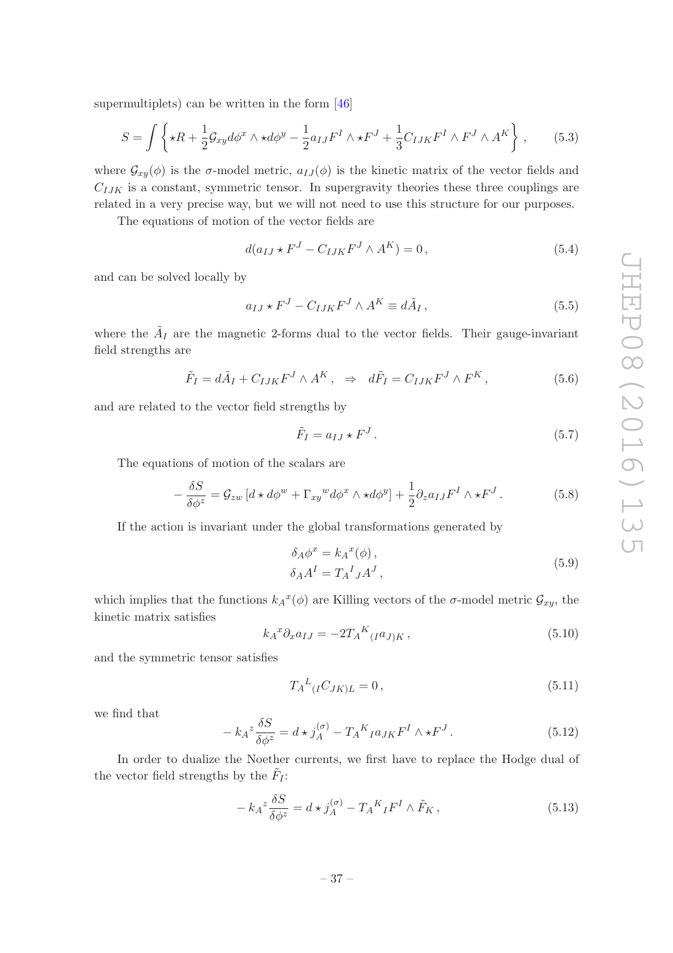supermultiplets) can be written in the form [\[46](#page-52-9)]

$$
S = \int \left\{ \star R + \frac{1}{2} \mathcal{G}_{xy} d\phi^x \wedge \star d\phi^y - \frac{1}{2} a_{IJ} F^I \wedge \star F^J + \frac{1}{3} C_{IJK} F^I \wedge F^J \wedge A^K \right\},\qquad(5.3)
$$

where  $\mathcal{G}_{xy}(\phi)$  is the  $\sigma$ -model metric,  $a_{IJ}(\phi)$  is the kinetic matrix of the vector fields and  $C_{IJK}$  is a constant, symmetric tensor. In supergravity theories these three couplings are related in a very precise way, but we will not need to use this structure for our purposes.

The equations of motion of the vector fields are

$$
d(a_{IJ} \star F^J - C_{IJK} F^J \wedge A^K) = 0, \qquad (5.4)
$$

and can be solved locally by

$$
a_{IJ} \star F^J - C_{IJK} F^J \wedge A^K \equiv d\tilde{A}_I, \qquad (5.5)
$$

where the  $\tilde{A}_I$  are the magnetic 2-forms dual to the vector fields. Their gauge-invariant field strengths are

$$
\tilde{F}_I = d\tilde{A}_I + C_{IJK} F^J \wedge A^K , \Rightarrow d\tilde{F}_I = C_{IJK} F^J \wedge F^K , \qquad (5.6)
$$

and are related to the vector field strengths by

$$
\tilde{F}_I = a_{IJ} \star F^J. \tag{5.7}
$$

The equations of motion of the scalars are

$$
-\frac{\delta S}{\delta \phi^z} = \mathcal{G}_{zw} \left[ d \star d\phi^w + \Gamma_{xy}^{\ \ w} d\phi^x \wedge \star d\phi^y \right] + \frac{1}{2} \partial_z a_{IJ} F^I \wedge \star F^J \,. \tag{5.8}
$$

If the action is invariant under the global transformations generated by

$$
\delta_A \phi^x = k_A{}^x(\phi),
$$
  
\n
$$
\delta_A A^I = T_A{}^I{}_J A^J,
$$
\n(5.9)

which implies that the functions  $k_A^x(\phi)$  are Killing vectors of the  $\sigma$ -model metric  $\mathcal{G}_{xy}$ , the kinetic matrix satisfies

$$
k_A^x \partial_x a_{IJ} = -2T_A^K (I^a J) K \,, \tag{5.10}
$$

and the symmetric tensor satisfies

<span id="page-38-0"></span>
$$
T_A{}^L{}_{(I}C_{JK)L} = 0, \t\t(5.11)
$$

we find that

$$
-k_A^z \frac{\delta S}{\delta \phi^z} = d \star j_A^{(\sigma)} - T_A^K I a_{JK} F^I \wedge \star F^J. \tag{5.12}
$$

In order to dualize the Noether currents, we first have to replace the Hodge dual of the vector field strengths by the  $\tilde{F}_I$ :

$$
-k_A^z \frac{\delta S}{\delta \phi^z} = d \star j_A^{(\sigma)} - T_A^K{}_I F^I \wedge \tilde{F}_K , \qquad (5.13)
$$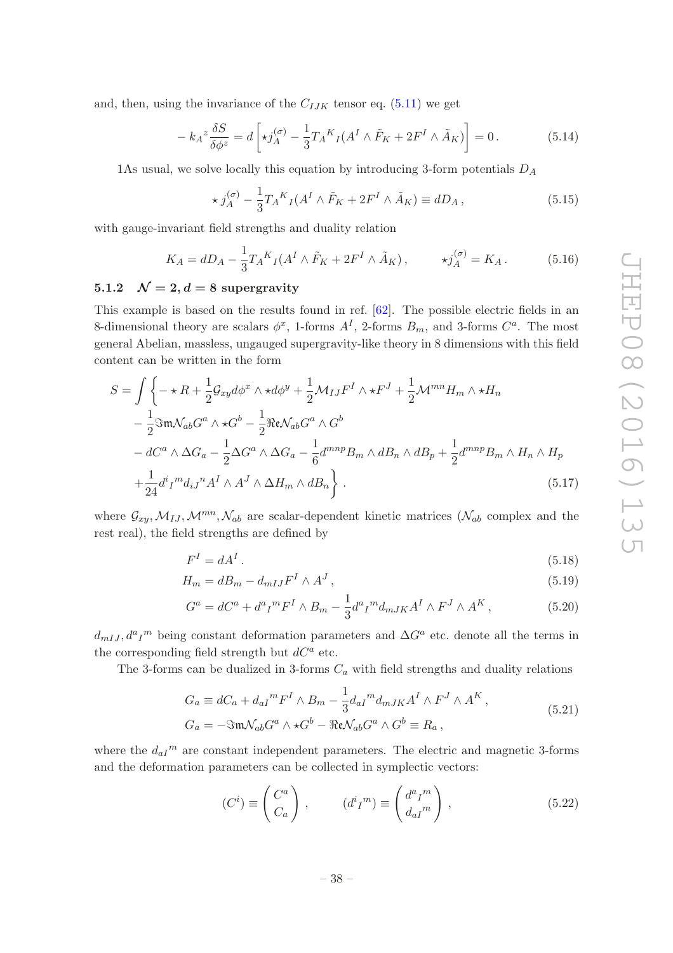and, then, using the invariance of the  $C_{IJK}$  tensor eq. [\(5.11\)](#page-38-0) we get

$$
-k_A^2 \frac{\delta S}{\delta \phi^z} = d \left[ \star j_A^{(\sigma)} - \frac{1}{3} T_A^K I(A^I \wedge \tilde{F}_K + 2F^I \wedge \tilde{A}_K) \right] = 0. \tag{5.14}
$$

1As usual, we solve locally this equation by introducing 3-form potentials  $D_A$ 

$$
\star j_A^{(\sigma)} - \frac{1}{3} T_A{}^K{}_I (A^I \wedge \tilde{F}_K + 2F^I \wedge \tilde{A}_K) \equiv dD_A , \qquad (5.15)
$$

with gauge-invariant field strengths and duality relation

$$
K_A = dD_A - \frac{1}{3} T_A{}^K{}_I (A^I \wedge \tilde{F}_K + 2F^I \wedge \tilde{A}_K) \,, \qquad \star j_A^{(\sigma)} = K_A \,. \tag{5.16}
$$

# <span id="page-39-0"></span>5.1.2  $\mathcal{N} = 2, d = 8$  supergravity

This example is based on the results found in ref. [\[62](#page-53-6)]. The possible electric fields in an 8-dimensional theory are scalars  $\phi^x$ , 1-forms  $A^I$ , 2-forms  $B_m$ , and 3-forms  $C^a$ . The most general Abelian, massless, ungauged supergravity-like theory in 8 dimensions with this field content can be written in the form

$$
S = \int \left\{ -\star R + \frac{1}{2} \mathcal{G}_{xy} d\phi^x \wedge \star d\phi^y + \frac{1}{2} \mathcal{M}_{IJ} F^I \wedge \star F^J + \frac{1}{2} \mathcal{M}^{mn} H_m \wedge \star H_n \right.- \frac{1}{2} \Im \mathfrak{m} \mathcal{N}_{ab} G^a \wedge \star G^b - \frac{1}{2} \Re \mathfrak{e} \mathcal{N}_{ab} G^a \wedge G^b - dC^a \wedge \Delta G_a - \frac{1}{2} \Delta G^a \wedge \Delta G_a - \frac{1}{6} d^{mnp} B_m \wedge dB_n \wedge dB_p + \frac{1}{2} d^{mnp} B_m \wedge H_n \wedge H_p + \frac{1}{24} d^i{}_I^m d_{i}{}_J^n A^I \wedge A^J \wedge \Delta H_m \wedge dB_n \right\}.
$$
 (5.17)

where  $\mathcal{G}_{xy}, \mathcal{M}_{IJ}, \mathcal{M}^{mn}, \mathcal{N}_{ab}$  are scalar-dependent kinetic matrices  $(\mathcal{N}_{ab}$  complex and the rest real), the field strengths are defined by

$$
F^I = dA^I. \tag{5.18}
$$

$$
H_m = dB_m - d_{mIJ} F^I \wedge A^J, \qquad (5.19)
$$

$$
G^{a} = dC^{a} + d^{a}{}_{I}{}^{m}F^{I} \wedge B_{m} - \frac{1}{3}d^{a}{}_{I}{}^{m}d_{mJK}A^{I} \wedge F^{J} \wedge A^{K}, \qquad (5.20)
$$

 $d_{mIJ}, d^a{}_I^m$  being constant deformation parameters and  $\Delta G^a$  etc. denote all the terms in the corresponding field strength but  $dC^a$  etc.

The 3-forms can be dualized in 3-forms  $C_a$  with field strengths and duality relations

$$
G_a \equiv dC_a + d_{aI}{}^m F^I \wedge B_m - \frac{1}{3} d_{aI}{}^m d_{mJK} A^I \wedge F^J \wedge A^K,
$$
  
\n
$$
G_a = -\Im \mathfrak{m} \mathcal{N}_{ab} G^a \wedge \star G^b - \Re \mathfrak{e} \mathcal{N}_{ab} G^a \wedge G^b \equiv R_a,
$$
\n(5.21)

where the  $d_{aI}^m$  are constant independent parameters. The electric and magnetic 3-forms and the deformation parameters can be collected in symplectic vectors:

$$
(C^i) \equiv \begin{pmatrix} C^a \\ C_a \end{pmatrix}, \qquad (d^i{}_I^m) \equiv \begin{pmatrix} d^a{}_I^m \\ d_{aI}^m \end{pmatrix}, \qquad (5.22)
$$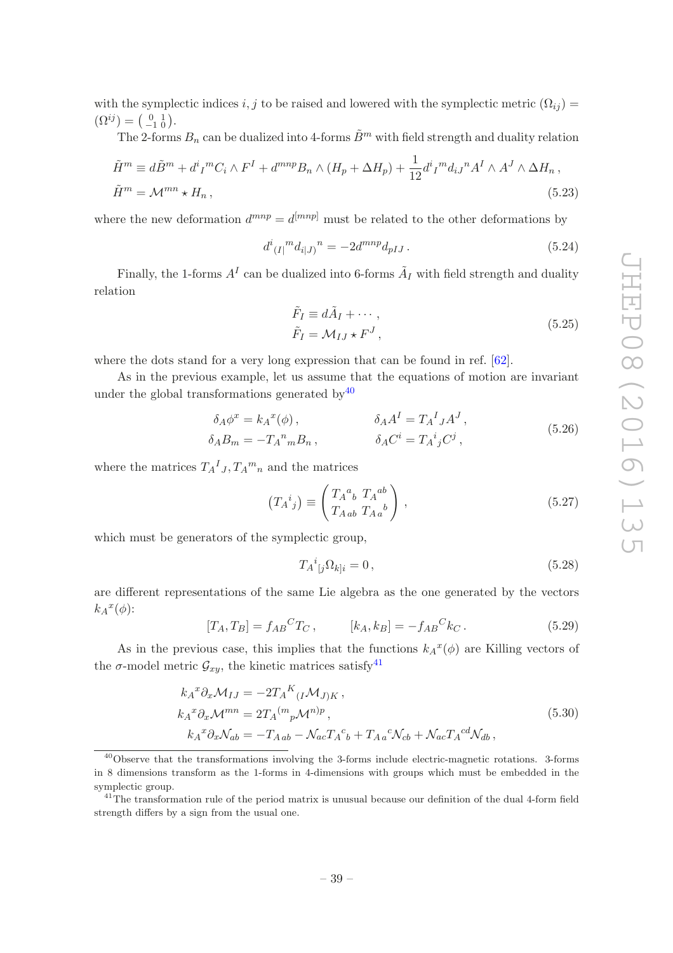with the symplectic indices i, j to be raised and lowered with the symplectic metric  $(\Omega_{ij})$  =  $(\Omega^{ij}) = \begin{pmatrix} 0 & 1 \\ -1 & 0 \end{pmatrix}.$ 

The 2-forms  $B_n$  can be dualized into 4-forms  $\tilde{B}^m$  with field strength and duality relation

$$
\tilde{H}^m \equiv d\tilde{B}^m + d^i{}_I{}^m C_i \wedge F^I + d^{mnp} B_n \wedge (H_p + \Delta H_p) + \frac{1}{12} d^i{}_I{}^m d_{iJ}{}^n A^I \wedge A^J \wedge \Delta H_n ,
$$
\n
$$
\tilde{H}^m = \mathcal{M}^{mn} \star H_n ,
$$
\n(5.23)

where the new deformation  $d^{mnp} = d^{[mnp]}$  must be related to the other deformations by

$$
d^{i}{}_{(I|}{}^{m}d_{i|J)}{}^{n} = -2d^{mnp}d_{pIJ} \,. \tag{5.24}
$$

Finally, the 1-forms  $A^I$  can be dualized into 6-forms  $\tilde{A}_I$  with field strength and duality relation

$$
\tilde{F}_I \equiv d\tilde{A}_I + \cdots, \n\tilde{F}_I = \mathcal{M}_{IJ} \star F^J,
$$
\n(5.25)

where the dots stand for a very long expression that can be found in ref. [\[62\]](#page-53-6).

As in the previous example, let us assume that the equations of motion are invariant under the global transformations generated  $by<sup>40</sup>$  $by<sup>40</sup>$  $by<sup>40</sup>$ 

$$
\delta_A \phi^x = k_A^x(\phi), \qquad \delta_A A^I = T_A^I{}_J A^J,
$$
  
\n
$$
\delta_A B_m = -T_A^n{}_m B_n, \qquad \delta_A C^i = T_A^i{}_j C^j,
$$
\n(5.26)

where the matrices  $T_A^I J$ ,  $T_A^m{}_n$  and the matrices

$$
\left(T_A{}^i{}_j\right) \equiv \left(\frac{T_A{}^a{}_b \ T_A{}^{ab}}{T_{A\,ab} \ T_{A\,a}{}^b}\right),\tag{5.27}
$$

which must be generators of the symplectic group,

$$
T_A{}^i{}_{[j}\Omega_{k|i} = 0\,,\tag{5.28}
$$

are different representations of the same Lie algebra as the one generated by the vectors  $k_A^x(\phi)$ :

$$
[T_A, T_B] = f_{AB}{}^C T_C, \qquad [k_A, k_B] = -f_{AB}{}^C k_C. \qquad (5.29)
$$

As in the previous case, this implies that the functions  $k_A^x(\phi)$  are Killing vectors of the  $\sigma$ -model metric  $\mathcal{G}_{x,y}$ , the kinetic matrices satisfy<sup>[41](#page-40-1)</sup>

$$
k_A^{\alpha} \partial_x \mathcal{M}_{IJ} = -2T_A^K (I \mathcal{M}_{J)K} ,
$$
  
\n
$$
k_A^{\alpha} \partial_x \mathcal{M}^{mn} = 2T_A^{(m}{}_{p} \mathcal{M}^{n)p} ,
$$
  
\n
$$
k_A^{\alpha} \partial_x \mathcal{N}_{ab} = -T_{Aab} - \mathcal{N}_{ac} T_A^c + T_{Aa}^c \mathcal{N}_{cb} + \mathcal{N}_{ac} T_A^{cd} \mathcal{N}_{db} ,
$$
  
\n(5.30)

<span id="page-40-2"></span><span id="page-40-0"></span><sup>40</sup>Observe that the transformations involving the 3-forms include electric-magnetic rotations. 3-forms in 8 dimensions transform as the 1-forms in 4-dimensions with groups which must be embedded in the symplectic group.

<span id="page-40-1"></span><sup>&</sup>lt;sup>41</sup>The transformation rule of the period matrix is unusual because our definition of the dual 4-form field strength differs by a sign from the usual one.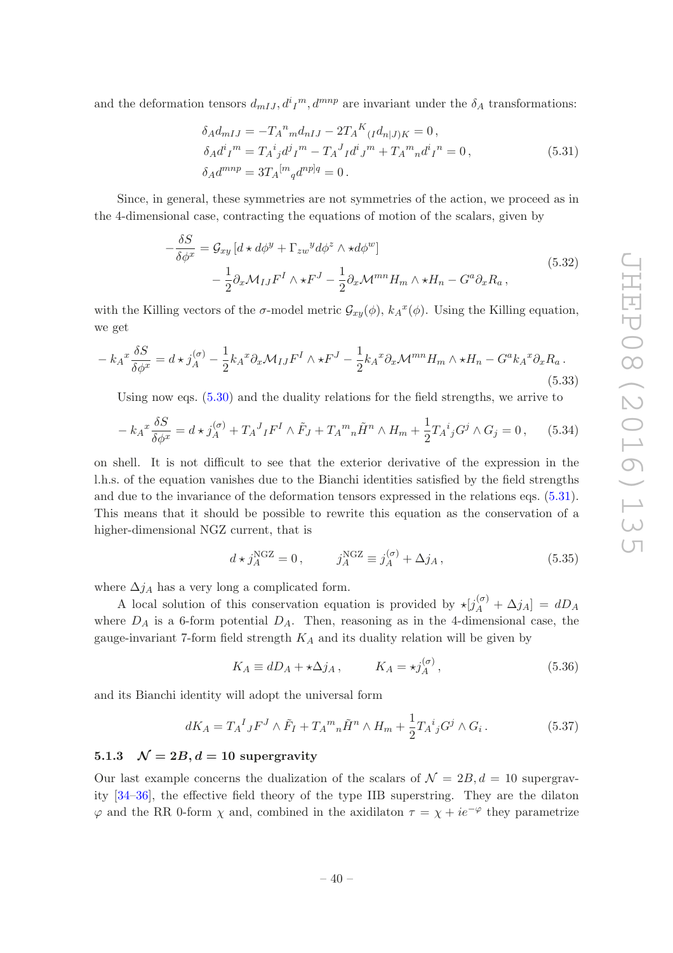<span id="page-41-1"></span>and the deformation tensors  $d_{mIJ}, d^i{}_I^m, d^{mnp}$  are invariant under the  $\delta_A$  transformations:

$$
\delta_A d_{mIJ} = -T_A{}^n{}_m d_{nIJ} - 2T_A{}^K{}_{(I} d_{n|J)K} = 0, \n\delta_A d^i{}_I{}^m = T_A{}^i{}_j d^j{}_I{}^m - T_A{}^J{}_I d^i{}_J{}^m + T_A{}^m{}_n d^i{}_I{}^n = 0, \n\delta_A d^{mnp} = 3T_A{}^{[m}{}_q d^{np]q} = 0.
$$
\n(5.31)

Since, in general, these symmetries are not symmetries of the action, we proceed as in the 4-dimensional case, contracting the equations of motion of the scalars, given by

$$
-\frac{\delta S}{\delta \phi^x} = \mathcal{G}_{xy} \left[ d \star d\phi^y + \Gamma_{zw}{}^y d\phi^z \wedge \star d\phi^w \right]
$$
  

$$
-\frac{1}{2} \partial_x \mathcal{M}_{IJ} F^I \wedge \star F^J - \frac{1}{2} \partial_x \mathcal{M}^{mn} H_m \wedge \star H_n - G^a \partial_x R_a ,
$$
 (5.32)

with the Killing vectors of the  $\sigma$ -model metric  $\mathcal{G}_{xy}(\phi)$ ,  $k_A^x(\phi)$ . Using the Killing equation, we get

$$
-k_A^x \frac{\delta S}{\delta \phi^x} = d \star j_A^{(\sigma)} - \frac{1}{2} k_A^x \partial_x \mathcal{M}_{IJ} F^I \wedge \star F^J - \frac{1}{2} k_A^x \partial_x \mathcal{M}^{mn} H_m \wedge \star H_n - G^a k_A^x \partial_x R_a.
$$
\n(5.33)

Using now eqs. [\(5.30\)](#page-40-2) and the duality relations for the field strengths, we arrive to

$$
-k_A^x \frac{\delta S}{\delta \phi^x} = d \star j_A^{(\sigma)} + T_A^J{}_I F^I \wedge \tilde{F}_J + T_A^m{}_n \tilde{H}^n \wedge H_m + \frac{1}{2} T_A^i{}_j G^j \wedge G_j = 0, \quad (5.34)
$$

on shell. It is not difficult to see that the exterior derivative of the expression in the l.h.s. of the equation vanishes due to the Bianchi identities satisfied by the field strengths and due to the invariance of the deformation tensors expressed in the relations eqs. [\(5.31\)](#page-41-1). This means that it should be possible to rewrite this equation as the conservation of a higher-dimensional NGZ current, that is

$$
d \star j_A^{\text{NGZ}} = 0, \qquad j_A^{\text{NGZ}} \equiv j_A^{(\sigma)} + \Delta j_A, \qquad (5.35)
$$

where  $\Delta j_A$  has a very long a complicated form.

A local solution of this conservation equation is provided by  $\star [j_A^{(\sigma)} + \Delta j_A] = dD_A$ where  $D_A$  is a 6-form potential  $D_A$ . Then, reasoning as in the 4-dimensional case, the gauge-invariant 7-form field strength  $K_A$  and its duality relation will be given by

$$
K_A \equiv dD_A + \star \Delta j_A, \qquad K_A = \star j_A^{(\sigma)}, \qquad (5.36)
$$

and its Bianchi identity will adopt the universal form

$$
dK_A = T_A^I{}_J F^J \wedge \tilde{F}_I + T_A^m{}_n \tilde{H}^n \wedge H_m + \frac{1}{2} T_A^i{}_j G^j \wedge G_i. \tag{5.37}
$$

# <span id="page-41-0"></span>5.1.3  $\mathcal{N} = 2B, d = 10$  supergravity

Our last example concerns the dualization of the scalars of  $\mathcal{N} = 2B, d = 10$  supergravity [\[34](#page-51-15)[–36](#page-51-16)], the effective field theory of the type IIB superstring. They are the dilaton  $\varphi$  and the RR 0-form  $\chi$  and, combined in the axidilaton  $\tau = \chi + ie^{-\varphi}$  they parametrize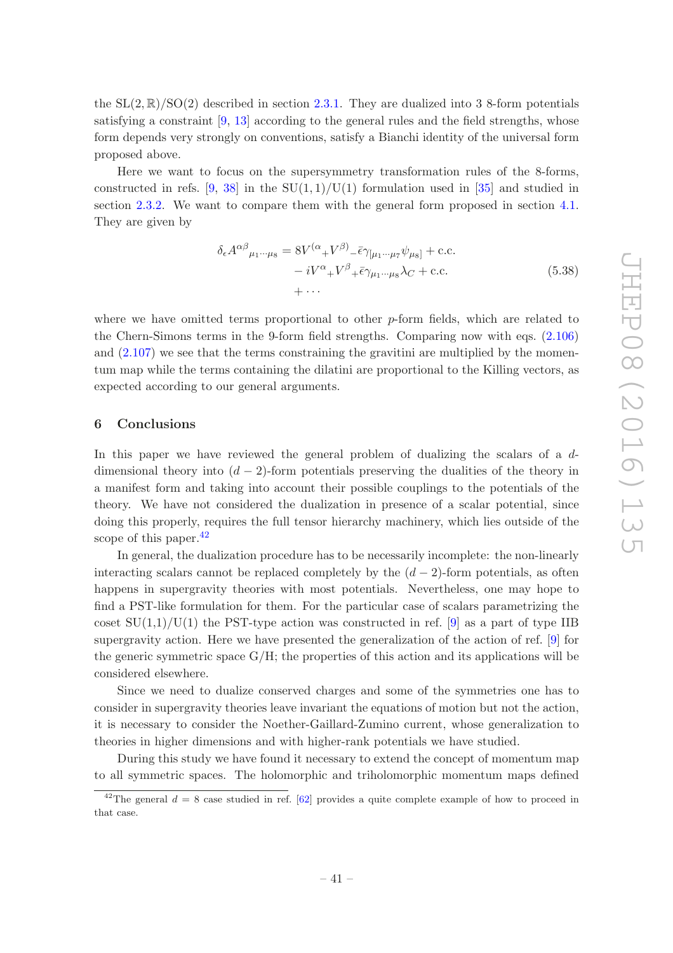the  $SL(2,\mathbb{R})/SO(2)$  described in section [2.3.1.](#page-15-1) They are dualized into 3 8-form potentials satisfying a constraint [\[9,](#page-50-6) [13](#page-50-9)] according to the general rules and the field strengths, whose form depends very strongly on conventions, satisfy a Bianchi identity of the universal form proposed above.

Here we want to focus on the supersymmetry transformation rules of the 8-forms, constructed in refs. [\[9,](#page-50-6) [38](#page-52-1)] in the  $SU(1, 1)/U(1)$  formulation used in [\[35\]](#page-51-17) and studied in section [2.3.2.](#page-17-0) We want to compare them with the general form proposed in section [4.1.](#page-30-0) They are given by

$$
\delta_{\epsilon} A^{\alpha\beta}{}_{\mu_1\cdots\mu_8} = 8V^{(\alpha}{}_{+}V^{\beta)}{}_{-}\bar{\epsilon}\gamma_{[\mu_1\cdots\mu_7}\psi_{\mu_8]} + \text{c.c.} \n- iV^{\alpha}{}_{+}V^{\beta}{}_{+}\bar{\epsilon}\gamma_{\mu_1\cdots\mu_8}\lambda_C + \text{c.c.} \n+ \cdots
$$
\n(5.38)

where we have omitted terms proportional to other  $p$ -form fields, which are related to the Chern-Simons terms in the 9-form field strengths. Comparing now with eqs. [\(2.106\)](#page-19-3) and [\(2.107\)](#page-19-4) we see that the terms constraining the gravitini are multiplied by the momentum map while the terms containing the dilatini are proportional to the Killing vectors, as expected according to our general arguments.

## <span id="page-42-0"></span>6 Conclusions

In this paper we have reviewed the general problem of dualizing the scalars of a ddimensional theory into  $(d-2)$ -form potentials preserving the dualities of the theory in a manifest form and taking into account their possible couplings to the potentials of the theory. We have not considered the dualization in presence of a scalar potential, since doing this properly, requires the full tensor hierarchy machinery, which lies outside of the scope of this paper.<sup>[42](#page-42-1)</sup>

In general, the dualization procedure has to be necessarily incomplete: the non-linearly interacting scalars cannot be replaced completely by the  $(d-2)$ -form potentials, as often happens in supergravity theories with most potentials. Nevertheless, one may hope to find a PST-like formulation for them. For the particular case of scalars parametrizing the coset  $SU(1,1)/U(1)$  the PST-type action was constructed in ref. [\[9\]](#page-50-6) as a part of type IIB supergravity action. Here we have presented the generalization of the action of ref. [\[9](#page-50-6)] for the generic symmetric space  $G/H$ ; the properties of this action and its applications will be considered elsewhere.

Since we need to dualize conserved charges and some of the symmetries one has to consider in supergravity theories leave invariant the equations of motion but not the action, it is necessary to consider the Noether-Gaillard-Zumino current, whose generalization to theories in higher dimensions and with higher-rank potentials we have studied.

During this study we have found it necessary to extend the concept of momentum map to all symmetric spaces. The holomorphic and triholomorphic momentum maps defined

<span id="page-42-1"></span><sup>&</sup>lt;sup>42</sup>The general  $d = 8$  case studied in ref. [\[62\]](#page-53-6) provides a quite complete example of how to proceed in that case.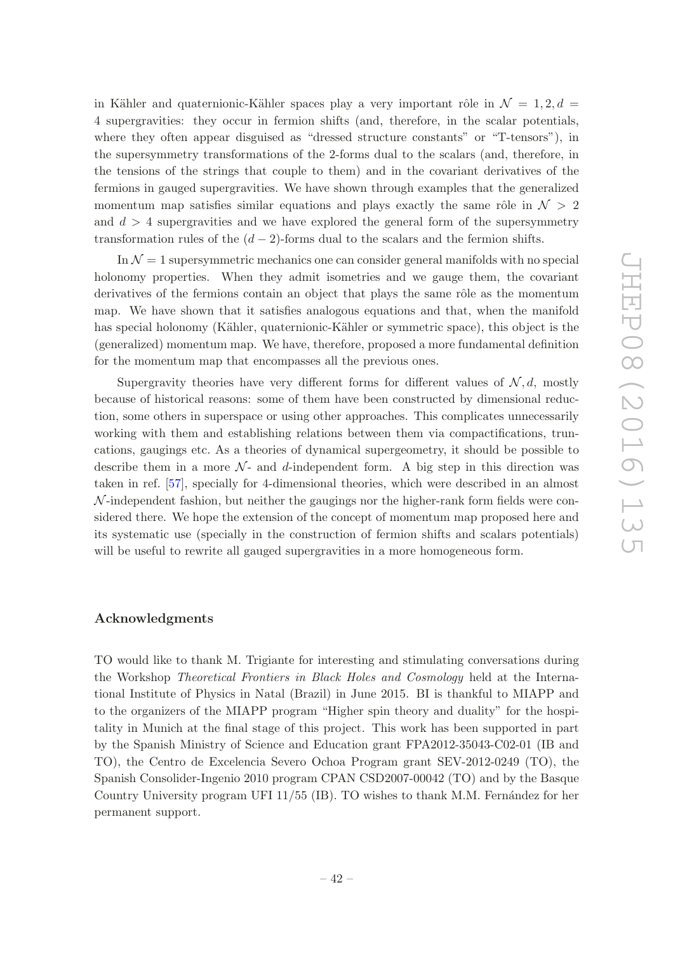in Kähler and quaternionic-Kähler spaces play a very important rôle in  $\mathcal{N} = 1, 2, d =$ 4 supergravities: they occur in fermion shifts (and, therefore, in the scalar potentials, where they often appear disguised as "dressed structure constants" or "T-tensors"), in the supersymmetry transformations of the 2-forms dual to the scalars (and, therefore, in the tensions of the strings that couple to them) and in the covariant derivatives of the fermions in gauged supergravities. We have shown through examples that the generalized momentum map satisfies similar equations and plays exactly the same rôle in  $\mathcal{N} > 2$ and  $d > 4$  supergravities and we have explored the general form of the supersymmetry transformation rules of the  $(d-2)$ -forms dual to the scalars and the fermion shifts.

In  $\mathcal{N} = 1$  supersymmetric mechanics one can consider general manifolds with no special holonomy properties. When they admit isometries and we gauge them, the covariant derivatives of the fermions contain an object that plays the same rôle as the momentum map. We have shown that it satisfies analogous equations and that, when the manifold has special holonomy (Kähler, quaternionic-Kähler or symmetric space), this object is the (generalized) momentum map. We have, therefore, proposed a more fundamental definition for the momentum map that encompasses all the previous ones.

Supergravity theories have very different forms for different values of  $N, d$ , mostly because of historical reasons: some of them have been constructed by dimensional reduction, some others in superspace or using other approaches. This complicates unnecessarily working with them and establishing relations between them via compactifications, truncations, gaugings etc. As a theories of dynamical supergeometry, it should be possible to describe them in a more  $\mathcal{N}$ - and d-independent form. A big step in this direction was taken in ref. [\[57](#page-53-1)], specially for 4-dimensional theories, which were described in an almost  $\mathcal N$ -independent fashion, but neither the gaugings nor the higher-rank form fields were considered there. We hope the extension of the concept of momentum map proposed here and its systematic use (specially in the construction of fermion shifts and scalars potentials) will be useful to rewrite all gauged supergravities in a more homogeneous form.

## Acknowledgments

TO would like to thank M. Trigiante for interesting and stimulating conversations during the Workshop Theoretical Frontiers in Black Holes and Cosmology held at the International Institute of Physics in Natal (Brazil) in June 2015. BI is thankful to MIAPP and to the organizers of the MIAPP program "Higher spin theory and duality" for the hospitality in Munich at the final stage of this project. This work has been supported in part by the Spanish Ministry of Science and Education grant FPA2012-35043-C02-01 (IB and TO), the Centro de Excelencia Severo Ochoa Program grant SEV-2012-0249 (TO), the Spanish Consolider-Ingenio 2010 program CPAN CSD2007-00042 (TO) and by the Basque Country University program UFI  $11/55$  (IB). TO wishes to thank M.M. Fernández for her permanent support.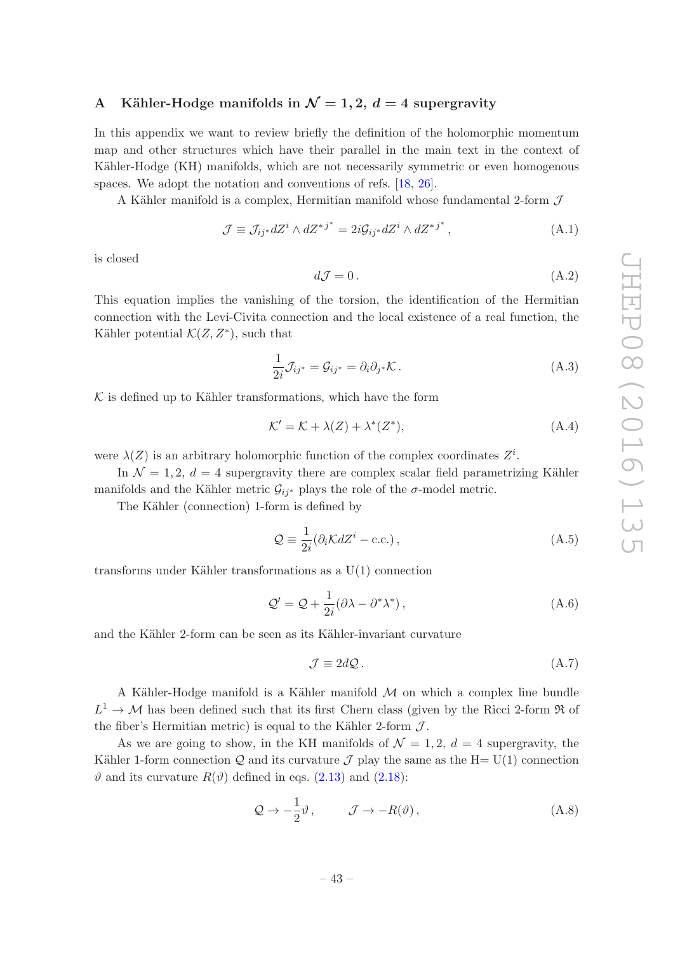# <span id="page-44-0"></span>A Kähler-Hodge manifolds in  $\mathcal{N} = 1, 2, d = 4$  supergravity

In this appendix we want to review briefly the definition of the holomorphic momentum map and other structures which have their parallel in the main text in the context of Kähler-Hodge (KH) manifolds, which are not necessarily symmetric or even homogenous spaces. We adopt the notation and conventions of refs. [\[18](#page-51-1), [26\]](#page-51-7).

A Kähler manifold is a complex, Hermitian manifold whose fundamental 2-form  $\mathcal J$ 

$$
\mathcal{J} \equiv \mathcal{J}_{ij^*} dZ^i \wedge dZ^{*j^*} = 2i\mathcal{G}_{ij^*} dZ^i \wedge dZ^{*j^*}, \tag{A.1}
$$

is closed

<span id="page-44-2"></span>
$$
d\mathcal{J} = 0. \tag{A.2}
$$

This equation implies the vanishing of the torsion, the identification of the Hermitian connection with the Levi-Civita connection and the local existence of a real function, the Kähler potential  $\mathcal{K}(Z, Z^*)$ , such that

$$
\frac{1}{2i}\mathcal{J}_{ij^*} = \mathcal{G}_{ij^*} = \partial_i \partial_{j^*} \mathcal{K} \,.
$$
\n(A.3)

 $K$  is defined up to Kähler transformations, which have the form

<span id="page-44-1"></span>
$$
\mathcal{K}' = \mathcal{K} + \lambda(Z) + \lambda^*(Z^*),\tag{A.4}
$$

were  $\lambda(Z)$  is an arbitrary holomorphic function of the complex coordinates  $Z^i$ .

In  $\mathcal{N} = 1, 2, d = 4$  supergravity there are complex scalar field parametrizing Kähler manifolds and the Kähler metric  $\mathcal{G}_{ij^*}$  plays the role of the  $\sigma$ -model metric.

The Kähler (connection) 1-form is defined by

$$
\mathcal{Q} \equiv \frac{1}{2i} (\partial_i \mathcal{K} dZ^i - \text{c.c.}),\tag{A.5}
$$

transforms under Kähler transformations as a  $U(1)$  connection

$$
\mathcal{Q}' = \mathcal{Q} + \frac{1}{2i} (\partial \lambda - \partial^* \lambda^*), \qquad (A.6)
$$

and the Kähler 2-form can be seen as its Kähler-invariant curvature

$$
\mathcal{J} \equiv 2d\mathcal{Q}.\tag{A.7}
$$

A Kähler-Hodge manifold is a Kähler manifold  $\mathcal M$  on which a complex line bundle  $L^1 \to \mathcal{M}$  has been defined such that its first Chern class (given by the Ricci 2-form  $\Re$  of the fiber's Hermitian metric) is equal to the Kähler 2-form  $\mathcal{J}$ .

As we are going to show, in the KH manifolds of  $\mathcal{N} = 1, 2, d = 4$  supergravity, the Kähler 1-form connection Q and its curvature  $\mathcal J$  play the same as the H= U(1) connection  $\vartheta$  and its curvature  $R(\vartheta)$  defined in eqs. [\(2.13\)](#page-7-6) and [\(2.18\)](#page-7-5):

<span id="page-44-3"></span>
$$
\mathcal{Q} \to -\frac{1}{2}\vartheta \,, \qquad \mathcal{J} \to -R(\vartheta) \,, \tag{A.8}
$$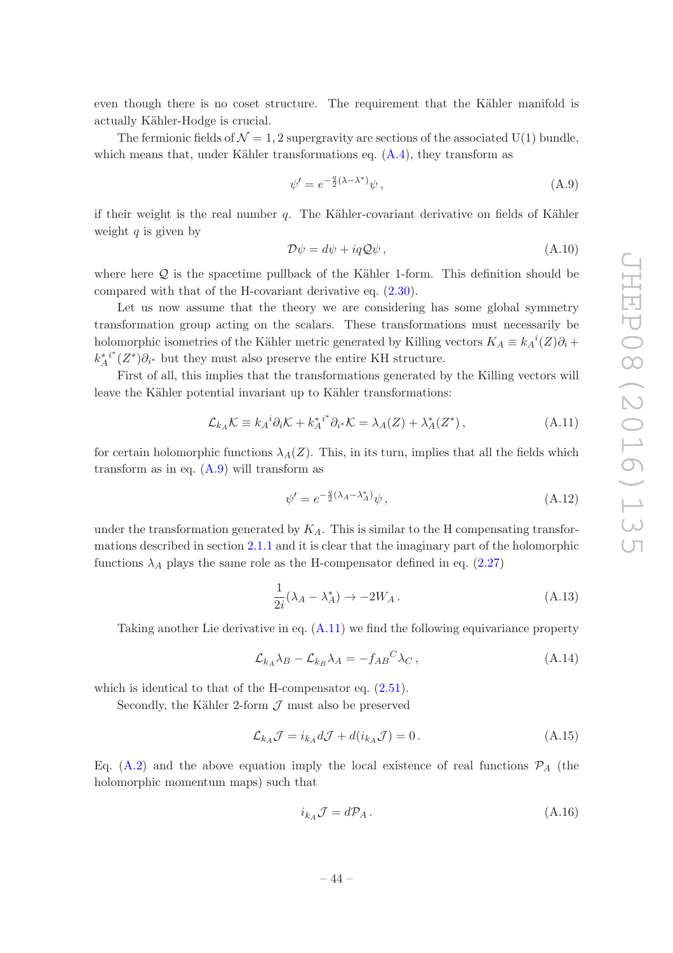even though there is no coset structure. The requirement that the Kähler manifold is actually Kähler-Hodge is crucial.

The fermionic fields of  $\mathcal{N} = 1, 2$  supergravity are sections of the associated U(1) bundle, which means that, under Kähler transformations eq.  $(A.4)$ , they transform as

<span id="page-45-1"></span>
$$
\psi' = e^{-\frac{q}{2}(\lambda - \lambda^*)}\psi,\tag{A.9}
$$

if their weight is the real number  $q$ . The Kähler-covariant derivative on fields of Kähler weight  $q$  is given by

$$
\mathcal{D}\psi = d\psi + iq\mathcal{Q}\psi, \qquad (A.10)
$$

where here  $\mathcal Q$  is the spacetime pullback of the Kähler 1-form. This definition should be compared with that of the H-covariant derivative eq. [\(2.30\)](#page-9-4).

Let us now assume that the theory we are considering has some global symmetry transformation group acting on the scalars. These transformations must necessarily be holomorphic isometries of the Kähler metric generated by Killing vectors  $K_A \equiv k_A{}^i(Z)\partial_i +$  $k_A^*^{i^*}(Z^*)\partial_{i^*}$  but they must also preserve the entire KH structure.

First of all, this implies that the transformations generated by the Killing vectors will leave the Kähler potential invariant up to Kähler transformations:

<span id="page-45-2"></span>
$$
\mathcal{L}_{k_A} \mathcal{K} \equiv k_A{}^i \partial_i \mathcal{K} + k_A^{*}{}^{i*} \partial_{i*} \mathcal{K} = \lambda_A(Z) + \lambda_A^* (Z^*), \tag{A.11}
$$

for certain holomorphic functions  $\lambda_A(Z)$ . This, in its turn, implies that all the fields which transform as in eq.  $(A.9)$  will transform as

$$
\psi' = e^{-\frac{q}{2}(\lambda_A - \lambda_A^*)}\psi,\tag{A.12}
$$

under the transformation generated by  $K_A$ . This is similar to the H compensating transformations described in section [2.1.1](#page-9-0) and it is clear that the imaginary part of the holomorphic functions  $\lambda_A$  plays the same role as the H-compensator defined in eq. [\(2.27\)](#page-8-3)

$$
\frac{1}{2i}(\lambda_A - \lambda_A^*) \to -2W_A. \tag{A.13}
$$

Taking another Lie derivative in eq.  $(A.11)$  we find the following equivariance property

$$
\mathcal{L}_{k_A} \lambda_B - \mathcal{L}_{k_B} \lambda_A = -f_{AB}{}^C \lambda_C, \qquad (A.14)
$$

which is identical to that of the H-compensator eq.  $(2.51)$ .

Secondly, the Kähler 2-form  $\mathcal J$  must also be preserved

$$
\mathcal{L}_{k_A} \mathcal{J} = i_{k_A} d\mathcal{J} + d(i_{k_A} \mathcal{J}) = 0.
$$
\n(A.15)

Eq.  $(A.2)$  and the above equation imply the local existence of real functions  $\mathcal{P}_A$  (the holomorphic momentum maps) such that

<span id="page-45-0"></span>
$$
i_{k_A} \mathcal{J} = d\mathcal{P}_A. \tag{A.16}
$$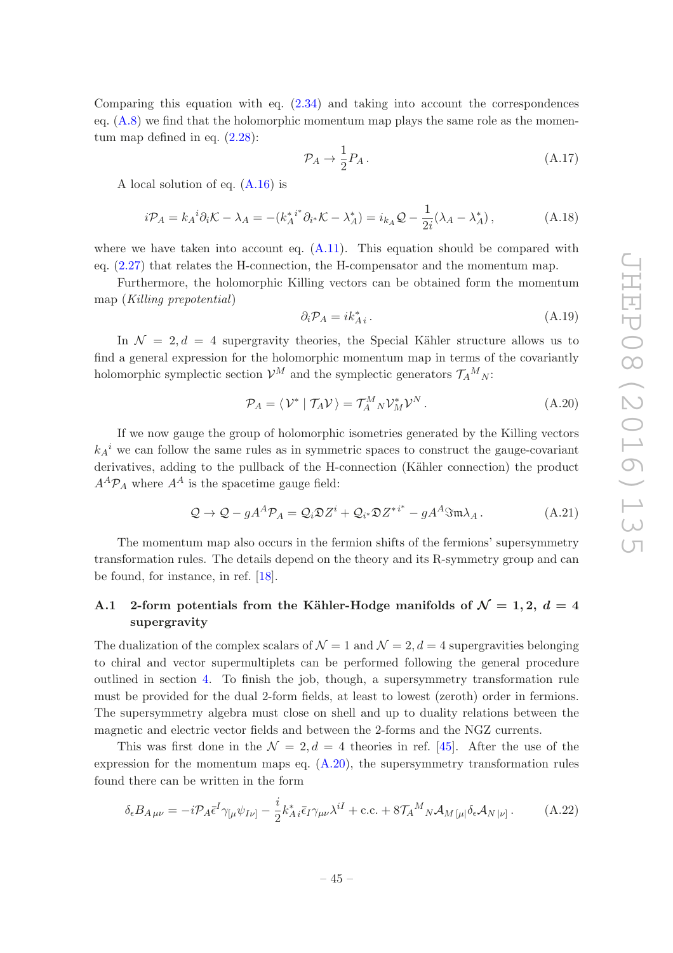Comparing this equation with eq.  $(2.34)$  and taking into account the correspondences eq.  $(A.8)$  we find that the holomorphic momentum map plays the same role as the momentum map defined in eq.  $(2.28)$ :

$$
\mathcal{P}_A \to \frac{1}{2} P_A \,. \tag{A.17}
$$

A local solution of eq. [\(A.16\)](#page-45-0) is

$$
i\mathcal{P}_A = k_A{}^i \partial_i \mathcal{K} - \lambda_A = -(k_A^{*i^*} \partial_{i^*} \mathcal{K} - \lambda_A^*) = i_{k_A} \mathcal{Q} - \frac{1}{2i} (\lambda_A - \lambda_A^*), \tag{A.18}
$$

where we have taken into account eq.  $(A.11)$ . This equation should be compared with eq. [\(2.27\)](#page-8-3) that relates the H-connection, the H-compensator and the momentum map.

Furthermore, the holomorphic Killing vectors can be obtained form the momentum map (Killing prepotential)

<span id="page-46-1"></span>
$$
\partial_i \mathcal{P}_A = i k_{Ai}^* \,. \tag{A.19}
$$

In  $\mathcal{N} = 2, d = 4$  supergravity theories, the Special Kähler structure allows us to find a general expression for the holomorphic momentum map in terms of the covariantly holomorphic symplectic section  $\mathcal{V}^M$  and the symplectic generators  $\mathcal{T}_A{}^M{}_N$ :

<span id="page-46-2"></span>
$$
\mathcal{P}_A = \langle \mathcal{V}^* | \mathcal{T}_A \mathcal{V} \rangle = \mathcal{T}_A^M{}_N \mathcal{V}_M^* \mathcal{V}^N. \tag{A.20}
$$

If we now gauge the group of holomorphic isometries generated by the Killing vectors  $k_A^i$  we can follow the same rules as in symmetric spaces to construct the gauge-covariant derivatives, adding to the pullback of the H-connection (Kähler connection) the product  $A^A \mathcal{P}_A$  where  $A^A$  is the spacetime gauge field:

$$
Q \to Q - gA^A \mathcal{P}_A = Q_i \mathfrak{D} Z^i + Q_{i^*} \mathfrak{D} Z^{*i^*} - gA^A \mathfrak{Im}\lambda_A.
$$
 (A.21)

The momentum map also occurs in the fermion shifts of the fermions' supersymmetry transformation rules. The details depend on the theory and its R-symmetry group and can be found, for instance, in ref. [\[18\]](#page-51-1).

# <span id="page-46-0"></span>A.1 2-form potentials from the Kähler-Hodge manifolds of  $\mathcal{N} = 1, 2, d = 4$ supergravity

The dualization of the complex scalars of  $\mathcal{N}=1$  and  $\mathcal{N}=2, d=4$  supergravities belonging to chiral and vector supermultiplets can be performed following the general procedure outlined in section [4.](#page-27-0) To finish the job, though, a supersymmetry transformation rule must be provided for the dual 2-form fields, at least to lowest (zeroth) order in fermions. The supersymmetry algebra must close on shell and up to duality relations between the magnetic and electric vector fields and between the 2-forms and the NGZ currents.

This was first done in the  $\mathcal{N} = 2, d = 4$  theories in ref. [\[45](#page-52-8)]. After the use of the expression for the momentum maps eq.  $(A.20)$ , the supersymmetry transformation rules found there can be written in the form

$$
\delta_{\epsilon} B_{A\,\mu\nu} = -i \mathcal{P}_A \bar{\epsilon}^I \gamma_{[\mu} \psi_{I\nu]} - \frac{i}{2} k_{A\,i}^* \bar{\epsilon}_I \gamma_{\mu\nu} \lambda^{iI} + \text{c.c.} + 8 \mathcal{T}_A{}^M{}_N \mathcal{A}_{M \, [\mu]} \delta_{\epsilon} \mathcal{A}_{N \, |\nu]} \,. \tag{A.22}
$$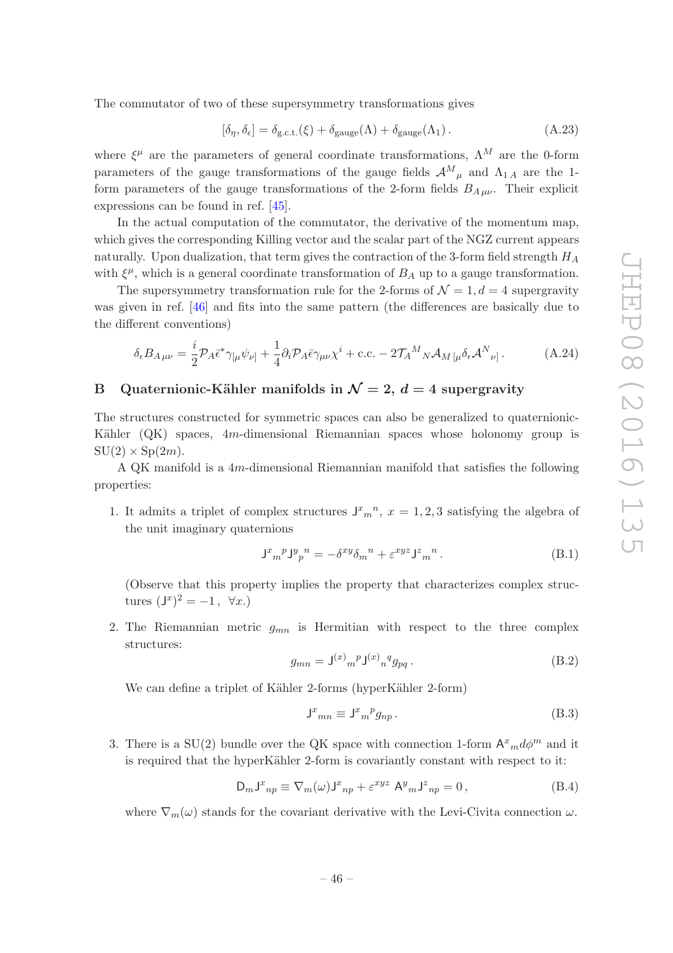The commutator of two of these supersymmetry transformations gives

$$
[\delta_{\eta}, \delta_{\epsilon}] = \delta_{\text{g.c.t.}}(\xi) + \delta_{\text{gauge}}(\Lambda) + \delta_{\text{gauge}}(\Lambda_1). \tag{A.23}
$$

where  $\xi^{\mu}$  are the parameters of general coordinate transformations,  $\Lambda^{M}$  are the 0-form parameters of the gauge transformations of the gauge fields  ${\cal A}^M{}_{\mu}$  and  $\Lambda_{1\,A}$  are the 1form parameters of the gauge transformations of the 2-form fields  $B_{A\mu\nu}$ . Their explicit expressions can be found in ref. [\[45](#page-52-8)].

In the actual computation of the commutator, the derivative of the momentum map, which gives the corresponding Killing vector and the scalar part of the NGZ current appears naturally. Upon dualization, that term gives the contraction of the 3-form field strength  $H_A$ with  $\xi^{\mu}$ , which is a general coordinate transformation of  $B_A$  up to a gauge transformation.

The supersymmetry transformation rule for the 2-forms of  $\mathcal{N} = 1, d = 4$  supergravity was given in ref. [\[46](#page-52-9)] and fits into the same pattern (the differences are basically due to the different conventions)

$$
\delta_{\epsilon} B_{A\,\mu\nu} = \frac{i}{2} \mathcal{P}_A \bar{\epsilon}^* \gamma_{[\mu} \psi_{\nu]} + \frac{1}{4} \partial_i \mathcal{P}_A \bar{\epsilon} \gamma_{\mu\nu} \chi^i + \text{c.c.} - 2 \mathcal{T}_A{}^M{}_N \mathcal{A}_{M \, [\mu} \delta_{\epsilon} \mathcal{A}^N{}_{\nu]} \,. \tag{A.24}
$$

# <span id="page-47-0"></span>B Quaternionic-Kähler manifolds in  $\mathcal{N}=2$ ,  $d=4$  supergravity

The structures constructed for symmetric spaces can also be generalized to quaternionic-Kähler  $(QK)$  spaces, 4m-dimensional Riemannian spaces whose holonomy group is  $SU(2) \times Sp(2m)$ .

A QK manifold is a 4m-dimensional Riemannian manifold that satisfies the following properties:

1. It admits a triplet of complex structures  $J^{x}{}_{m}{}^{n}$ ,  $x = 1, 2, 3$  satisfying the algebra of the unit imaginary quaternions

$$
\mathbf{J}^x{}_m{}^p \mathbf{J}^y{}_p{}^n = -\delta^{xy}\delta_m{}^n + \varepsilon^{xyz}\mathbf{J}^z{}_m{}^n. \tag{B.1}
$$

(Observe that this property implies the property that characterizes complex structures  $(J^x)^2 = -1$ ,  $\forall x$ .)

2. The Riemannian metric  $g_{mn}$  is Hermitian with respect to the three complex structures:

$$
g_{mn} = J^{(x)}{}_{m}{}^{p} J^{(x)}{}_{n}{}^{q} g_{pq} . \tag{B.2}
$$

We can define a triplet of Kähler 2-forms (hyperKähler 2-form)

$$
\mathsf{J}^x{}_{mn} \equiv \mathsf{J}^x{}_m{}^p g_{np} \,. \tag{B.3}
$$

3. There is a SU(2) bundle over the QK space with connection 1-form  $A^x_m d\phi^m$  and it is required that the hyperKähler 2-form is covariantly constant with respect to it:

$$
\mathsf{D}_{m} \mathsf{J}_{np}^{x} \equiv \nabla_{m}(\omega) \mathsf{J}_{np}^{x} + \varepsilon^{xyz} \mathsf{A}_{m}^{y} \mathsf{J}_{np}^{z} = 0, \tag{B.4}
$$

where  $\nabla_m(\omega)$  stands for the covariant derivative with the Levi-Civita connection  $\omega$ .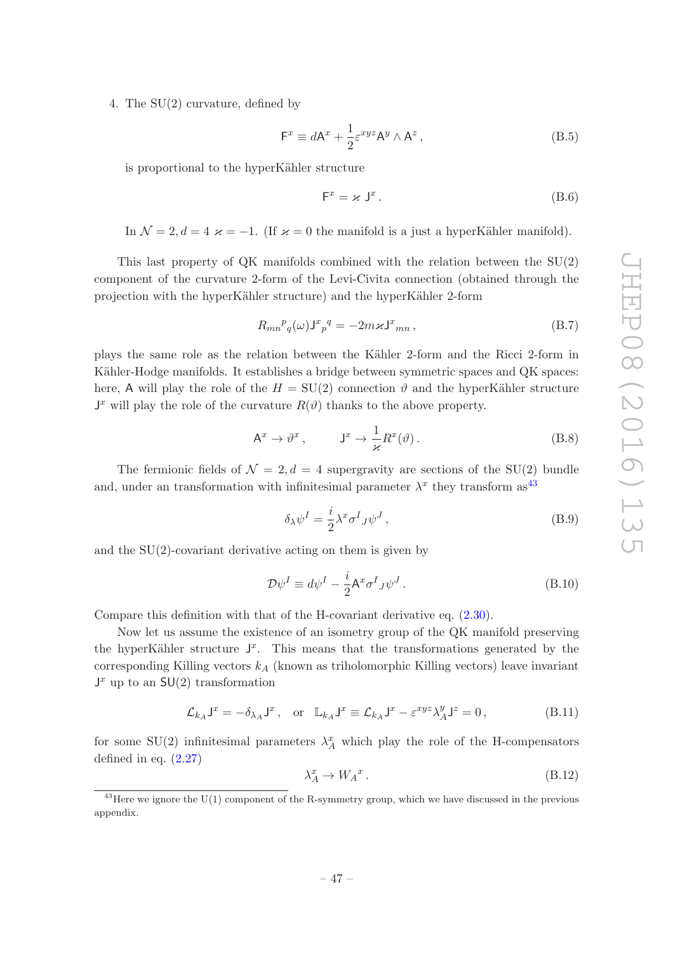4. The SU(2) curvature, defined by

<span id="page-48-2"></span>
$$
\mathsf{F}^x \equiv d\mathsf{A}^x + \frac{1}{2} \varepsilon^{xyz} \mathsf{A}^y \wedge \mathsf{A}^z \,, \tag{B.5}
$$

is proportional to the hyperKähler structure

<span id="page-48-0"></span>
$$
\mathsf{F}^x = \varkappa \mathsf{J}^x. \tag{B.6}
$$

In  $\mathcal{N} = 2, d = 4, \mathcal{U} = -1$ . (If  $\mathcal{U} = 0$  the manifold is a just a hyperKähler manifold).

This last property of QK manifolds combined with the relation between the SU(2) component of the curvature 2-form of the Levi-Civita connection (obtained through the projection with the hyperKähler structure) and the hyperKähler 2-form

$$
R_{mn}{}^p{}_q(\omega)J^x{}_p{}^q = -2m\varkappa J^x{}_{mn}\,,\tag{B.7}
$$

plays the same role as the relation between the K¨ahler 2-form and the Ricci 2-form in Kähler-Hodge manifolds. It establishes a bridge between symmetric spaces and QK spaces: here, A will play the role of the  $H = SU(2)$  connection  $\vartheta$  and the hyperKähler structure  $J^x$  will play the role of the curvature  $R(\vartheta)$  thanks to the above property.

$$
\mathsf{A}^x \to \vartheta^x \,, \qquad \mathsf{J}^x \to \frac{1}{\varkappa} R^x(\vartheta) \,. \tag{B.8}
$$

The fermionic fields of  $\mathcal{N} = 2, d = 4$  supergravity are sections of the SU(2) bundle and, under an transformation with infinitesimal parameter  $\lambda^x$  they transform as<sup>[43](#page-48-1)</sup>

$$
\delta_{\lambda} \psi^{I} = \frac{i}{2} \lambda^{x} \sigma^{I}{}_{J} \psi^{J}, \qquad (B.9)
$$

and the  $SU(2)$ -covariant derivative acting on them is given by

$$
\mathcal{D}\psi^I \equiv d\psi^I - \frac{i}{2} \mathsf{A}^x \sigma^I{}_J \psi^J \,. \tag{B.10}
$$

Compare this definition with that of the H-covariant derivative eq. [\(2.30\)](#page-9-4).

Now let us assume the existence of an isometry group of the QK manifold preserving the hyperKähler structure  $J^x$ . This means that the transformations generated by the corresponding Killing vectors  $k_A$  (known as triholomorphic Killing vectors) leave invariant  $J^x$  up to an  $SU(2)$  transformation

$$
\mathcal{L}_{k_A} \mathsf{J}^x = -\delta_{\lambda_A} \mathsf{J}^x \,, \quad \text{or} \quad \mathbb{L}_{k_A} \mathsf{J}^x \equiv \mathcal{L}_{k_A} \mathsf{J}^x - \varepsilon^{xyz} \lambda_A^y \mathsf{J}^z = 0 \,, \tag{B.11}
$$

for some SU(2) infinitesimal parameters  $\lambda_A^x$  which play the role of the H-compensators defined in eq.  $(2.27)$ 

$$
\lambda_A^x \to W_A{}^x. \tag{B.12}
$$

<span id="page-48-1"></span> $^{43}$ Here we ignore the U(1) component of the R-symmetry group, which we have discussed in the previous appendix.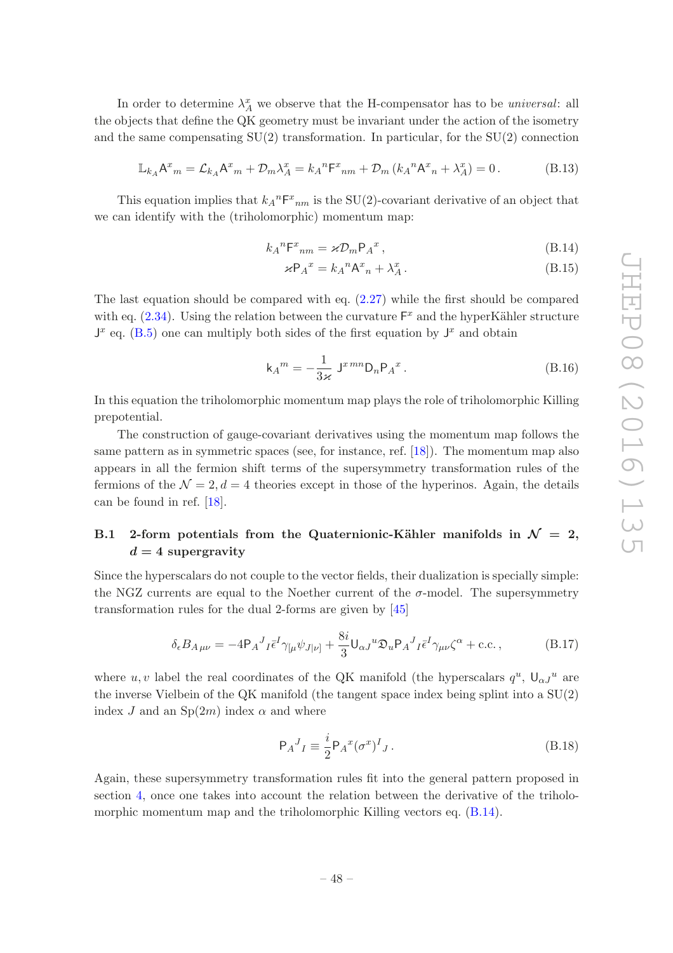In order to determine  $\lambda_A^x$  we observe that the H-compensator has to be *universal*: all the objects that define the QK geometry must be invariant under the action of the isometry and the same compensating  $SU(2)$  transformation. In particular, for the  $SU(2)$  connection

$$
\mathbb{L}_{k_A} \mathsf{A}^x{}_m = \mathcal{L}_{k_A} \mathsf{A}^x{}_m + \mathcal{D}_m \lambda_A^x = k_A{}^n \mathsf{F}^x{}_{nm} + \mathcal{D}_m \left( k_A{}^n \mathsf{A}^x{}_n + \lambda_A^x \right) = 0 \,. \tag{B.13}
$$

This equation implies that  $k_A{}^nF^x{}_{nm}$  is the SU(2)-covariant derivative of an object that we can identify with the (triholomorphic) momentum map:

$$
k_A{}^n \mathsf{F}^x{}_{nm} = \varkappa \mathcal{D}_m \mathsf{P}_A{}^x \,, \tag{B.14}
$$

<span id="page-49-1"></span>
$$
\varkappa \mathsf{P}_A{}^x = k_A{}^n \mathsf{A}^x{}_n + \lambda_A^x \,. \tag{B.15}
$$

The last equation should be compared with eq. [\(2.27\)](#page-8-3) while the first should be compared with eq.  $(2.34)$ . Using the relation between the curvature  $F<sup>x</sup>$  and the hyperKähler structure  $J^x$  eq. [\(B.5\)](#page-48-2) one can multiply both sides of the first equation by  $J^x$  and obtain

$$
\mathbf{k}_{A}{}^{m} = -\frac{1}{3\varkappa} \mathbf{J}^{x \, mn} \mathbf{D}_{n} \mathbf{P}_{A}{}^{x} \,. \tag{B.16}
$$

In this equation the triholomorphic momentum map plays the role of triholomorphic Killing prepotential.

The construction of gauge-covariant derivatives using the momentum map follows the same pattern as in symmetric spaces (see, for instance, ref. [\[18\]](#page-51-1)). The momentum map also appears in all the fermion shift terms of the supersymmetry transformation rules of the fermions of the  $\mathcal{N} = 2, d = 4$  theories except in those of the hyperinos. Again, the details can be found in ref. [\[18\]](#page-51-1).

# <span id="page-49-0"></span>B.1 2-form potentials from the Quaternionic-Kähler manifolds in  $\mathcal{N} = 2$ ,  $d = 4$  supergravity

Since the hyperscalars do not couple to the vector fields, their dualization is specially simple: the NGZ currents are equal to the Noether current of the  $\sigma$ -model. The supersymmetry transformation rules for the dual 2-forms are given by [\[45\]](#page-52-8)

<span id="page-49-2"></span>
$$
\delta_{\epsilon} B_{A\,\mu\nu} = -4\mathsf{P}_{A}{}^{J}{}_{I}\bar{\epsilon}^{I}\gamma_{[\mu}\psi_{J|\nu]} + \frac{8i}{3}\mathsf{U}_{\alpha J}{}^{u}\mathfrak{D}_{u}\mathsf{P}_{A}{}^{J}{}_{I}\bar{\epsilon}^{I}\gamma_{\mu\nu}\zeta^{\alpha} + \text{c.c.}\,,\tag{B.17}
$$

where  $u, v$  label the real coordinates of the QK manifold (the hyperscalars  $q^u$ ,  $\mathsf{U}_{\alpha}j^u$  are the inverse Vielbein of the QK manifold (the tangent space index being splint into a SU(2) index J and an  $Sp(2m)$  index  $\alpha$  and where

$$
\mathsf{P}_A{}^J{}_I \equiv \frac{i}{2} \mathsf{P}_A{}^x (\sigma^x) {}^I{}_J \,. \tag{B.18}
$$

Again, these supersymmetry transformation rules fit into the general pattern proposed in section [4,](#page-27-0) once one takes into account the relation between the derivative of the triholomorphic momentum map and the triholomorphic Killing vectors eq. [\(B.14\)](#page-49-1).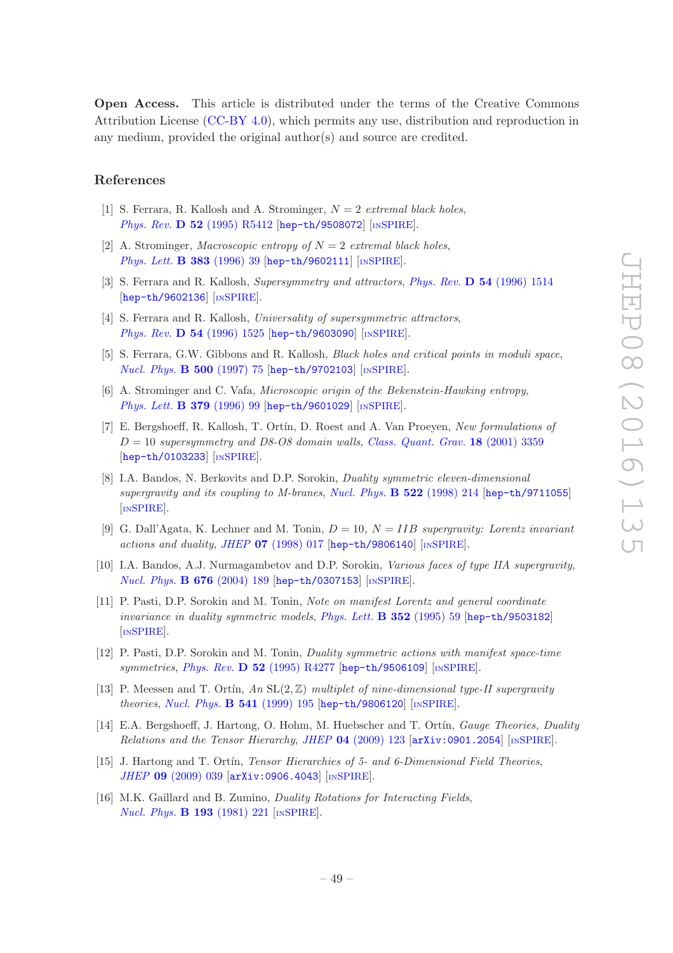Open Access. This article is distributed under the terms of the Creative Commons Attribution License [\(CC-BY 4.0\)](http://creativecommons.org/licenses/by/4.0/), which permits any use, distribution and reproduction in any medium, provided the original author(s) and source are credited.

## References

- <span id="page-50-0"></span>[1] S. Ferrara, R. Kallosh and A. Strominger,  $N = 2$  extremal black holes, Phys. Rev. D 52 [\(1995\) R5412](http://dx.doi.org/10.1103/PhysRevD.52.R5412) [[hep-th/9508072](http://arxiv.org/abs/hep-th/9508072)] [IN[SPIRE](http://inspirehep.net/search?p=find+%22Phys.Rev.,D52,5412%22)].
- [2] A. Strominger, *Macroscopic entropy of*  $N = 2$  *extremal black holes,* [Phys. Lett.](http://dx.doi.org/10.1016/0370-2693(96)00711-3) **B 383** (1996) 39 [[hep-th/9602111](http://arxiv.org/abs/hep-th/9602111)] [IN[SPIRE](http://inspirehep.net/search?p=find+J+%22Phys.Lett.,B383,39%22)].
- [3] S. Ferrara and R. Kallosh, *Supersymmetry and attractors, Phys. Rev.* **D 54** [\(1996\) 1514](http://dx.doi.org/10.1103/PhysRevD.54.1514) [[hep-th/9602136](http://arxiv.org/abs/hep-th/9602136)] [IN[SPIRE](http://inspirehep.net/search?p=find+J+%22Phys.Rev.,D54,1514%22)].
- <span id="page-50-1"></span>[4] S. Ferrara and R. Kallosh, Universality of supersymmetric attractors, Phys. Rev. **D 54** [\(1996\) 1525](http://dx.doi.org/10.1103/PhysRevD.54.1525) [[hep-th/9603090](http://arxiv.org/abs/hep-th/9603090)] [IN[SPIRE](http://inspirehep.net/search?p=find+J+%22Phys.Rev.,D54,1525%22)].
- <span id="page-50-2"></span>[5] S. Ferrara, G.W. Gibbons and R. Kallosh, *Black holes and critical points in moduli space*, [Nucl. Phys.](http://dx.doi.org/10.1016/S0550-3213(97)00324-6) B 500 (1997) 75 [[hep-th/9702103](http://arxiv.org/abs/hep-th/9702103)] [IN[SPIRE](http://inspirehep.net/search?p=find+J+%22Nucl.Phys.,B500,75%22)].
- <span id="page-50-3"></span>[6] A. Strominger and C. Vafa, Microscopic origin of the Bekenstein-Hawking entropy, [Phys. Lett.](http://dx.doi.org/10.1016/0370-2693(96)00345-0) **B 379** (1996) 99 [[hep-th/9601029](http://arxiv.org/abs/hep-th/9601029)] [IN[SPIRE](http://inspirehep.net/search?p=find+J+%22Phys.Lett.,B379,99%22)].
- <span id="page-50-4"></span>[7] E. Bergshoeff, R. Kallosh, T. Ortín, D. Roest and A. Van Proeyen, New formulations of  $D = 10$  supersymmetry and D8-O8 domain walls, [Class. Quant. Grav.](http://dx.doi.org/10.1088/0264-9381/18/17/303) 18 (2001) 3359 [[hep-th/0103233](http://arxiv.org/abs/hep-th/0103233)] [IN[SPIRE](http://inspirehep.net/search?p=find+J+%22Class.Quant.Grav.,18,3359%22)].
- <span id="page-50-5"></span>[8] I.A. Bandos, N. Berkovits and D.P. Sorokin, Duality symmetric eleven-dimensional supergravity and its coupling to M-branes, [Nucl. Phys.](http://dx.doi.org/10.1016/S0550-3213(98)00102-3)  $\bf{B}$  522 (1998) 214 [[hep-th/9711055](http://arxiv.org/abs/hep-th/9711055)] [IN[SPIRE](http://inspirehep.net/search?p=find+J+%22Nucl.Phys.,B522,214%22)].
- <span id="page-50-6"></span>[9] G. Dall'Agata, K. Lechner and M. Tonin,  $D = 10$ ,  $N = IIB$  supergravity: Lorentz invariant actions and duality, JHEP  $07$  [\(1998\) 017](http://dx.doi.org/10.1088/1126-6708/1998/07/017) [[hep-th/9806140](http://arxiv.org/abs/hep-th/9806140)] [IN[SPIRE](http://inspirehep.net/search?p=find+J+%22JHEP,9807,017%22)].
- <span id="page-50-13"></span>[10] I.A. Bandos, A.J. Nurmagambetov and D.P. Sorokin, Various faces of type IIA supergravity, [Nucl. Phys.](http://dx.doi.org/10.1016/j.nuclphysb.2003.10.036) B 676 (2004) 189 [[hep-th/0307153](http://arxiv.org/abs/hep-th/0307153)] [IN[SPIRE](http://inspirehep.net/search?p=find+J+%22Nucl.Phys.,B676,189%22)].
- <span id="page-50-7"></span>[11] P. Pasti, D.P. Sorokin and M. Tonin, Note on manifest Lorentz and general coordinate invariance in duality symmetric models, [Phys. Lett.](http://dx.doi.org/10.1016/0370-2693(95)00463-U)  $\bf{B}$  352 (1995) 59 [[hep-th/9503182](http://arxiv.org/abs/hep-th/9503182)] [IN[SPIRE](http://inspirehep.net/search?p=find+J+%22Phys.Lett.,B352,59%22)].
- <span id="page-50-8"></span>[12] P. Pasti, D.P. Sorokin and M. Tonin, *Duality symmetric actions with manifest space-time* symmetries, Phys. Rev. D  $52$  [\(1995\) R4277](http://dx.doi.org/10.1103/PhysRevD.52.R4277) [[hep-th/9506109](http://arxiv.org/abs/hep-th/9506109)] [IN[SPIRE](http://inspirehep.net/search?p=find+%22Phys.Rev.,D52,4277%22)].
- <span id="page-50-9"></span>[13] P. Meessen and T. Ortin, An  $SL(2, \mathbb{Z})$  multiplet of nine-dimensional type-II supergravity theories, [Nucl. Phys.](http://dx.doi.org/10.1016/S0550-3213(98)00780-9) **B 541** (1999) 195 [[hep-th/9806120](http://arxiv.org/abs/hep-th/9806120)] [IN[SPIRE](http://inspirehep.net/search?p=find+J+%22Nucl.Phys.,B541,195%22)].
- <span id="page-50-10"></span>[14] E.A. Bergshoeff, J. Hartong, O. Hohm, M. Huebscher and T. Ortin, Gauge Theories, Duality Relations and the Tensor Hierarchy, JHEP 04 [\(2009\) 123](http://dx.doi.org/10.1088/1126-6708/2009/04/123) [[arXiv:0901.2054](http://arxiv.org/abs/0901.2054)] [IN[SPIRE](http://inspirehep.net/search?p=find+EPRINT+arXiv:0901.2054)].
- <span id="page-50-12"></span>[15] J. Hartong and T. Ortín, Tensor Hierarchies of 5- and 6-Dimensional Field Theories, JHEP 09 [\(2009\) 039](http://dx.doi.org/10.1088/1126-6708/2009/09/039) [[arXiv:0906.4043](http://arxiv.org/abs/0906.4043)] [IN[SPIRE](http://inspirehep.net/search?p=find+EPRINT+arXiv:0906.4043)].
- <span id="page-50-11"></span>[16] M.K. Gaillard and B. Zumino, *Duality Rotations for Interacting Fields*, [Nucl. Phys.](http://dx.doi.org/10.1016/0550-3213(81)90527-7) **B 193** (1981) 221 [IN[SPIRE](http://inspirehep.net/search?p=find+J+%22Nucl.Phys.,B193,221%22)].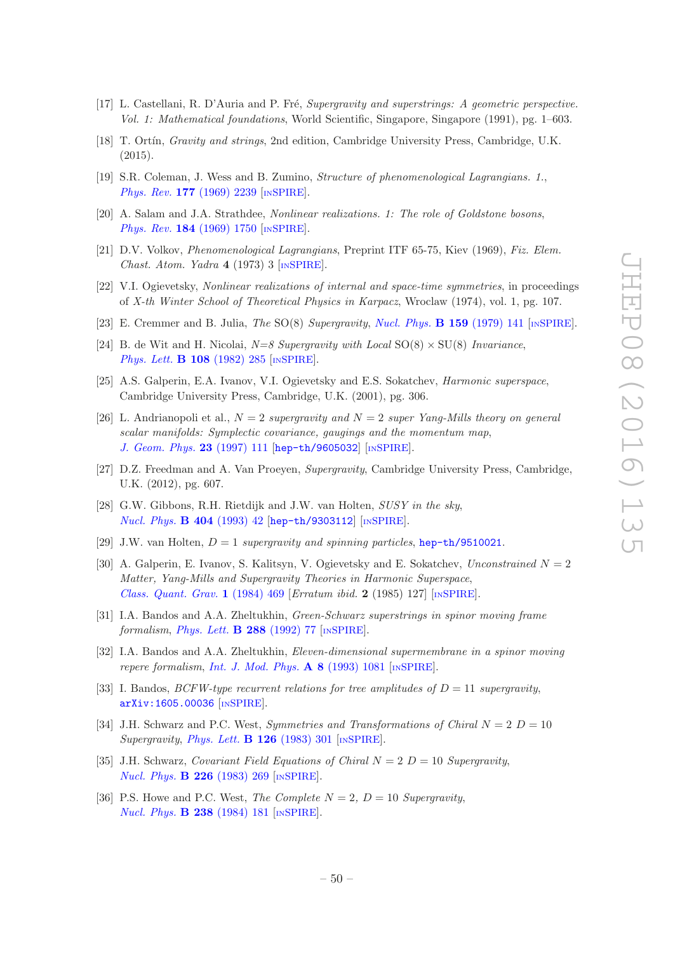- <span id="page-51-0"></span>[17] L. Castellani, R. D'Auria and P. Fré, Supergravity and superstrings: A geometric perspective. Vol. 1: Mathematical foundations, World Scientific, Singapore, Singapore (1991), pg. 1–603.
- <span id="page-51-1"></span>[18] T. Ortín, Gravity and strings, 2nd edition, Cambridge University Press, Cambridge, U.K. (2015).
- <span id="page-51-2"></span>[19] S.R. Coleman, J. Wess and B. Zumino, Structure of phenomenological Lagrangians. 1., Phys. Rev. 177 [\(1969\) 2239](http://dx.doi.org/10.1103/PhysRev.177.2239) [IN[SPIRE](http://inspirehep.net/search?p=find+J+%22Phys.Rev.,177,2239%22)].
- [20] A. Salam and J.A. Strathdee, Nonlinear realizations. 1: The role of Goldstone bosons, Phys. Rev. **184** [\(1969\) 1750](http://dx.doi.org/10.1103/PhysRev.184.1750) [IN[SPIRE](http://inspirehep.net/search?p=find+J+%22Phys.Rev.,184,1750%22)].
- [21] D.V. Volkov, Phenomenological Lagrangians, Preprint ITF 65-75, Kiev (1969), Fiz. Elem. Chast. Atom. Yadra 4 (1973) 3 [IN[SPIRE](http://inspirehep.net/search?p=find+IRN+7239165)].
- <span id="page-51-3"></span>[22] V.I. Ogievetsky, Nonlinear realizations of internal and space-time symmetries, in proceedings of X-th Winter School of Theoretical Physics in Karpacz, Wroclaw (1974), vol. 1, pg. 107.
- <span id="page-51-4"></span>[23] E. Cremmer and B. Julia, The SO(8) Supergravity, [Nucl. Phys.](http://dx.doi.org/10.1016/0550-3213(79)90331-6) B 159 (1979) 141 [IN[SPIRE](http://inspirehep.net/search?p=find+J+%22Nucl.Phys.,B159,141%22)].
- <span id="page-51-5"></span>[24] B. de Wit and H. Nicolai,  $N=8$  Supergravity with Local  $SO(8) \times SU(8)$  Invariance, [Phys. Lett.](http://dx.doi.org/10.1016/0370-2693(82)91194-7) B 108 (1982) 285 [IN[SPIRE](http://inspirehep.net/search?p=find+J+%22Phys.Lett.,B108,285%22)].
- <span id="page-51-6"></span>[25] A.S. Galperin, E.A. Ivanov, V.I. Ogievetsky and E.S. Sokatchev, Harmonic superspace, Cambridge University Press, Cambridge, U.K. (2001), pg. 306.
- <span id="page-51-7"></span>[26] L. Andrianopoli et al.,  $N = 2$  supergravity and  $N = 2$  super Yang-Mills theory on general scalar manifolds: Symplectic covariance, gaugings and the momentum map, [J. Geom. Phys.](http://dx.doi.org/10.1016/S0393-0440(97)00002-8) 23 (1997) 111 [[hep-th/9605032](http://arxiv.org/abs/hep-th/9605032)] [IN[SPIRE](http://inspirehep.net/search?p=find+J+%22J.Geom.Phys.,23,111%22)].
- <span id="page-51-8"></span>[27] D.Z. Freedman and A. Van Proeyen, Supergravity, Cambridge University Press, Cambridge, U.K. (2012), pg. 607.
- <span id="page-51-9"></span>[28] G.W. Gibbons, R.H. Rietdijk and J.W. van Holten, SUSY in the sky, [Nucl. Phys.](http://dx.doi.org/10.1016/0550-3213(93)90472-2) **B 404** (1993) 42 [[hep-th/9303112](http://arxiv.org/abs/hep-th/9303112)] [IN[SPIRE](http://inspirehep.net/search?p=find+J+%22Nucl.Phys.,B404,42%22)].
- <span id="page-51-10"></span>[29] J.W. van Holten,  $D = 1$  supergravity and spinning particles, [hep-th/9510021](http://arxiv.org/abs/hep-th/9510021).
- <span id="page-51-11"></span>[30] A. Galperin, E. Ivanov, S. Kalitsyn, V. Ogievetsky and E. Sokatchev, Unconstrained  $N = 2$ Matter, Yang-Mills and Supergravity Theories in Harmonic Superspace, [Class. Quant. Grav.](http://dx.doi.org/10.1088/0264-9381/1/5/004) 1 (1984) 469 [Erratum ibid. 2 (1985) 127] [IN[SPIRE](http://inspirehep.net/search?p=find+J+%22Class.Quant.Grav.,1,469%22)].
- <span id="page-51-12"></span>[31] I.A. Bandos and A.A. Zheltukhin, Green-Schwarz superstrings in spinor moving frame formalism, [Phys. Lett.](http://dx.doi.org/10.1016/0370-2693(92)91957-B)  $\bf{B}$  288 (1992) 77 [IN[SPIRE](http://inspirehep.net/search?p=find+J+%22Phys.Lett.,B288,77%22)].
- <span id="page-51-13"></span>[32] I.A. Bandos and A.A. Zheltukhin, Eleven-dimensional supermembrane in a spinor moving repere formalism, [Int. J. Mod. Phys.](http://dx.doi.org/10.1142/S0217751X93000424)  $\mathbf{A} \mathbf{8}$  (1993) 1081 [IN[SPIRE](http://inspirehep.net/search?p=find+J+%22Int.J.Mod.Phys.,A8,1081%22)].
- <span id="page-51-14"></span>[33] I. Bandos, *BCFW-type recurrent relations for tree amplitudes of*  $D = 11$  *supergravity.* [arXiv:1605.00036](http://arxiv.org/abs/1605.00036) [IN[SPIRE](http://inspirehep.net/search?p=find+EPRINT+arXiv:1605.00036)].
- <span id="page-51-15"></span>[34] J.H. Schwarz and P.C. West, Symmetries and Transformations of Chiral  $N = 2$   $D = 10$ Supergravity, [Phys. Lett.](http://dx.doi.org/10.1016/0370-2693(83)90168-5)  $\bf{B}$  126 (1983) 301 [IN[SPIRE](http://inspirehep.net/search?p=find+J+%22Phys.Lett.,B126,301%22)].
- <span id="page-51-17"></span>[35] J.H. Schwarz, Covariant Field Equations of Chiral  $N = 2$   $D = 10$  Supergravity, [Nucl. Phys.](http://dx.doi.org/10.1016/0550-3213(83)90192-X) **B 226** (1983) 269 [IN[SPIRE](http://inspirehep.net/search?p=find+J+%22Nucl.Phys.,B226,269%22)].
- <span id="page-51-16"></span>[36] P.S. Howe and P.C. West, The Complete  $N = 2$ ,  $D = 10$  Supergravity, [Nucl. Phys.](http://dx.doi.org/10.1016/0550-3213(84)90472-3) **B 238** (1984) 181 [IN[SPIRE](http://inspirehep.net/search?p=find+J+%22Nucl.Phys.,B238,181%22)].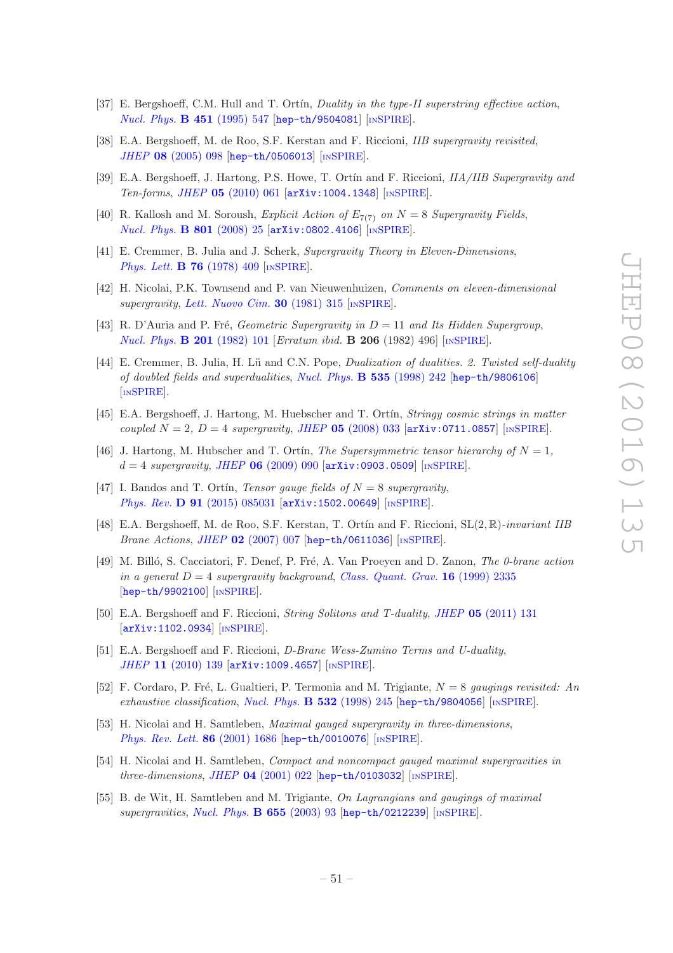- <span id="page-52-0"></span>[37] E. Bergshoeff, C.M. Hull and T. Ortin, Duality in the type-II superstring effective action, [Nucl. Phys.](http://dx.doi.org/10.1016/0550-3213(95)00367-2) B 451 (1995) 547 [[hep-th/9504081](http://arxiv.org/abs/hep-th/9504081)] [IN[SPIRE](http://inspirehep.net/search?p=find+J+%22Nucl.Phys.,B451,547%22)].
- <span id="page-52-1"></span>[38] E.A. Bergshoeff, M. de Roo, S.F. Kerstan and F. Riccioni, IIB supergravity revisited, JHEP 08 [\(2005\) 098](http://dx.doi.org/10.1088/1126-6708/2005/08/098) [[hep-th/0506013](http://arxiv.org/abs/hep-th/0506013)] [IN[SPIRE](http://inspirehep.net/search?p=find+J+%22JHEP,0508,098%22)].
- <span id="page-52-2"></span>[39] E.A. Bergshoeff, J. Hartong, P.S. Howe, T. Ortin and F. Riccioni, *IIA/IIB Supergravity and* Ten-forms, JHEP 05 [\(2010\) 061](http://dx.doi.org/10.1007/JHEP05(2010)061) [[arXiv:1004.1348](http://arxiv.org/abs/1004.1348)] [IN[SPIRE](http://inspirehep.net/search?p=find+EPRINT+arXiv:1004.1348)].
- <span id="page-52-3"></span>[40] R. Kallosh and M. Soroush, Explicit Action of  $E_{7(7)}$  on  $N = 8$  Supergravity Fields, [Nucl. Phys.](http://dx.doi.org/10.1016/j.nuclphysb.2008.04.006) B 801 (2008) 25 [[arXiv:0802.4106](http://arxiv.org/abs/0802.4106)] [IN[SPIRE](http://inspirehep.net/search?p=find+EPRINT+arXiv:0802.4106)].
- <span id="page-52-4"></span>[41] E. Cremmer, B. Julia and J. Scherk, Supergravity Theory in Eleven-Dimensions, [Phys. Lett.](http://dx.doi.org/10.1016/0370-2693(78)90894-8) **B 76** (1978) 409 [IN[SPIRE](http://inspirehep.net/search?p=find+J+%22Phys.Lett.,B76,409%22)].
- <span id="page-52-5"></span>[42] H. Nicolai, P.K. Townsend and P. van Nieuwenhuizen, Comments on eleven-dimensional supergravity, [Lett. Nuovo Cim.](http://dx.doi.org/10.1007/BF02817085) 30 (1981) 315 [IN[SPIRE](http://inspirehep.net/search?p=find+J+%22Lett.NuovoCim.,30,315%22)].
- <span id="page-52-6"></span>[43] R. D'Auria and P. Fré, Geometric Supergravity in  $D = 11$  and Its Hidden Supergroup, [Nucl. Phys.](http://dx.doi.org/10.1016/0550-3213(82)90376-5) **B 201** (1982) 101 [Erratum ibid. **B 206** (1982) 496] [IN[SPIRE](http://inspirehep.net/search?p=find+J+%22Nucl.Phys.,B201,101%22)].
- <span id="page-52-7"></span>[44] E. Cremmer, B. Julia, H. Lü and C.N. Pope, *Dualization of dualities. 2. Twisted self-duality* of doubled fields and superdualities, [Nucl. Phys.](http://dx.doi.org/10.1016/S0550-3213(98)00552-5) B 535 (1998) 242 [[hep-th/9806106](http://arxiv.org/abs/hep-th/9806106)] [IN[SPIRE](http://inspirehep.net/search?p=find+EPRINT+hep-th/9806106)].
- <span id="page-52-8"></span>[45] E.A. Bergshoeff, J. Hartong, M. Huebscher and T. Ortín, Stringy cosmic strings in matter coupled  $N = 2$ ,  $D = 4$  supergravity, JHEP 05 [\(2008\) 033](http://dx.doi.org/10.1088/1126-6708/2008/05/033) [[arXiv:0711.0857](http://arxiv.org/abs/0711.0857)] [IN[SPIRE](http://inspirehep.net/search?p=find+EPRINT+arXiv:0711.0857)].
- <span id="page-52-9"></span>[46] J. Hartong, M. Hubscher and T. Ortin, The Supersymmetric tensor hierarchy of  $N = 1$ ,  $d = 4$  supergravity, JHEP 06 [\(2009\) 090](http://dx.doi.org/10.1088/1126-6708/2009/06/090) [[arXiv:0903.0509](http://arxiv.org/abs/0903.0509)] [IN[SPIRE](http://inspirehep.net/search?p=find+EPRINT+arXiv:0903.0509)].
- <span id="page-52-10"></span>[47] I. Bandos and T. Ortin, *Tensor gauge fields of*  $N = 8$  *supergravity*, Phys. Rev. D 91 [\(2015\) 085031](http://dx.doi.org/10.1103/PhysRevD.91.085031) [[arXiv:1502.00649](http://arxiv.org/abs/1502.00649)] [IN[SPIRE](http://inspirehep.net/search?p=find+EPRINT+arXiv:1502.00649)].
- <span id="page-52-11"></span>[48] E.A. Bergshoeff, M. de Roo, S.F. Kerstan, T. Ortín and F. Riccioni,  $SL(2,\mathbb{R})$ -invariant IIB Brane Actions, JHEP 02 [\(2007\) 007](http://dx.doi.org/10.1088/1126-6708/2007/02/007) [[hep-th/0611036](http://arxiv.org/abs/hep-th/0611036)] [IN[SPIRE](http://inspirehep.net/search?p=find+J+%22JHEP,0702,007%22)].
- <span id="page-52-12"></span>[49] M. Billó, S. Cacciatori, F. Denef, P. Fré, A. Van Proeyen and D. Zanon, The 0-brane action in a general  $D = 4$  supergravity background, [Class. Quant. Grav.](http://dx.doi.org/10.1088/0264-9381/16/7/313) 16 (1999) 2335 [[hep-th/9902100](http://arxiv.org/abs/hep-th/9902100)] [IN[SPIRE](http://inspirehep.net/search?p=find+J+%22Class.Quant.Grav.,16,2335%22)].
- <span id="page-52-14"></span>[50] E.A. Bergshoeff and F. Riccioni, String Solitons and T-duality, JHEP 05 [\(2011\) 131](http://dx.doi.org/10.1007/JHEP05(2011)131) [[arXiv:1102.0934](http://arxiv.org/abs/1102.0934)] [IN[SPIRE](http://inspirehep.net/search?p=find+EPRINT+arXiv:1102.0934)].
- <span id="page-52-13"></span>[51] E.A. Bergshoeff and F. Riccioni, D-Brane Wess-Zumino Terms and U-duality, JHEP 11 [\(2010\) 139](http://dx.doi.org/10.1007/JHEP11(2010)139) [[arXiv:1009.4657](http://arxiv.org/abs/1009.4657)] [IN[SPIRE](http://inspirehep.net/search?p=find+EPRINT+arXiv:1009.4657)].
- <span id="page-52-15"></span>[52] F. Cordaro, P. Fré, L. Gualtieri, P. Termonia and M. Trigiante,  $N = 8$  gaugings revisited: An exhaustive classification, [Nucl. Phys.](http://dx.doi.org/10.1016/S0550-3213(98)00449-0) B 532 (1998) 245 [[hep-th/9804056](http://arxiv.org/abs/hep-th/9804056)] [IN[SPIRE](http://inspirehep.net/search?p=find+J+%22Nucl.Phys.,B532,245%22)].
- [53] H. Nicolai and H. Samtleben, Maximal gauged supergravity in three-dimensions, [Phys. Rev. Lett.](http://dx.doi.org/10.1103/PhysRevLett.86.1686) 86 (2001) 1686 [[hep-th/0010076](http://arxiv.org/abs/hep-th/0010076)] [IN[SPIRE](http://inspirehep.net/search?p=find+J+%22Phys.Rev.Lett.,86,1686%22)].
- <span id="page-52-16"></span>[54] H. Nicolai and H. Samtleben, Compact and noncompact gauged maximal supergravities in three-dimensions, JHEP  $04$  [\(2001\) 022](http://dx.doi.org/10.1088/1126-6708/2001/04/022) [[hep-th/0103032](http://arxiv.org/abs/hep-th/0103032)] [IN[SPIRE](http://inspirehep.net/search?p=find+J+%22JHEP,0104,022%22)].
- <span id="page-52-17"></span>[55] B. de Wit, H. Samtleben and M. Trigiante, On Lagrangians and gaugings of maximal supergravities, [Nucl. Phys.](http://dx.doi.org/10.1016/S0550-3213(03)00059-2)  $\bf{B}$  655 (2003) 93 [[hep-th/0212239](http://arxiv.org/abs/hep-th/0212239)] [IN[SPIRE](http://inspirehep.net/search?p=find+J+%22Nucl.Phys.,B655,93%22)].